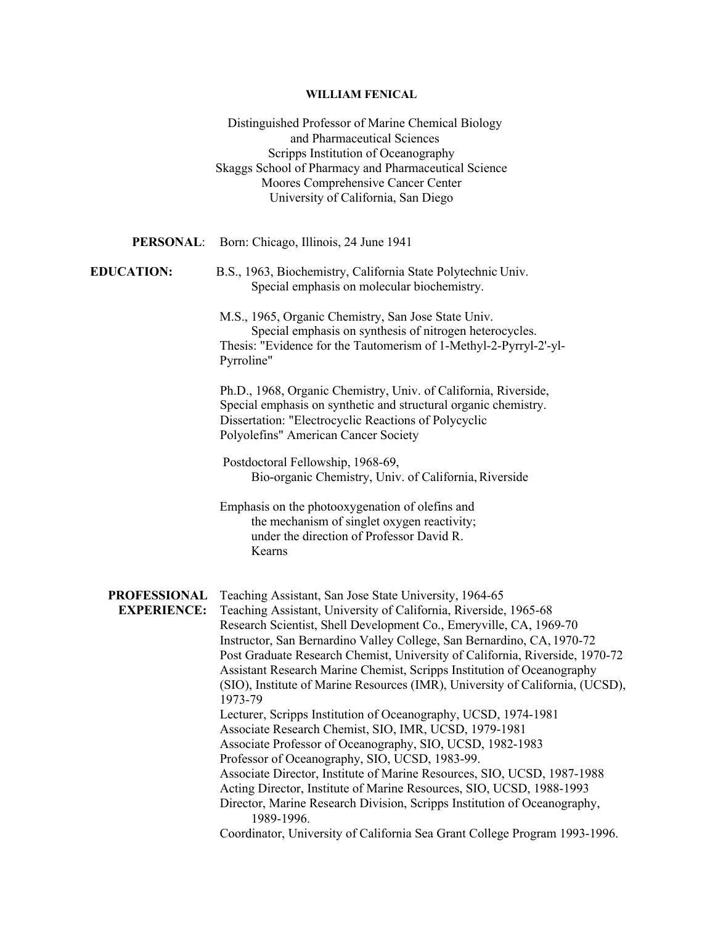### **WILLIAM FENICAL**

Distinguished Professor of Marine Chemical Biology and Pharmaceutical Sciences Scripps Institution of Oceanography Skaggs School of Pharmacy and Pharmaceutical Science Moores Comprehensive Cancer Center University of California, San Diego **PERSONAL**: Born: Chicago, Illinois, 24 June 1941 **EDUCATION:** B.S., 1963, Biochemistry, California State Polytechnic Univ. Special emphasis on molecular biochemistry. M.S., 1965, Organic Chemistry, San Jose State Univ. Special emphasis on synthesis of nitrogen heterocycles. Thesis: "Evidence for the Tautomerism of 1-Methyl-2-Pyrryl-2'-yl-Pyrroline" Ph.D., 1968, Organic Chemistry, Univ. of California, Riverside, Special emphasis on synthetic and structural organic chemistry. Dissertation: "Electrocyclic Reactions of Polycyclic Polyolefins" American Cancer Society Postdoctoral Fellowship, 1968-69, Bio-organic Chemistry, Univ. of California,Riverside Emphasis on the photooxygenation of olefins and the mechanism of singlet oxygen reactivity; under the direction of Professor David R. Kearns **PROFESSIONAL** Teaching Assistant, San Jose State University, 1964-65 **EXPERIENCE:** Teaching Assistant, University of California, Riverside, 1965-68 Research Scientist, Shell Development Co., Emeryville, CA, 1969-70 Instructor, San Bernardino Valley College, San Bernardino, CA, 1970-72 Post Graduate Research Chemist, University of California, Riverside, 1970-72 Assistant Research Marine Chemist, Scripps Institution of Oceanography (SIO), Institute of Marine Resources (IMR), University of California, (UCSD), 1973-79 Lecturer, Scripps Institution of Oceanography, UCSD, 1974-1981 Associate Research Chemist, SIO, IMR, UCSD, 1979-1981 Associate Professor of Oceanography, SIO, UCSD, 1982-1983 Professor of Oceanography, SIO, UCSD, 1983-99. Associate Director, Institute of Marine Resources, SIO, UCSD, 1987-1988 Acting Director, Institute of Marine Resources, SIO, UCSD, 1988-1993 Director, Marine Research Division, Scripps Institution of Oceanography, 1989-1996. Coordinator, University of California Sea Grant College Program 1993-1996.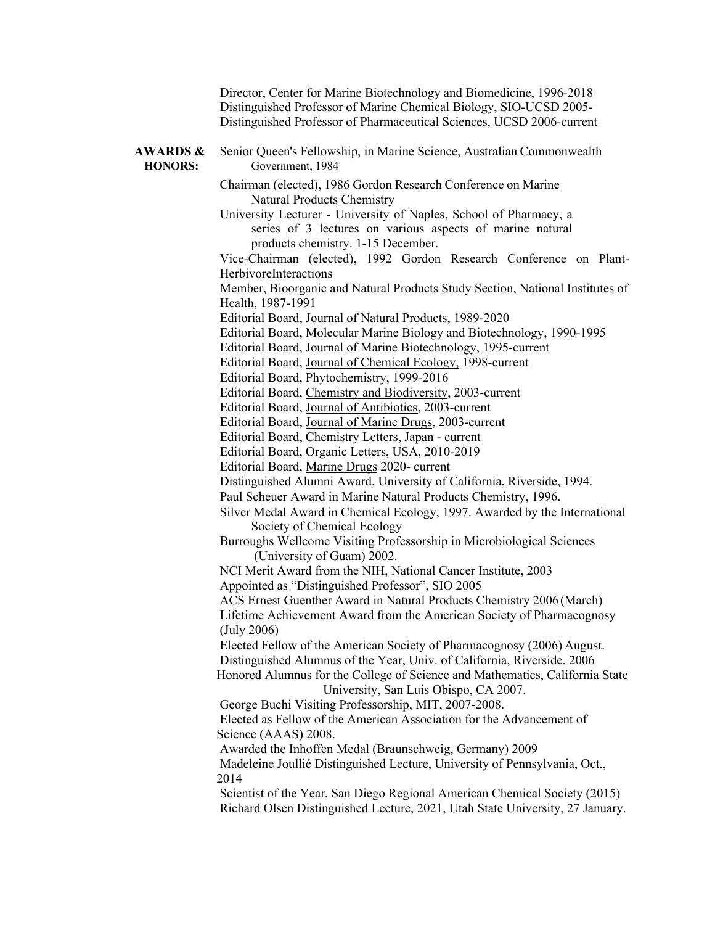Director, Center for Marine Biotechnology and Biomedicine, 1996-2018 Distinguished Professor of Marine Chemical Biology, SIO-UCSD 2005- Distinguished Professor of Pharmaceutical Sciences, UCSD 2006-current

**AWARDS &** Senior Queen's Fellowship, in Marine Science, Australian Commonwealth **HONORS:** Government, 1984 Chairman (elected), 1986 Gordon Research Conference on Marine Natural Products Chemistry University Lecturer - University of Naples, School of Pharmacy, a series of 3 lectures on various aspects of marine natural products chemistry. 1-15 December. Vice-Chairman (elected), 1992 Gordon Research Conference on Plant-HerbivoreInteractions Member, Bioorganic and Natural Products Study Section, National Institutes of Health, 1987-1991 Editorial Board, Journal of Natural Products, 1989-2020 Editorial Board, Molecular Marine Biology and Biotechnology, 1990-1995 Editorial Board, Journal of Marine Biotechnology, 1995-current Editorial Board, Journal of Chemical Ecology, 1998-current Editorial Board, Phytochemistry, 1999-2016 Editorial Board, Chemistry and Biodiversity, 2003-current Editorial Board, Journal of Antibiotics, 2003-current Editorial Board, Journal of Marine Drugs, 2003-current Editorial Board, Chemistry Letters, Japan - current Editorial Board, Organic Letters, USA, 2010-2019 Editorial Board, Marine Drugs 2020- current Distinguished Alumni Award, University of California, Riverside, 1994. Paul Scheuer Award in Marine Natural Products Chemistry, 1996. Silver Medal Award in Chemical Ecology, 1997. Awarded by the International Society of Chemical Ecology Burroughs Wellcome Visiting Professorship in Microbiological Sciences (University of Guam) 2002. NCI Merit Award from the NIH, National Cancer Institute, 2003 Appointed as "Distinguished Professor", SIO 2005 ACS Ernest Guenther Award in Natural Products Chemistry 2006 (March) Lifetime Achievement Award from the American Society of Pharmacognosy (July 2006) Elected Fellow of the American Society of Pharmacognosy (2006) August. Distinguished Alumnus of the Year, Univ. of California, Riverside. 2006 Honored Alumnus for the College of Science and Mathematics, California State University, San Luis Obispo, CA 2007. George Buchi Visiting Professorship, MIT, 2007-2008. Elected as Fellow of the American Association for the Advancement of Science (AAAS) 2008. Awarded the Inhoffen Medal (Braunschweig, Germany) 2009 Madeleine Joullié Distinguished Lecture, University of Pennsylvania, Oct., 2014 Scientist of the Year, San Diego Regional American Chemical Society (2015) Richard Olsen Distinguished Lecture, 2021, Utah State University, 27 January.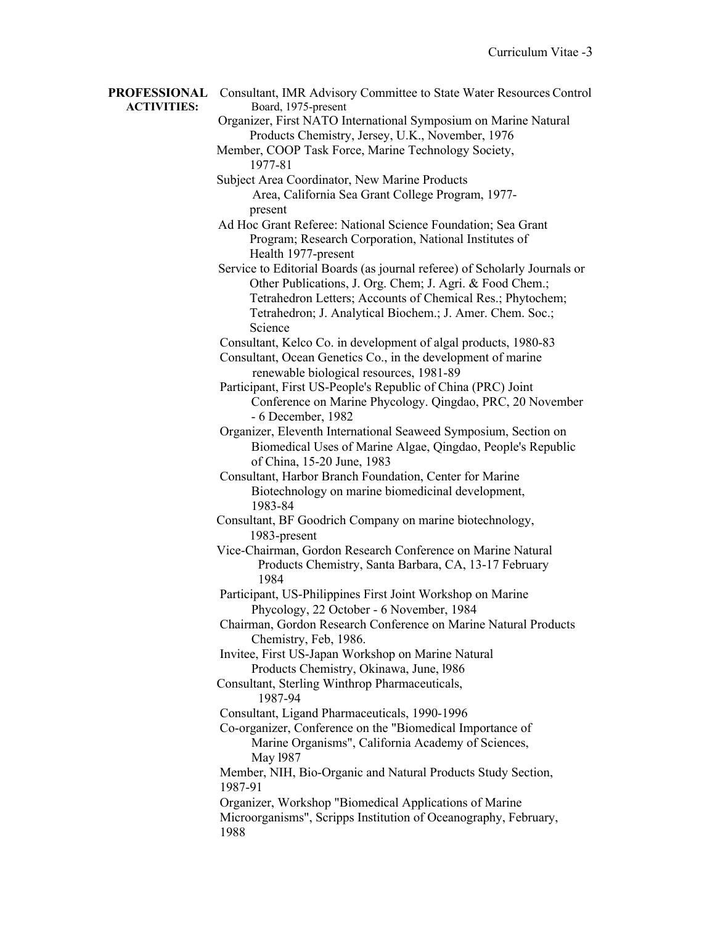**PROFESSIONAL** Consultant, IMR Advisory Committee to State Water Resources Control **ACTIVITIES:** Board, 1975-present Organizer, First NATO International Symposium on Marine Natural Products Chemistry, Jersey, U.K., November, 1976 Member, COOP Task Force, Marine Technology Society, 1977-81 Subject Area Coordinator, New Marine Products Area, California Sea Grant College Program, 1977 present Ad Hoc Grant Referee: National Science Foundation; Sea Grant Program; Research Corporation, National Institutes of Health 1977-present Service to Editorial Boards (as journal referee) of Scholarly Journals or Other Publications, J. Org. Chem; J. Agri. & Food Chem.; Tetrahedron Letters; Accounts of Chemical Res.; Phytochem; Tetrahedron; J. Analytical Biochem.; J. Amer. Chem. Soc.; Science Consultant, Kelco Co. in development of algal products, 1980-83 Consultant, Ocean Genetics Co., in the development of marine renewable biological resources, 1981-89 Participant, First US-People's Republic of China (PRC) Joint Conference on Marine Phycology. Qingdao, PRC, 20 November - 6 December, 1982 Organizer, Eleventh International Seaweed Symposium, Section on Biomedical Uses of Marine Algae, Qingdao, People's Republic of China, 15-20 June, 1983 Consultant, Harbor Branch Foundation, Center for Marine Biotechnology on marine biomedicinal development, 1983-84 Consultant, BF Goodrich Company on marine biotechnology, 1983-present Vice-Chairman, Gordon Research Conference on Marine Natural Products Chemistry, Santa Barbara, CA, 13-17 February 1984 Participant, US-Philippines First Joint Workshop on Marine Phycology, 22 October - 6 November, 1984 Chairman, Gordon Research Conference on Marine Natural Products Chemistry, Feb, 1986. Invitee, First US-Japan Workshop on Marine Natural Products Chemistry, Okinawa, June, l986 Consultant, Sterling Winthrop Pharmaceuticals, 1987-94 Consultant, Ligand Pharmaceuticals, 1990-1996 Co-organizer, Conference on the "Biomedical Importance of Marine Organisms", California Academy of Sciences, May l987 Member, NIH, Bio-Organic and Natural Products Study Section, 1987-91 Organizer, Workshop "Biomedical Applications of Marine Microorganisms", Scripps Institution of Oceanography, February, 1988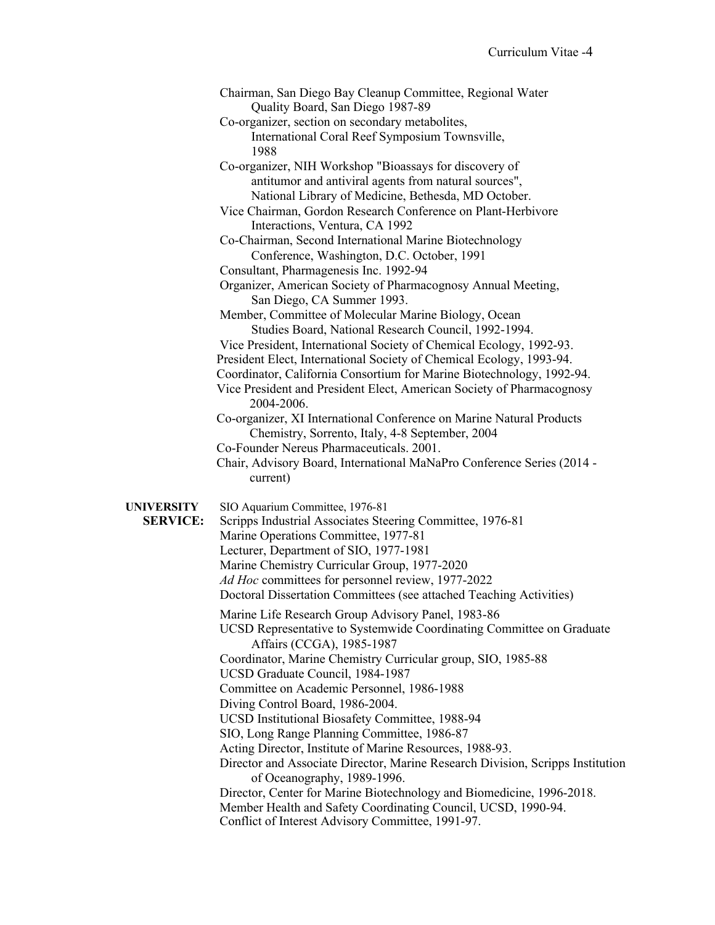Chairman, San Diego Bay Cleanup Committee, Regional Water Quality Board, San Diego 1987-89 Co-organizer, section on secondary metabolites, International Coral Reef Symposium Townsville, 1988 Co-organizer, NIH Workshop "Bioassays for discovery of antitumor and antiviral agents from natural sources", National Library of Medicine, Bethesda, MD October. Vice Chairman, Gordon Research Conference on Plant-Herbivore Interactions, Ventura, CA 1992 Co-Chairman, Second International Marine Biotechnology Conference, Washington, D.C. October, 1991 Consultant, Pharmagenesis Inc. 1992-94 Organizer, American Society of Pharmacognosy Annual Meeting, San Diego, CA Summer 1993. Member, Committee of Molecular Marine Biology, Ocean Studies Board, National Research Council, 1992-1994. Vice President, International Society of Chemical Ecology, 1992-93. President Elect, International Society of Chemical Ecology, 1993-94. Coordinator, California Consortium for Marine Biotechnology, 1992-94. Vice President and President Elect, American Society of Pharmacognosy 2004-2006. Co-organizer, XI International Conference on Marine Natural Products Chemistry, Sorrento, Italy, 4-8 September, 2004 Co-Founder Nereus Pharmaceuticals. 2001. Chair, Advisory Board, International MaNaPro Conference Series (2014 current) **UNIVERSITY** SIO Aquarium Committee, 1976-81 **SERVICE:** Scripps Industrial Associates Steering Committee, 1976-81 Marine Operations Committee, 1977-81 Lecturer, Department of SIO, 1977-1981 Marine Chemistry Curricular Group, 1977-2020 *Ad Hoc* committees for personnel review, 1977-2022 Doctoral Dissertation Committees (see attached Teaching Activities) Marine Life Research Group Advisory Panel, 1983-86 UCSD Representative to Systemwide Coordinating Committee on Graduate Affairs (CCGA), 1985-1987 Coordinator, Marine Chemistry Curricular group, SIO, 1985-88 UCSD Graduate Council, 1984-1987 Committee on Academic Personnel, 1986-1988 Diving Control Board, 1986-2004. UCSD Institutional Biosafety Committee, 1988-94 SIO, Long Range Planning Committee, 1986-87 Acting Director, Institute of Marine Resources, 1988-93. Director and Associate Director, Marine Research Division, Scripps Institution of Oceanography, 1989-1996. Director, Center for Marine Biotechnology and Biomedicine, 1996-2018. Member Health and Safety Coordinating Council, UCSD, 1990-94. Conflict of Interest Advisory Committee, 1991-97.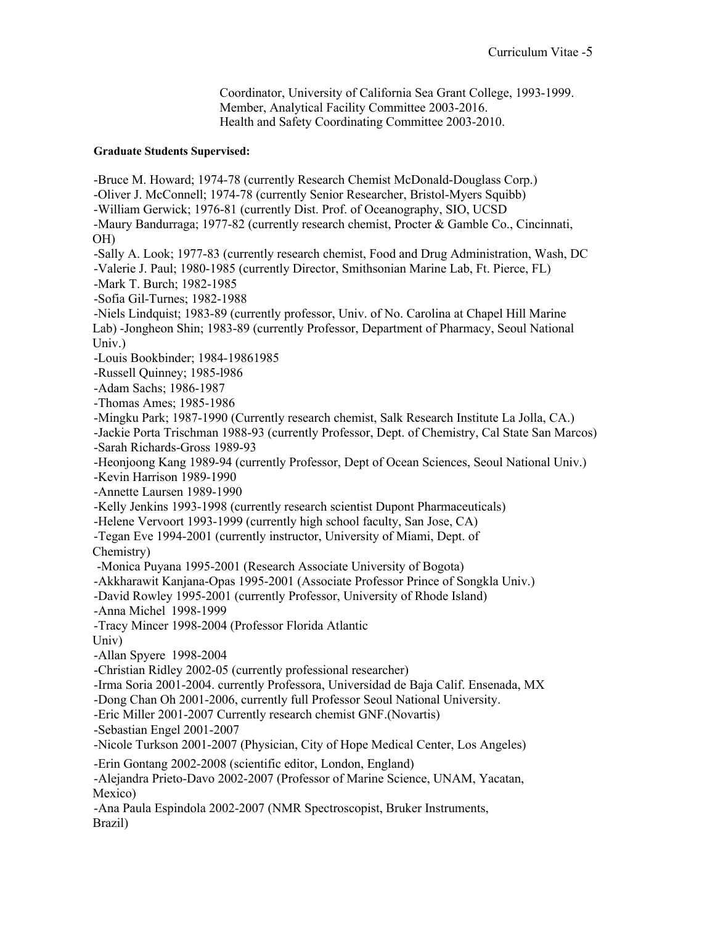Coordinator, University of California Sea Grant College, 1993-1999. Member, Analytical Facility Committee 2003-2016. Health and Safety Coordinating Committee 2003-2010.

## **Graduate Students Supervised:**

-Bruce M. Howard; 1974-78 (currently Research Chemist McDonald-Douglass Corp.)

-Oliver J. McConnell; 1974-78 (currently Senior Researcher, Bristol-Myers Squibb)

-William Gerwick; 1976-81 (currently Dist. Prof. of Oceanography, SIO, UCSD

-Maury Bandurraga; 1977-82 (currently research chemist, Procter & Gamble Co., Cincinnati, OH)

-Sally A. Look; 1977-83 (currently research chemist, Food and Drug Administration, Wash, DC -Valerie J. Paul; 1980-1985 (currently Director, Smithsonian Marine Lab, Ft. Pierce, FL)

-Mark T. Burch; 1982-1985

-Sofia Gil-Turnes; 1982-1988

-Niels Lindquist; 1983-89 (currently professor, Univ. of No. Carolina at Chapel Hill Marine Lab) -Jongheon Shin; 1983-89 (currently Professor, Department of Pharmacy, Seoul National Univ.)

-Louis Bookbinder; 1984-19861985

-Russell Quinney; 1985-l986

-Adam Sachs; 1986-1987

-Thomas Ames; 1985-1986

-Mingku Park; 1987-1990 (Currently research chemist, Salk Research Institute La Jolla, CA.)

-Jackie Porta Trischman 1988-93 (currently Professor, Dept. of Chemistry, Cal State San Marcos) -Sarah Richards-Gross 1989-93

-Heonjoong Kang 1989-94 (currently Professor, Dept of Ocean Sciences, Seoul National Univ.)

-Kevin Harrison 1989-1990

-Annette Laursen 1989-1990

-Kelly Jenkins 1993-1998 (currently research scientist Dupont Pharmaceuticals)

-Helene Vervoort 1993-1999 (currently high school faculty, San Jose, CA)

-Tegan Eve 1994-2001 (currently instructor, University of Miami, Dept. of

Chemistry)

-Monica Puyana 1995-2001 (Research Associate University of Bogota)

-Akkharawit Kanjana-Opas 1995-2001 (Associate Professor Prince of Songkla Univ.)

-David Rowley 1995-2001 (currently Professor, University of Rhode Island)

-Anna Michel 1998-1999

-Tracy Mincer 1998-2004 (Professor Florida Atlantic

Univ)

-Allan Spyere 1998-2004

-Christian Ridley 2002-05 (currently professional researcher)

-Irma Soria 2001-2004. currently Professora, Universidad de Baja Calif. Ensenada, MX

-Dong Chan Oh 2001-2006, currently full Professor Seoul National University.

-Eric Miller 2001-2007 Currently research chemist GNF.(Novartis)

-Sebastian Engel 2001-2007

-Nicole Turkson 2001-2007 (Physician, City of Hope Medical Center, Los Angeles)

-Erin Gontang 2002-2008 (scientific editor, London, England)

-Alejandra Prieto-Davo 2002-2007 (Professor of Marine Science, UNAM, Yacatan, Mexico)

-Ana Paula Espindola 2002-2007 (NMR Spectroscopist, Bruker Instruments, Brazil)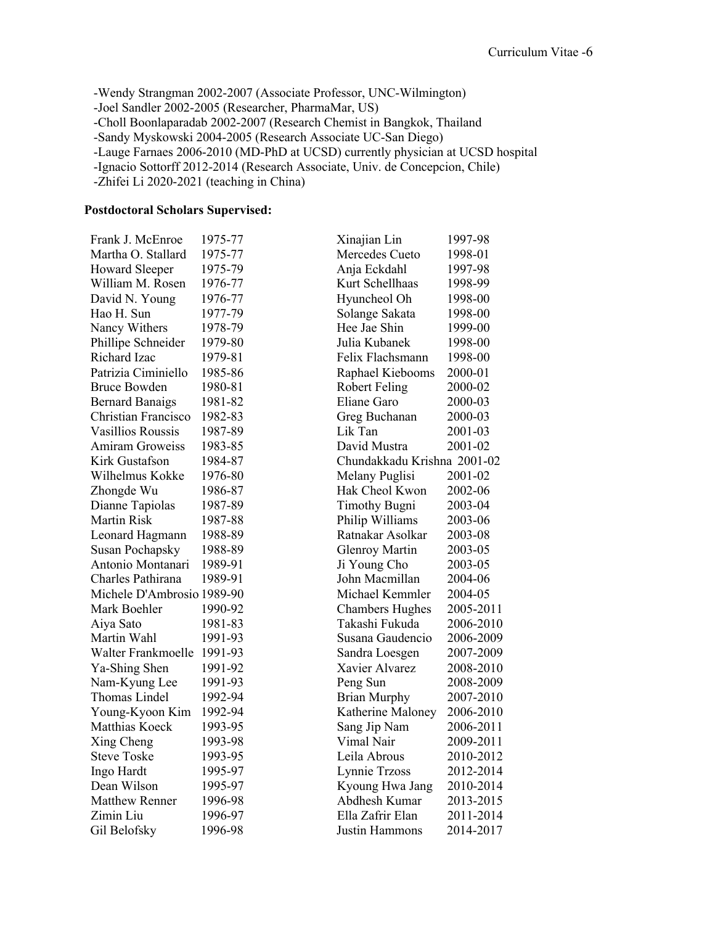-Wendy Strangman 2002-2007 (Associate Professor, UNC-Wilmington)

-Joel Sandler 2002-2005 (Researcher, PharmaMar, US)

-Choll Boonlaparadab 2002-2007 (Research Chemist in Bangkok, Thailand

-Sandy Myskowski 2004-2005 (Research Associate UC-San Diego)

-Lauge Farnaes 2006-2010 (MD-PhD at UCSD) currently physician at UCSD hospital

-Ignacio Sottorff 2012-2014 (Research Associate, Univ. de Concepcion, Chile)

-Zhifei Li 2020-2021 (teaching in China)

# **Postdoctoral Scholars Supervised:**

| Frank J. McEnroe           | 1975-77 | Xinajian Lin                | 1997-98   |
|----------------------------|---------|-----------------------------|-----------|
| Martha O. Stallard         | 1975-77 | Mercedes Cueto              | 1998-01   |
| Howard Sleeper             | 1975-79 | Anja Eckdahl                | 1997-98   |
| William M. Rosen           | 1976-77 | Kurt Schellhaas             | 1998-99   |
| David N. Young             | 1976-77 | Hyuncheol Oh                | 1998-00   |
| Hao H. Sun                 | 1977-79 | Solange Sakata              | 1998-00   |
| Nancy Withers              | 1978-79 | Hee Jae Shin                | 1999-00   |
| Phillipe Schneider         | 1979-80 | Julia Kubanek               | 1998-00   |
| Richard Izac               | 1979-81 | Felix Flachsmann            | 1998-00   |
| Patrizia Ciminiello        | 1985-86 | Raphael Kiebooms            | 2000-01   |
| <b>Bruce Bowden</b>        | 1980-81 | <b>Robert Feling</b>        | 2000-02   |
| <b>Bernard Banaigs</b>     | 1981-82 | Eliane Garo                 | 2000-03   |
| Christian Francisco        | 1982-83 | Greg Buchanan               | 2000-03   |
| <b>Vasillios Roussis</b>   | 1987-89 | Lik Tan                     | 2001-03   |
| <b>Amiram Groweiss</b>     | 1983-85 | David Mustra                | 2001-02   |
| Kirk Gustafson             | 1984-87 | Chundakkadu Krishna 2001-02 |           |
| Wilhelmus Kokke            | 1976-80 | Melany Puglisi              | 2001-02   |
| Zhongde Wu                 | 1986-87 | Hak Cheol Kwon              | 2002-06   |
| Dianne Tapiolas            | 1987-89 | <b>Timothy Bugni</b>        | 2003-04   |
| <b>Martin Risk</b>         | 1987-88 | Philip Williams             | 2003-06   |
| Leonard Hagmann            | 1988-89 | Ratnakar Asolkar            | 2003-08   |
| Susan Pochapsky            | 1988-89 | <b>Glenroy Martin</b>       | 2003-05   |
| Antonio Montanari          | 1989-91 | Ji Young Cho                | 2003-05   |
| Charles Pathirana          | 1989-91 | John Macmillan              | 2004-06   |
| Michele D'Ambrosio 1989-90 |         | Michael Kemmler             | 2004-05   |
| Mark Boehler               | 1990-92 | <b>Chambers Hughes</b>      | 2005-2011 |
| Aiya Sato                  | 1981-83 | Takashi Fukuda              | 2006-2010 |
| Martin Wahl                | 1991-93 | Susana Gaudencio            | 2006-2009 |
| Walter Frankmoelle         | 1991-93 | Sandra Loesgen              | 2007-2009 |
| Ya-Shing Shen              | 1991-92 | Xavier Alvarez              | 2008-2010 |
| Nam-Kyung Lee              | 1991-93 | Peng Sun                    | 2008-2009 |
| Thomas Lindel              | 1992-94 | <b>Brian Murphy</b>         | 2007-2010 |
| Young-Kyoon Kim            | 1992-94 | Katherine Maloney           | 2006-2010 |
| Matthias Koeck             | 1993-95 | Sang Jip Nam                | 2006-2011 |
| Xing Cheng                 | 1993-98 | Vimal Nair                  | 2009-2011 |
| <b>Steve Toske</b>         | 1993-95 | Leila Abrous                | 2010-2012 |
| Ingo Hardt                 | 1995-97 | Lynnie Trzoss               | 2012-2014 |
| Dean Wilson                | 1995-97 | Kyoung Hwa Jang             | 2010-2014 |
| <b>Matthew Renner</b>      | 1996-98 | Abdhesh Kumar               | 2013-2015 |
| Zimin Liu                  | 1996-97 | Ella Zafrir Elan            | 2011-2014 |
| Gil Belofsky               | 1996-98 | Justin Hammons              | 2014-2017 |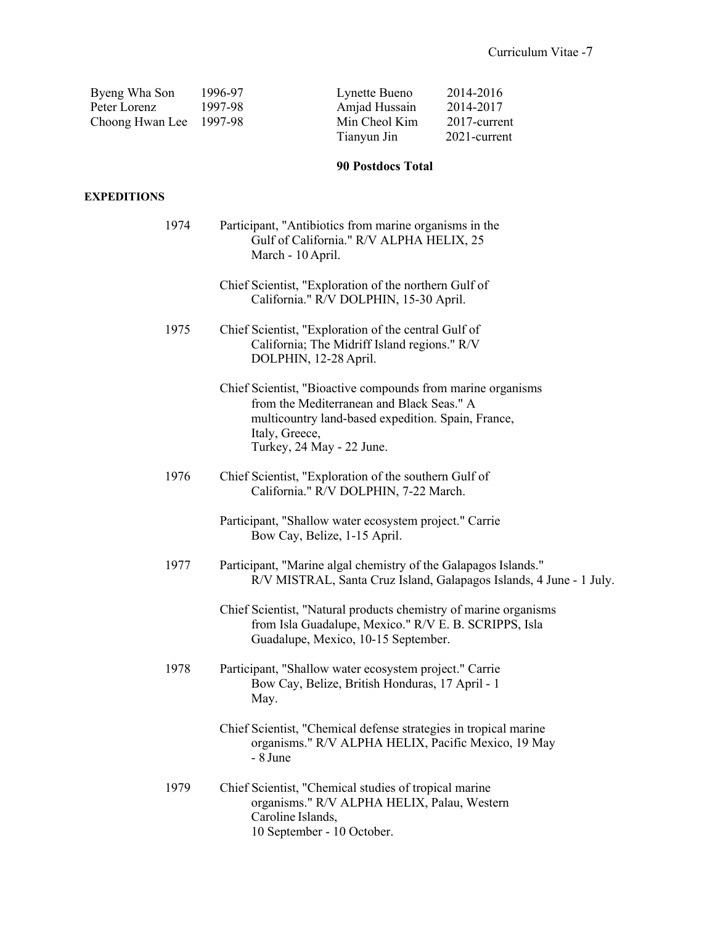| Byeng Wha Son           | 1996-97 | Lynette Bueno | 2014-2016       |
|-------------------------|---------|---------------|-----------------|
| Peter Lorenz            | 1997-98 | Amjad Hussain | 2014-2017       |
| Choong Hwan Lee 1997-98 |         | Min Cheol Kim | 2017-current    |
|                         |         | Tianyun Jin   | $2021$ -current |

# **90 Postdocs Total**

# **EXPEDITIONS**

| 1974 | Participant, "Antibiotics from marine organisms in the<br>Gulf of California." R/V ALPHA HELIX, 25<br>March - 10 April.                                                                                       |
|------|---------------------------------------------------------------------------------------------------------------------------------------------------------------------------------------------------------------|
|      | Chief Scientist, "Exploration of the northern Gulf of<br>California." R/V DOLPHIN, 15-30 April.                                                                                                               |
| 1975 | Chief Scientist, "Exploration of the central Gulf of<br>California; The Midriff Island regions." R/V<br>DOLPHIN, 12-28 April.                                                                                 |
|      | Chief Scientist, "Bioactive compounds from marine organisms<br>from the Mediterranean and Black Seas." A<br>multicountry land-based expedition. Spain, France,<br>Italy, Greece,<br>Turkey, 24 May - 22 June. |
| 1976 | Chief Scientist, "Exploration of the southern Gulf of<br>California." R/V DOLPHIN, 7-22 March.                                                                                                                |
|      | Participant, "Shallow water ecosystem project." Carrie<br>Bow Cay, Belize, 1-15 April.                                                                                                                        |
| 1977 | Participant, "Marine algal chemistry of the Galapagos Islands."<br>R/V MISTRAL, Santa Cruz Island, Galapagos Islands, 4 June - 1 July.                                                                        |
|      | Chief Scientist, "Natural products chemistry of marine organisms<br>from Isla Guadalupe, Mexico." R/V E. B. SCRIPPS, Isla<br>Guadalupe, Mexico, 10-15 September.                                              |
| 1978 | Participant, "Shallow water ecosystem project." Carrie<br>Bow Cay, Belize, British Honduras, 17 April - 1<br>May.                                                                                             |
|      | Chief Scientist, "Chemical defense strategies in tropical marine<br>organisms." R/V ALPHA HELIX, Pacific Mexico, 19 May<br>- 8 June                                                                           |
| 1979 | Chief Scientist, "Chemical studies of tropical marine<br>organisms." R/V ALPHA HELIX, Palau, Western<br>Caroline Islands,<br>10 September - 10 October.                                                       |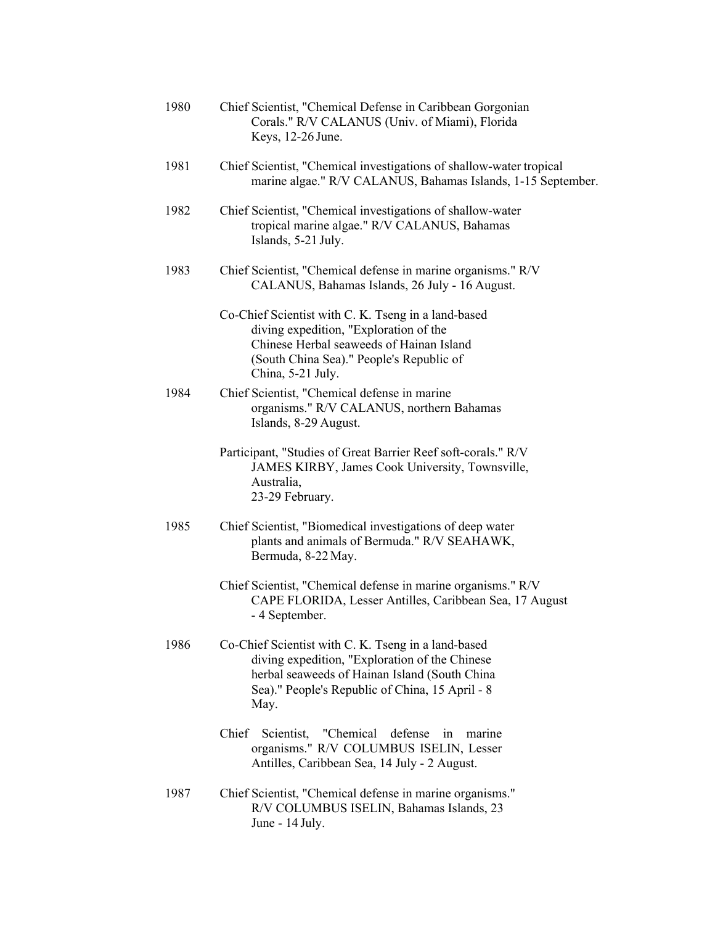| 1980 | Chief Scientist, "Chemical Defense in Caribbean Gorgonian<br>Corals." R/V CALANUS (Univ. of Miami), Florida<br>Keys, 12-26 June.                                                                                  |
|------|-------------------------------------------------------------------------------------------------------------------------------------------------------------------------------------------------------------------|
| 1981 | Chief Scientist, "Chemical investigations of shallow-water tropical<br>marine algae." R/V CALANUS, Bahamas Islands, 1-15 September.                                                                               |
| 1982 | Chief Scientist, "Chemical investigations of shallow-water<br>tropical marine algae." R/V CALANUS, Bahamas<br>Islands, 5-21 July.                                                                                 |
| 1983 | Chief Scientist, "Chemical defense in marine organisms." R/V<br>CALANUS, Bahamas Islands, 26 July - 16 August.                                                                                                    |
|      | Co-Chief Scientist with C. K. Tseng in a land-based<br>diving expedition, "Exploration of the<br>Chinese Herbal seaweeds of Hainan Island<br>(South China Sea)." People's Republic of<br>China, 5-21 July.        |
| 1984 | Chief Scientist, "Chemical defense in marine<br>organisms." R/V CALANUS, northern Bahamas<br>Islands, 8-29 August.                                                                                                |
|      | Participant, "Studies of Great Barrier Reef soft-corals." R/V<br>JAMES KIRBY, James Cook University, Townsville,<br>Australia,<br>23-29 February.                                                                 |
| 1985 | Chief Scientist, "Biomedical investigations of deep water<br>plants and animals of Bermuda." R/V SEAHAWK,<br>Bermuda, 8-22 May.                                                                                   |
|      | Chief Scientist, "Chemical defense in marine organisms." R/V<br>CAPE FLORIDA, Lesser Antilles, Caribbean Sea, 17 August<br>- 4 September.                                                                         |
| 1986 | Co-Chief Scientist with C. K. Tseng in a land-based<br>diving expedition, "Exploration of the Chinese<br>herbal seaweeds of Hainan Island (South China<br>Sea)." People's Republic of China, 15 April - 8<br>May. |
|      | Chief<br>Scientist, "Chemical defense<br>in marine<br>organisms." R/V COLUMBUS ISELIN, Lesser<br>Antilles, Caribbean Sea, 14 July - 2 August.                                                                     |
| 1987 | Chief Scientist, "Chemical defense in marine organisms."<br>R/V COLUMBUS ISELIN, Bahamas Islands, 23<br>June - 14 July.                                                                                           |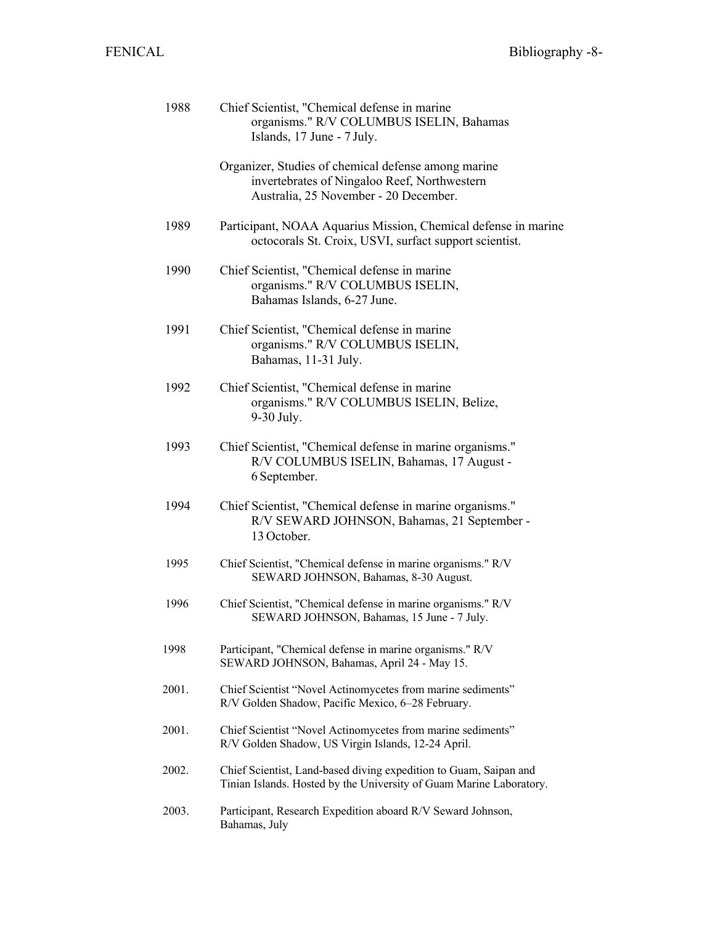| 1988  | Chief Scientist, "Chemical defense in marine<br>organisms." R/V COLUMBUS ISELIN, Bahamas<br>Islands, 17 June - 7 July.                       |
|-------|----------------------------------------------------------------------------------------------------------------------------------------------|
|       | Organizer, Studies of chemical defense among marine<br>invertebrates of Ningaloo Reef, Northwestern<br>Australia, 25 November - 20 December. |
| 1989  | Participant, NOAA Aquarius Mission, Chemical defense in marine<br>octocorals St. Croix, USVI, surfact support scientist.                     |
| 1990  | Chief Scientist, "Chemical defense in marine<br>organisms." R/V COLUMBUS ISELIN,<br>Bahamas Islands, 6-27 June.                              |
| 1991  | Chief Scientist, "Chemical defense in marine<br>organisms." R/V COLUMBUS ISELIN,<br>Bahamas, 11-31 July.                                     |
| 1992  | Chief Scientist, "Chemical defense in marine<br>organisms." R/V COLUMBUS ISELIN, Belize,<br>9-30 July.                                       |
| 1993  | Chief Scientist, "Chemical defense in marine organisms."<br>R/V COLUMBUS ISELIN, Bahamas, 17 August -<br>6 September.                        |
| 1994  | Chief Scientist, "Chemical defense in marine organisms."<br>R/V SEWARD JOHNSON, Bahamas, 21 September -<br>13 October.                       |
| 1995  | Chief Scientist, "Chemical defense in marine organisms." R/V<br>SEWARD JOHNSON, Bahamas, 8-30 August.                                        |
| 1996  | Chief Scientist, "Chemical defense in marine organisms." R/V<br>SEWARD JOHNSON, Bahamas, 15 June - 7 July.                                   |
| 1998  | Participant, "Chemical defense in marine organisms." R/V<br>SEWARD JOHNSON, Bahamas, April 24 - May 15.                                      |
| 2001. | Chief Scientist "Novel Actinomycetes from marine sediments"<br>R/V Golden Shadow, Pacific Mexico, 6-28 February.                             |
| 2001. | Chief Scientist "Novel Actinomycetes from marine sediments"<br>R/V Golden Shadow, US Virgin Islands, 12-24 April.                            |
| 2002. | Chief Scientist, Land-based diving expedition to Guam, Saipan and<br>Tinian Islands. Hosted by the University of Guam Marine Laboratory.     |
| 2003. | Participant, Research Expedition aboard R/V Seward Johnson,<br>Bahamas, July                                                                 |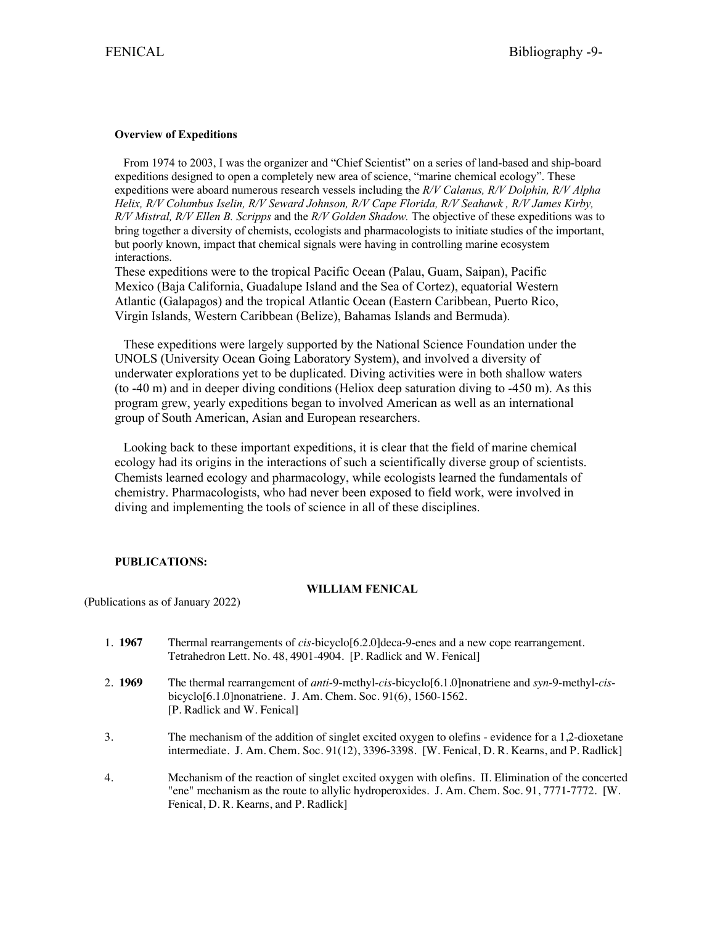### **Overview of Expeditions**

From 1974 to 2003, I was the organizer and "Chief Scientist" on a series of land-based and ship-board expeditions designed to open a completely new area of science, "marine chemical ecology". These expeditions were aboard numerous research vessels including the *R/V Calanus, R/V Dolphin, R/V Alpha Helix, R/V Columbus Iselin, R/V Seward Johnson, R/V Cape Florida, R/V Seahawk , R/V James Kirby, R/V Mistral, R/V Ellen B. Scripps* and the *R/V Golden Shadow.* The objective of these expeditions was to bring together a diversity of chemists, ecologists and pharmacologists to initiate studies of the important, but poorly known, impact that chemical signals were having in controlling marine ecosystem interactions.

These expeditions were to the tropical Pacific Ocean (Palau, Guam, Saipan), Pacific Mexico (Baja California, Guadalupe Island and the Sea of Cortez), equatorial Western Atlantic (Galapagos) and the tropical Atlantic Ocean (Eastern Caribbean, Puerto Rico, Virgin Islands, Western Caribbean (Belize), Bahamas Islands and Bermuda).

These expeditions were largely supported by the National Science Foundation under the UNOLS (University Ocean Going Laboratory System), and involved a diversity of underwater explorations yet to be duplicated. Diving activities were in both shallow waters (to -40 m) and in deeper diving conditions (Heliox deep saturation diving to -450 m). As this program grew, yearly expeditions began to involved American as well as an international group of South American, Asian and European researchers.

Looking back to these important expeditions, it is clear that the field of marine chemical ecology had its origins in the interactions of such a scientifically diverse group of scientists. Chemists learned ecology and pharmacology, while ecologists learned the fundamentals of chemistry. Pharmacologists, who had never been exposed to field work, were involved in diving and implementing the tools of science in all of these disciplines.

# **PUBLICATIONS:**

### **WILLIAM FENICAL**

(Publications as of January 2022)

| 1.1967  | Thermal rearrangements of cis-bicyclo[6.2.0] deca-9-enes and a new cope rearrangement.<br>Tetrahedron Lett. No. 48, 4901-4904. [P. Radlick and W. Fenical]                                                                                    |
|---------|-----------------------------------------------------------------------------------------------------------------------------------------------------------------------------------------------------------------------------------------------|
| 2. 1969 | The thermal rearrangement of <i>anti</i> -9-methyl- <i>cis</i> -bicyclo[6.1.0] nonatriene and <i>syn</i> -9-methyl- <i>cis</i> -<br>bicyclo <sup>[6.1.0]</sup> nonatriene. J. Am. Chem. Soc. 91(6), 1560-1562.<br>[P. Radlick and W. Fenical] |
| 3.      | The mechanism of the addition of singlet excited oxygen to olefins - evidence for a 1,2-dioxetane<br>intermediate. J. Am. Chem. Soc. 91(12), 3396-3398. [W. Fenical, D. R. Kearns, and P. Radlick]                                            |
| 4.      | Mechanism of the reaction of singlet excited oxygen with olefins. II. Elimination of the concerted<br>"ene" mechanism as the route to allylic hydroperoxides. J. Am. Chem. Soc. 91, 7771-7772. [W.<br>Fenical, D. R. Kearns, and P. Radlick]  |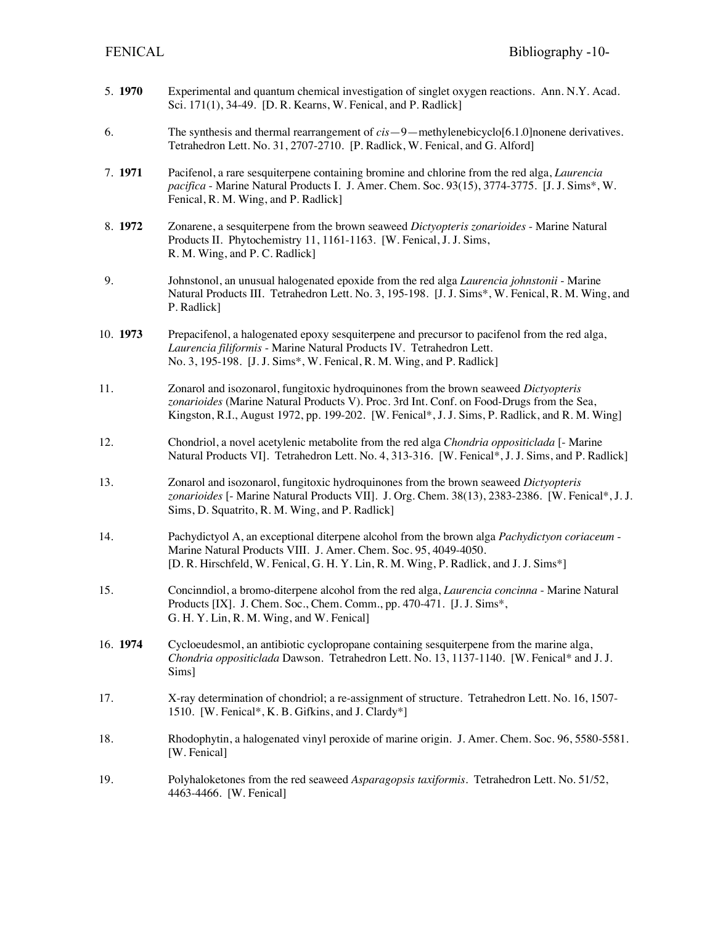| 5.1970   | Experimental and quantum chemical investigation of singlet oxygen reactions. Ann. N.Y. Acad.<br>Sci. 171(1), 34-49. [D. R. Kearns, W. Fenical, and P. Radlick]                                                                                                                       |
|----------|--------------------------------------------------------------------------------------------------------------------------------------------------------------------------------------------------------------------------------------------------------------------------------------|
| 6.       | The synthesis and thermal rearrangement of $cis -9$ — methylenebicyclo[6.1.0] nonene derivatives.<br>Tetrahedron Lett. No. 31, 2707-2710. [P. Radlick, W. Fenical, and G. Alford]                                                                                                    |
| 7.1971   | Pacifenol, a rare sesquiterpene containing bromine and chlorine from the red alga, <i>Laurencia</i><br>pacifica - Marine Natural Products I. J. Amer. Chem. Soc. 93(15), 3774-3775. [J. J. Sims*, W.<br>Fenical, R. M. Wing, and P. Radlick]                                         |
| 8.1972   | Zonarene, a sesquiterpene from the brown seaweed Dictyopteris zonarioides - Marine Natural<br>Products II. Phytochemistry 11, 1161-1163. [W. Fenical, J. J. Sims,<br>R. M. Wing, and P. C. Radlick]                                                                                  |
| 9.       | Johnstonol, an unusual halogenated epoxide from the red alga Laurencia johnstonii - Marine<br>Natural Products III. Tetrahedron Lett. No. 3, 195-198. [J. J. Sims*, W. Fenical, R. M. Wing, and<br>P. Radlick]                                                                       |
| 10.1973  | Prepacifenol, a halogenated epoxy sesquiterpene and precursor to pacifenol from the red alga,<br>Laurencia filiformis - Marine Natural Products IV. Tetrahedron Lett.<br>No. 3, 195-198. [J. J. Sims*, W. Fenical, R. M. Wing, and P. Radlick]                                       |
| 11.      | Zonarol and isozonarol, fungitoxic hydroquinones from the brown seaweed Dictyopteris<br>zonarioides (Marine Natural Products V). Proc. 3rd Int. Conf. on Food-Drugs from the Sea,<br>Kingston, R.I., August 1972, pp. 199-202. [W. Fenical*, J. J. Sims, P. Radlick, and R. M. Wing] |
| 12.      | Chondriol, a novel acetylenic metabolite from the red alga Chondria oppositiclada [- Marine<br>Natural Products VI]. Tetrahedron Lett. No. 4, 313-316. [W. Fenical*, J. J. Sims, and P. Radlick]                                                                                     |
| 13.      | Zonarol and isozonarol, fungitoxic hydroquinones from the brown seaweed Dictyopteris<br>zonarioides [- Marine Natural Products VII]. J. Org. Chem. 38(13), 2383-2386. [W. Fenical*, J. J.<br>Sims, D. Squatrito, R. M. Wing, and P. Radlick]                                         |
| 14.      | Pachydictyol A, an exceptional diterpene alcohol from the brown alga <i>Pachydictyon coriaceum</i> -<br>Marine Natural Products VIII. J. Amer. Chem. Soc. 95, 4049-4050.<br>[D. R. Hirschfeld, W. Fenical, G. H. Y. Lin, R. M. Wing, P. Radlick, and J. J. Sims*]                    |
| 15.      | Concinnatiol, a bromo-diterpene alcohol from the red alga, <i>Laurencia concinna</i> - Marine Natural<br>Products [IX]. J. Chem. Soc., Chem. Comm., pp. 470-471. [J. J. Sims*<br>G. H. Y. Lin, R. M. Wing, and W. Fenical]                                                           |
| 16. 1974 | Cycloeudesmol, an antibiotic cyclopropane containing sesquiterpene from the marine alga,<br>Chondria oppositiclada Dawson. Tetrahedron Lett. No. 13, 1137-1140. [W. Fenical* and J. J.<br>Sims]                                                                                      |
| 17.      | X-ray determination of chondriol; a re-assignment of structure. Tetrahedron Lett. No. 16, 1507-<br>1510. [W. Fenical*, K. B. Gifkins, and J. Clardy*]                                                                                                                                |
| 18.      | Rhodophytin, a halogenated vinyl peroxide of marine origin. J. Amer. Chem. Soc. 96, 5580-5581.<br>[W. Fenical]                                                                                                                                                                       |
| 19.      | Polyhaloketones from the red seaweed Asparagopsis taxiformis. Tetrahedron Lett. No. 51/52,<br>4463-4466. [W. Fenical]                                                                                                                                                                |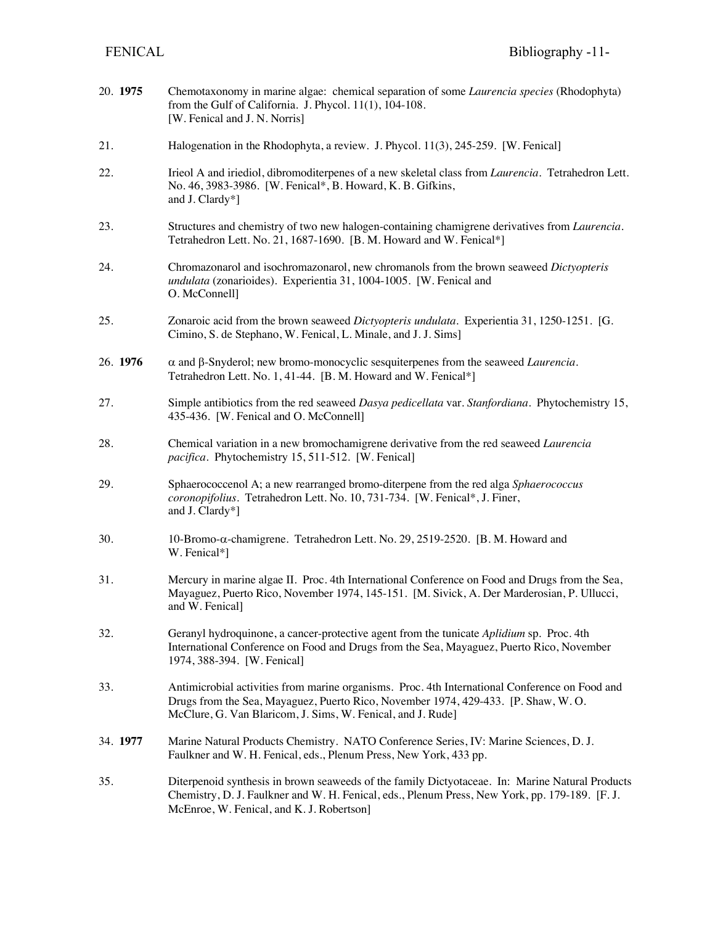| 20. 1975 | Chemotaxonomy in marine algae: chemical separation of some Laurencia species (Rhodophyta)<br>from the Gulf of California. J. Phycol. 11(1), 104-108.<br>[W. Fenical and J. N. Norris]                                                              |
|----------|----------------------------------------------------------------------------------------------------------------------------------------------------------------------------------------------------------------------------------------------------|
| 21.      | Halogenation in the Rhodophyta, a review. J. Phycol. 11(3), 245-259. [W. Fenical]                                                                                                                                                                  |
| 22.      | Irieol A and iriediol, dibromoditerpenes of a new skeletal class from Laurencia. Tetrahedron Lett.<br>No. 46, 3983-3986. [W. Fenical*, B. Howard, K. B. Gifkins,<br>and J. Clardy*]                                                                |
| 23.      | Structures and chemistry of two new halogen-containing chamigrene derivatives from Laurencia.<br>Tetrahedron Lett. No. 21, 1687-1690. [B. M. Howard and W. Fenical*]                                                                               |
| 24.      | Chromazonarol and isochromazonarol, new chromanols from the brown seaweed Dictyopteris<br>undulata (zonarioides). Experientia 31, 1004-1005. [W. Fenical and<br>O. McConnell]                                                                      |
| 25.      | Zonaroic acid from the brown seaweed Dictyopteris undulata. Experientia 31, 1250-1251. [G.<br>Cimino, S. de Stephano, W. Fenical, L. Minale, and J. J. Sims]                                                                                       |
| 26.1976  | $\alpha$ and $\beta$ -Snyderol; new bromo-monocyclic sesquiterpenes from the seaweed <i>Laurencia</i> .<br>Tetrahedron Lett. No. 1, 41-44. [B. M. Howard and W. Fenical*]                                                                          |
| 27.      | Simple antibiotics from the red seaweed Dasya pedicellata var. Stanfordiana. Phytochemistry 15,<br>435-436. [W. Fenical and O. McConnell]                                                                                                          |
| 28.      | Chemical variation in a new bromochamigrene derivative from the red seaweed Laurencia<br>pacifica. Phytochemistry 15, 511-512. [W. Fenical]                                                                                                        |
| 29.      | Sphaerococcenol A; a new rearranged bromo-diterpene from the red alga Sphaerococcus<br>coronopifolius. Tetrahedron Lett. No. 10, 731-734. [W. Fenical*, J. Finer,<br>and J. Clardy*]                                                               |
| 30.      | 10-Bromo-α-chamigrene. Tetrahedron Lett. No. 29, 2519-2520. [B. M. Howard and<br>W. Fenical*]                                                                                                                                                      |
| 31.      | Mercury in marine algae II. Proc. 4th International Conference on Food and Drugs from the Sea,<br>Mayaguez, Puerto Rico, November 1974, 145-151. [M. Sivick, A. Der Marderosian, P. Ullucci,<br>and W. Fenical]                                    |
| 32.      | Geranyl hydroquinone, a cancer-protective agent from the tunicate <i>Aplidium</i> sp. Proc. 4th<br>International Conference on Food and Drugs from the Sea, Mayaguez, Puerto Rico, November<br>1974, 388-394. [W. Fenical]                         |
| 33.      | Antimicrobial activities from marine organisms. Proc. 4th International Conference on Food and<br>Drugs from the Sea, Mayaguez, Puerto Rico, November 1974, 429-433. [P. Shaw, W.O.<br>McClure, G. Van Blaricom, J. Sims, W. Fenical, and J. Rude] |
| 34. 1977 | Marine Natural Products Chemistry. NATO Conference Series, IV: Marine Sciences, D. J.<br>Faulkner and W. H. Fenical, eds., Plenum Press, New York, 433 pp.                                                                                         |
| 35.      | Diterpenoid synthesis in brown seaweeds of the family Dictyotaceae. In: Marine Natural Products<br>Chemistry, D. J. Faulkner and W. H. Fenical, eds., Plenum Press, New York, pp. 179-189. [F. J.<br>McEnroe, W. Fenical, and K. J. Robertson]     |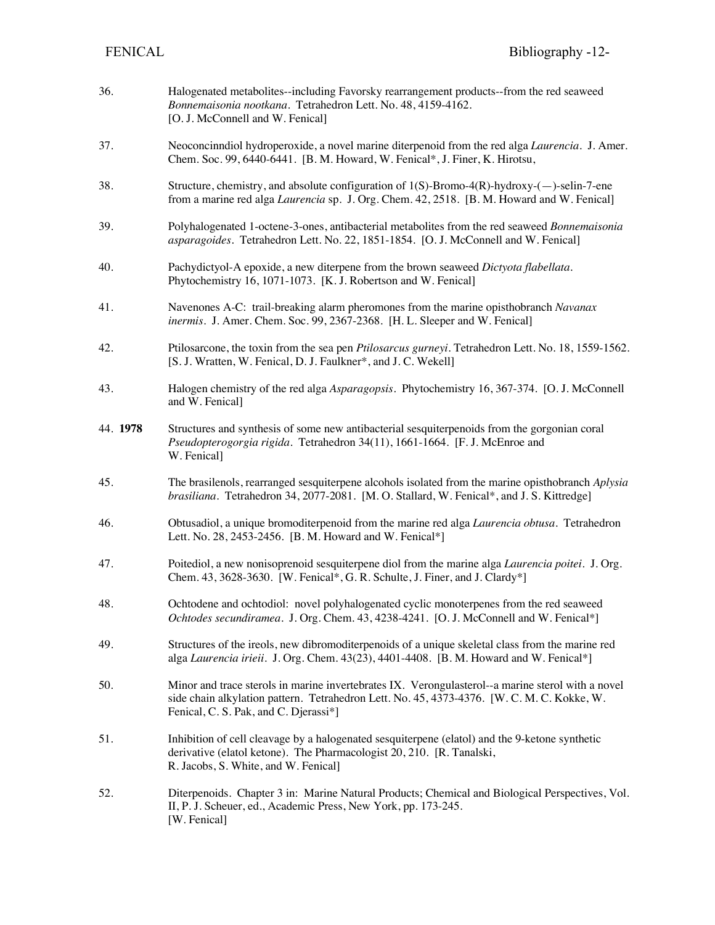| 36.     | Halogenated metabolites--including Favorsky rearrangement products--from the red seaweed<br>Bonnemaisonia nootkana. Tetrahedron Lett. No. 48, 4159-4162.<br>[O.J. McConnell and W. Fenical]                                              |
|---------|------------------------------------------------------------------------------------------------------------------------------------------------------------------------------------------------------------------------------------------|
| 37.     | Neoconcinndiol hydroperoxide, a novel marine diterpenoid from the red alga Laurencia. J. Amer.<br>Chem. Soc. 99, 6440-6441. [B. M. Howard, W. Fenical*, J. Finer, K. Hirotsu,                                                            |
| 38.     | Structure, chemistry, and absolute configuration of $1(S)$ -Bromo-4(R)-hydroxy-(-)-selin-7-ene<br>from a marine red alga <i>Laurencia</i> sp. J. Org. Chem. 42, 2518. [B. M. Howard and W. Fenical]                                      |
| 39.     | Polyhalogenated 1-octene-3-ones, antibacterial metabolites from the red seaweed Bonnemaisonia<br>asparagoides. Tetrahedron Lett. No. 22, 1851-1854. [O. J. McConnell and W. Fenical]                                                     |
| 40.     | Pachydictyol-A epoxide, a new diterpene from the brown seaweed Dictyota flabellata.<br>Phytochemistry 16, 1071-1073. [K. J. Robertson and W. Fenical]                                                                                    |
| 41.     | Navenones A-C: trail-breaking alarm pheromones from the marine opisthobranch Navanax<br>inermis. J. Amer. Chem. Soc. 99, 2367-2368. [H. L. Sleeper and W. Fenical]                                                                       |
| 42.     | Ptilosarcone, the toxin from the sea pen Ptilosarcus gurneyi. Tetrahedron Lett. No. 18, 1559-1562.<br>[S. J. Wratten, W. Fenical, D. J. Faulkner*, and J. C. Wekell]                                                                     |
| 43.     | Halogen chemistry of the red alga Asparagopsis. Phytochemistry 16, 367-374. [O.J. McConnell]<br>and W. Fenical]                                                                                                                          |
| 44.1978 | Structures and synthesis of some new antibacterial sesquiterpenoids from the gorgonian coral<br>Pseudopterogorgia rigida. Tetrahedron 34(11), 1661-1664. [F.J. McEnroe and<br>W. Fenical]                                                |
| 45.     | The brasilenols, rearranged sesquiterpene alcohols isolated from the marine opisthobranch Aplysia<br>brasiliana. Tetrahedron 34, 2077-2081. [M. O. Stallard, W. Fenical*, and J. S. Kittredge]                                           |
| 46.     | Obtusadiol, a unique bromoditerpenoid from the marine red alga Laurencia obtusa. Tetrahedron<br>Lett. No. 28, 2453-2456. [B. M. Howard and W. Fenical*]                                                                                  |
| 47.     | Poitediol, a new nonisoprenoid sesquiterpene diol from the marine alga <i>Laurencia poitei</i> . J. Org.<br>Chem. 43, 3628-3630. [W. Fenical*, G. R. Schulte, J. Finer, and J. Clardy*]                                                  |
| 48.     | Ochtodene and ochtodiol: novel polyhalogenated cyclic monoterpenes from the red seaweed<br>Ochtodes secundiramea. J. Org. Chem. 43, 4238-4241. [O. J. McConnell and W. Fenical*]                                                         |
| 49.     | Structures of the ireols, new dibromoditerpenoids of a unique skeletal class from the marine red<br>alga Laurencia irieii. J. Org. Chem. 43(23), 4401-4408. [B. M. Howard and W. Fenical*]                                               |
| 50.     | Minor and trace sterols in marine invertebrates IX. Verongulasterol--a marine sterol with a novel<br>side chain alkylation pattern. Tetrahedron Lett. No. 45, 4373-4376. [W. C. M. C. Kokke, W.<br>Fenical, C. S. Pak, and C. Djerassi*] |
| 51.     | Inhibition of cell cleavage by a halogenated sesquiterpene (elatol) and the 9-ketone synthetic<br>derivative (elatol ketone). The Pharmacologist 20, 210. [R. Tanalski,<br>R. Jacobs, S. White, and W. Fenical]                          |
| 52.     | Diterpenoids. Chapter 3 in: Marine Natural Products; Chemical and Biological Perspectives, Vol.<br>II, P. J. Scheuer, ed., Academic Press, New York, pp. 173-245.<br>[W. Fenical]                                                        |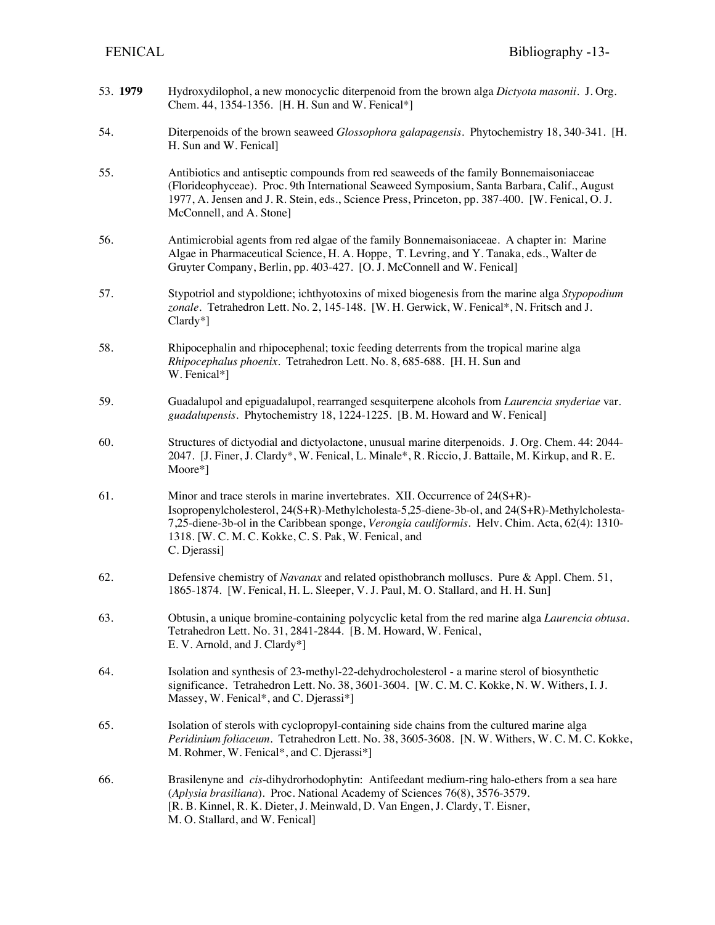| 53.1979 | Hydroxydilophol, a new monocyclic diterpenoid from the brown alga Dictyota masonii. J. Org.<br>Chem. 44, 1354-1356. [H. H. Sun and W. Fenical*]                                                                                                                                                                                                        |
|---------|--------------------------------------------------------------------------------------------------------------------------------------------------------------------------------------------------------------------------------------------------------------------------------------------------------------------------------------------------------|
| 54.     | Diterpenoids of the brown seaweed Glossophora galapagensis. Phytochemistry 18, 340-341. [H.<br>H. Sun and W. Fenical]                                                                                                                                                                                                                                  |
| 55.     | Antibiotics and antiseptic compounds from red seaweeds of the family Bonnemaisoniaceae<br>(Florideophyceae). Proc. 9th International Seaweed Symposium, Santa Barbara, Calif., August<br>1977, A. Jensen and J. R. Stein, eds., Science Press, Princeton, pp. 387-400. [W. Fenical, O. J.<br>McConnell, and A. Stone]                                  |
| 56.     | Antimicrobial agents from red algae of the family Bonnemaisoniaceae. A chapter in: Marine<br>Algae in Pharmaceutical Science, H. A. Hoppe, T. Levring, and Y. Tanaka, eds., Walter de<br>Gruyter Company, Berlin, pp. 403-427. [O. J. McConnell and W. Fenical]                                                                                        |
| 57.     | Stypotriol and stypoldione; ichthyotoxins of mixed biogenesis from the marine alga Stypopodium<br>zonale. Tetrahedron Lett. No. 2, 145-148. [W. H. Gerwick, W. Fenical*, N. Fritsch and J.<br>$Clardy*]$                                                                                                                                               |
| 58.     | Rhipocephalin and rhipocephenal; toxic feeding deterrents from the tropical marine alga<br>Rhipocephalus phoenix. Tetrahedron Lett. No. 8, 685-688. [H. H. Sun and<br>W. Fenical*]                                                                                                                                                                     |
| 59.     | Guadalupol and epiguadalupol, rearranged sesquiterpene alcohols from Laurencia snyderiae var.<br>guadalupensis. Phytochemistry 18, 1224-1225. [B. M. Howard and W. Fenical]                                                                                                                                                                            |
| 60.     | Structures of dictyodial and dictyolactone, unusual marine diterpenoids. J. Org. Chem. 44: 2044-<br>2047. [J. Finer, J. Clardy*, W. Fenical, L. Minale*, R. Riccio, J. Battaile, M. Kirkup, and R. E.<br>Moore*]                                                                                                                                       |
| 61.     | Minor and trace sterols in marine invertebrates. XII. Occurrence of 24(S+R)-<br>Isopropenylcholesterol, 24(S+R)-Methylcholesta-5,25-diene-3b-ol, and 24(S+R)-Methylcholesta-<br>7,25-diene-3b-ol in the Caribbean sponge, Verongia cauliformis. Helv. Chim. Acta, 62(4): 1310-<br>1318. [W. C. M. C. Kokke, C. S. Pak, W. Fenical, and<br>C. Djerassi] |
| 62.     | Defensive chemistry of Navanax and related opisthobranch molluscs. Pure & Appl. Chem. 51,<br>1865-1874. [W. Fenical, H. L. Sleeper, V. J. Paul, M. O. Stallard, and H. H. Sun]                                                                                                                                                                         |
| 63.     | Obtusin, a unique bromine-containing polycyclic ketal from the red marine alga Laurencia obtusa.<br>Tetrahedron Lett. No. 31, 2841-2844. [B. M. Howard, W. Fenical,<br>E. V. Arnold, and J. Clardy*]                                                                                                                                                   |
| 64.     | Isolation and synthesis of 23-methyl-22-dehydrocholesterol - a marine sterol of biosynthetic<br>significance. Tetrahedron Lett. No. 38, 3601-3604. [W. C. M. C. Kokke, N. W. Withers, I. J.<br>Massey, W. Fenical*, and C. Djerassi*]                                                                                                                  |
| 65.     | Isolation of sterols with cyclopropyl-containing side chains from the cultured marine alga<br>Peridinium foliaceum. Tetrahedron Lett. No. 38, 3605-3608. [N. W. Withers, W. C. M. C. Kokke,<br>M. Rohmer, W. Fenical*, and C. Djerassi*]                                                                                                               |
| 66.     | Brasilenyne and cis-dihydrorhodophytin: Antifeedant medium-ring halo-ethers from a sea hare<br>(Aplysia brasiliana). Proc. National Academy of Sciences 76(8), 3576-3579.<br>[R. B. Kinnel, R. K. Dieter, J. Meinwald, D. Van Engen, J. Clardy, T. Eisner,<br>M. O. Stallard, and W. Fenical]                                                          |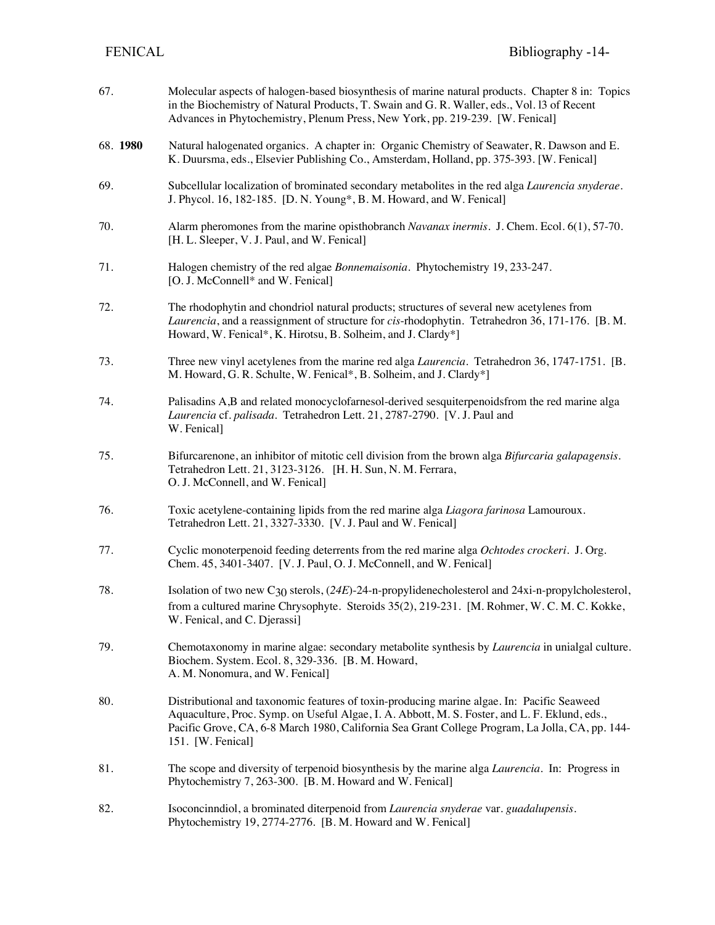| 67.     | Molecular aspects of halogen-based biosynthesis of marine natural products. Chapter 8 in: Topics<br>in the Biochemistry of Natural Products, T. Swain and G. R. Waller, eds., Vol. 13 of Recent<br>Advances in Phytochemistry, Plenum Press, New York, pp. 219-239. [W. Fenical]                                    |
|---------|---------------------------------------------------------------------------------------------------------------------------------------------------------------------------------------------------------------------------------------------------------------------------------------------------------------------|
| 68.1980 | Natural halogenated organics. A chapter in: Organic Chemistry of Seawater, R. Dawson and E.<br>K. Duursma, eds., Elsevier Publishing Co., Amsterdam, Holland, pp. 375-393. [W. Fenical]                                                                                                                             |
| 69.     | Subcellular localization of brominated secondary metabolites in the red alga Laurencia snyderae.<br>J. Phycol. 16, 182-185. [D. N. Young*, B. M. Howard, and W. Fenical]                                                                                                                                            |
| 70.     | Alarm pheromones from the marine opisthobranch Navanax inermis. J. Chem. Ecol. 6(1), 57-70.<br>[H. L. Sleeper, V. J. Paul, and W. Fenical]                                                                                                                                                                          |
| 71.     | Halogen chemistry of the red algae Bonnemaisonia. Phytochemistry 19, 233-247.<br>[O. J. McConnell* and W. Fenical]                                                                                                                                                                                                  |
| 72.     | The rhodophytin and chondriol natural products; structures of several new acetylenes from<br>Laurencia, and a reassignment of structure for cis-rhodophytin. Tetrahedron 36, 171-176. [B.M.<br>Howard, W. Fenical*, K. Hirotsu, B. Solheim, and J. Clardy*]                                                         |
| 73.     | Three new vinyl acetylenes from the marine red alga <i>Laurencia</i> . Tetrahedron 36, 1747-1751. [B.<br>M. Howard, G. R. Schulte, W. Fenical*, B. Solheim, and J. Clardy*]                                                                                                                                         |
| 74.     | Palisadins A,B and related monocyclofarnesol-derived sesquiterpenoids from the red marine alga<br>Laurencia cf. palisada. Tetrahedron Lett. 21, 2787-2790. [V. J. Paul and<br>W. Fenical]                                                                                                                           |
| 75.     | Bifurcarenone, an inhibitor of mitotic cell division from the brown alga Bifurcaria galapagensis.<br>Tetrahedron Lett. 21, 3123-3126. [H. H. Sun, N. M. Ferrara,<br>O. J. McConnell, and W. Fenical]                                                                                                                |
| 76.     | Toxic acetylene-containing lipids from the red marine alga Liagora farinosa Lamouroux.<br>Tetrahedron Lett. 21, 3327-3330. [V. J. Paul and W. Fenical]                                                                                                                                                              |
| 77.     | Cyclic monoterpenoid feeding deterrents from the red marine alga Ochtodes crockeri. J. Org.<br>Chem. 45, 3401-3407. [V. J. Paul, O. J. McConnell, and W. Fenical]                                                                                                                                                   |
| 78.     | Isolation of two new C30 sterols, (24E)-24-n-propylidenecholesterol and 24xi-n-propylcholesterol,<br>from a cultured marine Chrysophyte. Steroids 35(2), 219-231. [M. Rohmer, W. C. M. C. Kokke,<br>W. Fenical, and C. Djerassi]                                                                                    |
| 79.     | Chemotaxonomy in marine algae: secondary metabolite synthesis by <i>Laurencia</i> in unialgal culture.<br>Biochem. System. Ecol. 8, 329-336. [B. M. Howard,<br>A. M. Nonomura, and W. Fenical]                                                                                                                      |
| 80.     | Distributional and taxonomic features of toxin-producing marine algae. In: Pacific Seaweed<br>Aquaculture, Proc. Symp. on Useful Algae, I. A. Abbott, M. S. Foster, and L. F. Eklund, eds.,<br>Pacific Grove, CA, 6-8 March 1980, California Sea Grant College Program, La Jolla, CA, pp. 144-<br>151. [W. Fenical] |
| 81.     | The scope and diversity of terpenoid biosynthesis by the marine alga Laurencia. In: Progress in<br>Phytochemistry 7, 263-300. [B. M. Howard and W. Fenical]                                                                                                                                                         |
| 82.     | Isoconcinndiol, a brominated diterpenoid from Laurencia snyderae var. guadalupensis.<br>Phytochemistry 19, 2774-2776. [B. M. Howard and W. Fenical]                                                                                                                                                                 |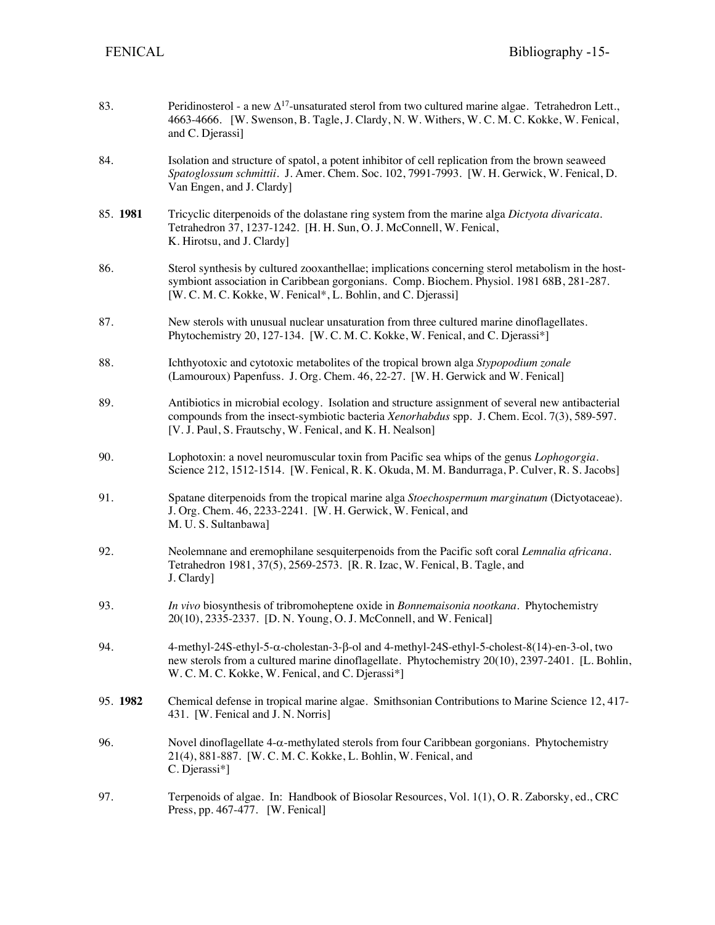| 83.     | Peridinosterol - a new $\Delta^{17}$ -unsaturated sterol from two cultured marine algae. Tetrahedron Lett.,<br>4663-4666. [W. Swenson, B. Tagle, J. Clardy, N. W. Withers, W. C. M. C. Kokke, W. Fenical,<br>and C. Djerassi]                                  |
|---------|----------------------------------------------------------------------------------------------------------------------------------------------------------------------------------------------------------------------------------------------------------------|
| 84.     | Isolation and structure of spatol, a potent inhibitor of cell replication from the brown seaweed<br>Spatoglossum schmittii. J. Amer. Chem. Soc. 102, 7991-7993. [W. H. Gerwick, W. Fenical, D.<br>Van Engen, and J. Clardy]                                    |
| 85.1981 | Tricyclic diterpenoids of the dolastane ring system from the marine alga Dictyota divaricata.<br>Tetrahedron 37, 1237-1242. [H. H. Sun, O. J. McConnell, W. Fenical,<br>K. Hirotsu, and J. Clardy]                                                             |
| 86.     | Sterol synthesis by cultured zooxanthellae; implications concerning sterol metabolism in the host-<br>symbiont association in Caribbean gorgonians. Comp. Biochem. Physiol. 1981 68B, 281-287.<br>[W. C. M. C. Kokke, W. Fenical*, L. Bohlin, and C. Djerassi] |
| 87.     | New sterols with unusual nuclear unsaturation from three cultured marine dinoflagellates.<br>Phytochemistry 20, 127-134. [W. C. M. C. Kokke, W. Fenical, and C. Djerassi*]                                                                                     |
| 88.     | Ichthyotoxic and cytotoxic metabolites of the tropical brown alga Stypopodium zonale<br>(Lamouroux) Papenfuss. J. Org. Chem. 46, 22-27. [W. H. Gerwick and W. Fenical]                                                                                         |
| 89.     | Antibiotics in microbial ecology. Isolation and structure assignment of several new antibacterial<br>compounds from the insect-symbiotic bacteria Xenorhabdus spp. J. Chem. Ecol. 7(3), 589-597.<br>[V. J. Paul, S. Frautschy, W. Fenical, and K. H. Nealson]  |
| 90.     | Lophotoxin: a novel neuromuscular toxin from Pacific sea whips of the genus Lophogorgia.<br>Science 212, 1512-1514. [W. Fenical, R. K. Okuda, M. M. Bandurraga, P. Culver, R. S. Jacobs]                                                                       |
| 91.     | Spatane diterpenoids from the tropical marine alga Stoechospermum marginatum (Dictyotaceae).<br>J. Org. Chem. 46, 2233-2241. [W. H. Gerwick, W. Fenical, and<br>M. U.S. Sultanbawa]                                                                            |
| 92.     | Neolemnane and eremophilane sesquiterpenoids from the Pacific soft coral Lemnalia africana.<br>Tetrahedron 1981, 37(5), 2569-2573. [R. R. Izac, W. Fenical, B. Tagle, and<br>J. Clardy]                                                                        |
| 93.     | In vivo biosynthesis of tribromoheptene oxide in Bonnemaisonia nootkana. Phytochemistry<br>20(10), 2335-2337. [D. N. Young, O. J. McConnell, and W. Fenical]                                                                                                   |
| 94.     | 4-methyl-24S-ethyl-5-α-cholestan-3-β-ol and 4-methyl-24S-ethyl-5-cholest-8(14)-en-3-ol, two<br>new sterols from a cultured marine dinoflagellate. Phytochemistry 20(10), 2397-2401. [L. Bohlin,<br>W. C. M. C. Kokke, W. Fenical, and C. Djerassi*]            |
| 95.1982 | Chemical defense in tropical marine algae. Smithsonian Contributions to Marine Science 12, 417-<br>431. [W. Fenical and J. N. Norris]                                                                                                                          |
| 96.     | Novel dinoflagellate $4-\alpha$ -methylated sterols from four Caribbean gorgonians. Phytochemistry<br>21(4), 881-887. [W. C. M. C. Kokke, L. Bohlin, W. Fenical, and<br>C. Djerassi*]                                                                          |
| 97.     | Terpenoids of algae. In: Handbook of Biosolar Resources, Vol. 1(1), O. R. Zaborsky, ed., CRC<br>Press, pp. 467-477. [W. Fenical]                                                                                                                               |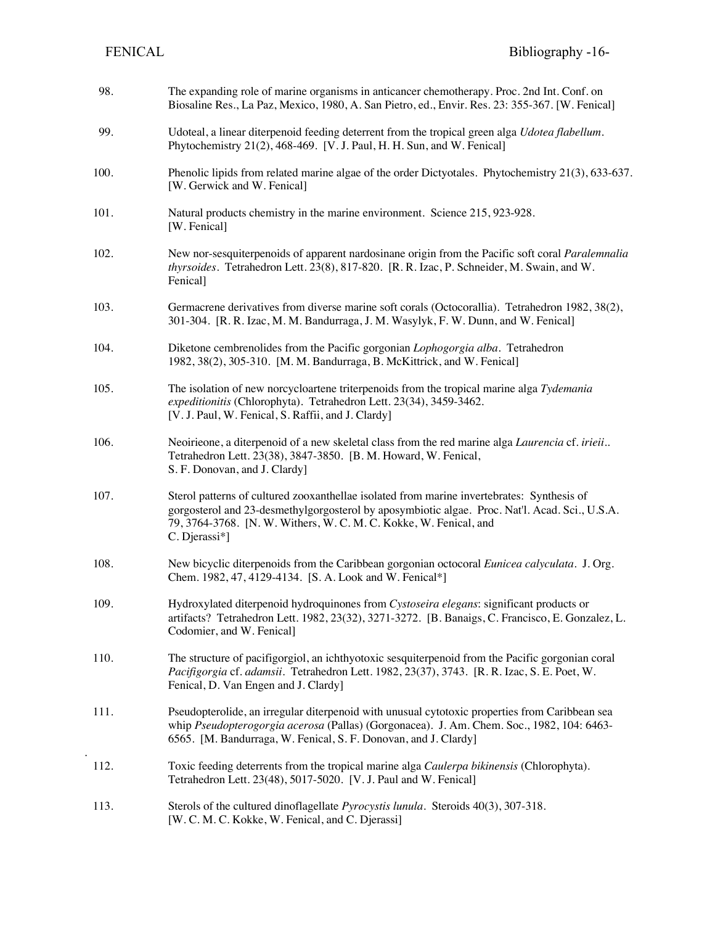| 98.  | The expanding role of marine organisms in anticancer chemotherapy. Proc. 2nd Int. Conf. on<br>Biosaline Res., La Paz, Mexico, 1980, A. San Pietro, ed., Envir. Res. 23: 355-367. [W. Fenical]                                                                                      |
|------|------------------------------------------------------------------------------------------------------------------------------------------------------------------------------------------------------------------------------------------------------------------------------------|
| 99.  | Udoteal, a linear diterpenoid feeding deterrent from the tropical green alga Udotea flabellum.<br>Phytochemistry 21(2), 468-469. [V. J. Paul, H. H. Sun, and W. Fenical]                                                                                                           |
| 100. | Phenolic lipids from related marine algae of the order Dictyotales. Phytochemistry 21(3), 633-637.<br>[W. Gerwick and W. Fenical]                                                                                                                                                  |
| 101. | Natural products chemistry in the marine environment. Science 215, 923-928.<br>[W. Fenical]                                                                                                                                                                                        |
| 102. | New nor-sesquiterpenoids of apparent nardosinane origin from the Pacific soft coral <i>Paralemnalia</i><br>thyrsoides. Tetrahedron Lett. 23(8), 817-820. [R. R. Izac, P. Schneider, M. Swain, and W.<br>Fenical]                                                                   |
| 103. | Germacrene derivatives from diverse marine soft corals (Octocorallia). Tetrahedron 1982, 38(2),<br>301-304. [R. R. Izac, M. M. Bandurraga, J. M. Wasylyk, F. W. Dunn, and W. Fenical]                                                                                              |
| 104. | Diketone cembrenolides from the Pacific gorgonian Lophogorgia alba. Tetrahedron<br>1982, 38(2), 305-310. [M. M. Bandurraga, B. McKittrick, and W. Fenical]                                                                                                                         |
| 105. | The isolation of new norcycloartene triterpenoids from the tropical marine alga Tydemania<br>expeditionitis (Chlorophyta). Tetrahedron Lett. 23(34), 3459-3462.<br>[V. J. Paul, W. Fenical, S. Raffii, and J. Clardy]                                                              |
| 106. | Neoirieone, a diterpenoid of a new skeletal class from the red marine alga Laurencia cf. irieii<br>Tetrahedron Lett. 23(38), 3847-3850. [B. M. Howard, W. Fenical,<br>S. F. Donovan, and J. Clardy]                                                                                |
| 107. | Sterol patterns of cultured zooxanthellae isolated from marine invertebrates: Synthesis of<br>gorgosterol and 23-desmethylgorgosterol by aposymbiotic algae. Proc. Nat'l. Acad. Sci., U.S.A.<br>79, 3764-3768. [N. W. Withers, W. C. M. C. Kokke, W. Fenical, and<br>C. Djerassi*] |
| 108. | New bicyclic diterpenoids from the Caribbean gorgonian octocoral Eunicea calyculata. J. Org.<br>Chem. 1982, 47, 4129-4134. [S. A. Look and W. Fenical*]                                                                                                                            |
| 109. | Hydroxylated diterpenoid hydroquinones from Cystoseira elegans: significant products or<br>artifacts? Tetrahedron Lett. 1982, 23(32), 3271-3272. [B. Banaigs, C. Francisco, E. Gonzalez, L.<br>Codomier, and W. Fenical]                                                           |
| 110. | The structure of pacifigorgiol, an ichthyotoxic sesquiterpenoid from the Pacific gorgonian coral<br>Pacifigorgia cf. adamsii. Tetrahedron Lett. 1982, 23(37), 3743. [R. R. Izac, S. E. Poet, W.<br>Fenical, D. Van Engen and J. Clardy]                                            |
| 111. | Pseudopterolide, an irregular diterpenoid with unusual cytotoxic properties from Caribbean sea<br>whip Pseudopterogorgia acerosa (Pallas) (Gorgonacea). J. Am. Chem. Soc., 1982, 104: 6463-<br>6565. [M. Bandurraga, W. Fenical, S. F. Donovan, and J. Clardy]                     |
| 112. | Toxic feeding deterrents from the tropical marine alga Caulerpa bikinensis (Chlorophyta).<br>Tetrahedron Lett. 23(48), 5017-5020. [V. J. Paul and W. Fenical]                                                                                                                      |
| 113. | Sterols of the cultured dinoflagellate <i>Pyrocystis lunula</i> . Steroids 40(3), 307-318.<br>[W. C. M. C. Kokke, W. Fenical, and C. Djerassi]                                                                                                                                     |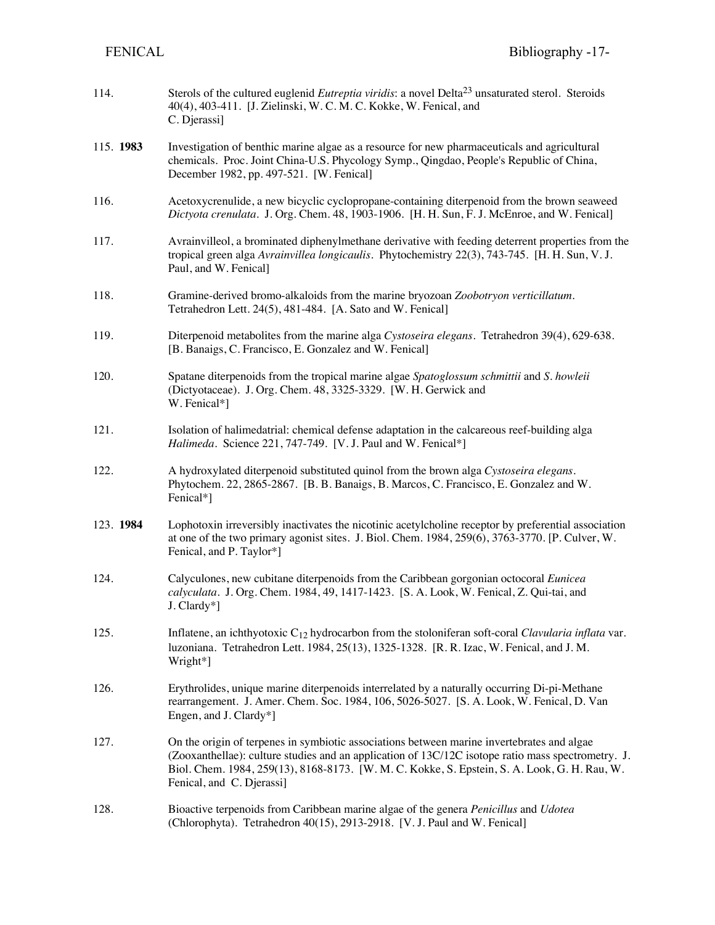| 114.      | Sterols of the cultured euglenid Eutreptia viridis: a novel Delta <sup>23</sup> unsaturated sterol. Steroids<br>40(4), 403-411. [J. Zielinski, W. C. M. C. Kokke, W. Fenical, and<br>C. Djerassi]                                                                                                                             |
|-----------|-------------------------------------------------------------------------------------------------------------------------------------------------------------------------------------------------------------------------------------------------------------------------------------------------------------------------------|
| 115. 1983 | Investigation of benthic marine algae as a resource for new pharmaceuticals and agricultural<br>chemicals. Proc. Joint China-U.S. Phycology Symp., Qingdao, People's Republic of China,<br>December 1982, pp. 497-521. [W. Fenical]                                                                                           |
| 116.      | Acetoxycrenulide, a new bicyclic cyclopropane-containing diterpenoid from the brown seaweed<br>Dictyota crenulata. J. Org. Chem. 48, 1903-1906. [H. H. Sun, F. J. McEnroe, and W. Fenical]                                                                                                                                    |
| 117.      | Avrainvilleol, a brominated diphenylmethane derivative with feeding deterrent properties from the<br>tropical green alga Avrainvillea longicaulis. Phytochemistry 22(3), 743-745. [H. H. Sun, V. J.<br>Paul, and W. Fenical]                                                                                                  |
| 118.      | Gramine-derived bromo-alkaloids from the marine bryozoan Zoobotryon verticillatum.<br>Tetrahedron Lett. 24(5), 481-484. [A. Sato and W. Fenical]                                                                                                                                                                              |
| 119.      | Diterpenoid metabolites from the marine alga Cystoseira elegans. Tetrahedron 39(4), 629-638.<br>[B. Banaigs, C. Francisco, E. Gonzalez and W. Fenical]                                                                                                                                                                        |
| 120.      | Spatane diterpenoids from the tropical marine algae Spatoglossum schmittii and S. howleii<br>(Dictyotaceae). J. Org. Chem. 48, 3325-3329. [W. H. Gerwick and<br>W. Fenical*]                                                                                                                                                  |
| 121.      | Isolation of halimedatrial: chemical defense adaptation in the calcareous reef-building alga<br>Halimeda. Science 221, 747-749. [V. J. Paul and W. Fenical*]                                                                                                                                                                  |
| 122.      | A hydroxylated diterpenoid substituted quinol from the brown alga Cystoseira elegans.<br>Phytochem. 22, 2865-2867. [B. B. Banaigs, B. Marcos, C. Francisco, E. Gonzalez and W.<br>Fenical*]                                                                                                                                   |
| 123. 1984 | Lophotoxin irreversibly inactivates the nicotinic acetylcholine receptor by preferential association<br>at one of the two primary agonist sites. J. Biol. Chem. 1984, 259(6), 3763-3770. [P. Culver, W.<br>Fenical, and P. Taylor*]                                                                                           |
| 124.      | Calyculones, new cubitane diterpenoids from the Caribbean gorgonian octocoral <i>Eunicea</i><br>calyculata. J. Org. Chem. 1984, 49, 1417-1423. [S. A. Look, W. Fenical, Z. Qui-tai, and<br>J. Clardy*]                                                                                                                        |
| 125.      | Inflatene, an ichthyotoxic $C_{12}$ hydrocarbon from the stoloniferan soft-coral Clavularia inflata var.<br>luzoniana. Tetrahedron Lett. 1984, 25(13), 1325-1328. [R. R. Izac, W. Fenical, and J. M.<br>Wright*]                                                                                                              |
| 126.      | Erythrolides, unique marine diterpenoids interrelated by a naturally occurring Di-pi-Methane<br>rearrangement. J. Amer. Chem. Soc. 1984, 106, 5026-5027. [S. A. Look, W. Fenical, D. Van<br>Engen, and J. Clardy*]                                                                                                            |
| 127.      | On the origin of terpenes in symbiotic associations between marine invertebrates and algae<br>(Zooxanthellae): culture studies and an application of 13C/12C isotope ratio mass spectrometry. J.<br>Biol. Chem. 1984, 259(13), 8168-8173. [W. M. C. Kokke, S. Epstein, S. A. Look, G. H. Rau, W.<br>Fenical, and C. Djerassi] |
| 128.      | Bioactive terpenoids from Caribbean marine algae of the genera <i>Penicillus</i> and <i>Udotea</i><br>(Chlorophyta). Tetrahedron 40(15), 2913-2918. [V. J. Paul and W. Fenical]                                                                                                                                               |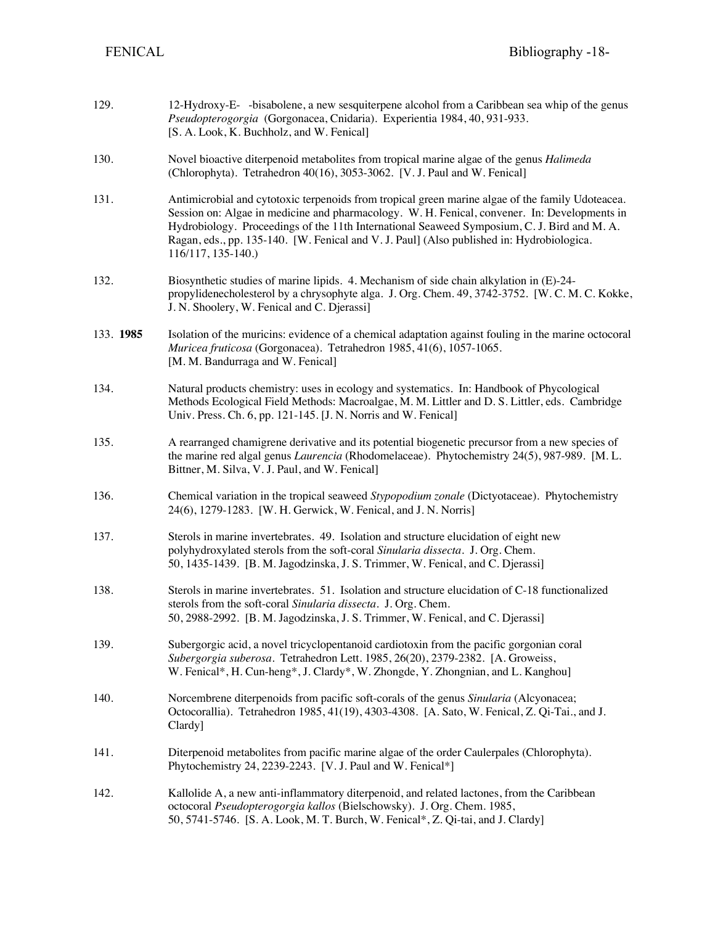| 129.      | 12-Hydroxy-E- -bisabolene, a new sesquiterpene alcohol from a Caribbean sea whip of the genus<br>Pseudopterogorgia (Gorgonacea, Cnidaria). Experientia 1984, 40, 931-933.<br>[S. A. Look, K. Buchholz, and W. Fenical]                                                                                                                                                                                             |
|-----------|--------------------------------------------------------------------------------------------------------------------------------------------------------------------------------------------------------------------------------------------------------------------------------------------------------------------------------------------------------------------------------------------------------------------|
| 130.      | Novel bioactive diterpenoid metabolites from tropical marine algae of the genus Halimeda<br>(Chlorophyta). Tetrahedron 40(16), 3053-3062. [V. J. Paul and W. Fenical]                                                                                                                                                                                                                                              |
| 131.      | Antimicrobial and cytotoxic terpenoids from tropical green marine algae of the family Udoteacea.<br>Session on: Algae in medicine and pharmacology. W. H. Fenical, convener. In: Developments in<br>Hydrobiology. Proceedings of the 11th International Seaweed Symposium, C. J. Bird and M. A.<br>Ragan, eds., pp. 135-140. [W. Fenical and V. J. Paul] (Also published in: Hydrobiologica.<br>116/117, 135-140.) |
| 132.      | Biosynthetic studies of marine lipids. 4. Mechanism of side chain alkylation in (E)-24-<br>propylidenecholesterol by a chrysophyte alga. J. Org. Chem. 49, 3742-3752. [W. C. M. C. Kokke,<br>J. N. Shoolery, W. Fenical and C. Djerassi]                                                                                                                                                                           |
| 133. 1985 | Isolation of the muricins: evidence of a chemical adaptation against fouling in the marine octocoral<br>Muricea fruticosa (Gorgonacea). Tetrahedron 1985, 41(6), 1057-1065.<br>[M. M. Bandurraga and W. Fenical]                                                                                                                                                                                                   |
| 134.      | Natural products chemistry: uses in ecology and systematics. In: Handbook of Phycological<br>Methods Ecological Field Methods: Macroalgae, M. M. Littler and D. S. Littler, eds. Cambridge<br>Univ. Press. Ch. 6, pp. 121-145. [J. N. Norris and W. Fenical]                                                                                                                                                       |
| 135.      | A rearranged chamigrene derivative and its potential biogenetic precursor from a new species of<br>the marine red algal genus <i>Laurencia</i> (Rhodomelaceae). Phytochemistry 24(5), 987-989. [M. L.<br>Bittner, M. Silva, V. J. Paul, and W. Fenical]                                                                                                                                                            |
| 136.      | Chemical variation in the tropical seaweed Stypopodium zonale (Dictyotaceae). Phytochemistry<br>24(6), 1279-1283. [W. H. Gerwick, W. Fenical, and J. N. Norris]                                                                                                                                                                                                                                                    |
| 137.      | Sterols in marine invertebrates. 49. Isolation and structure elucidation of eight new<br>polyhydroxylated sterols from the soft-coral Sinularia dissecta. J. Org. Chem.<br>50, 1435-1439. [B. M. Jagodzinska, J. S. Trimmer, W. Fenical, and C. Djerassi]                                                                                                                                                          |
| 138.      | Sterols in marine invertebrates. 51. Isolation and structure elucidation of C-18 functionalized<br>sterols from the soft-coral Sinularia dissecta. J. Org. Chem.<br>50, 2988-2992. [B. M. Jagodzinska, J. S. Trimmer, W. Fenical, and C. Djerassi]                                                                                                                                                                 |
| 139.      | Subergorgic acid, a novel tricyclopentanoid cardiotoxin from the pacific gorgonian coral<br>Subergorgia suberosa. Tetrahedron Lett. 1985, 26(20), 2379-2382. [A. Groweiss,<br>W. Fenical*, H. Cun-heng*, J. Clardy*, W. Zhongde, Y. Zhongnian, and L. Kanghou]                                                                                                                                                     |
| 140.      | Norcembrene diterpenoids from pacific soft-corals of the genus Sinularia (Alcyonacea;<br>Octocorallia). Tetrahedron 1985, 41(19), 4303-4308. [A. Sato, W. Fenical, Z. Qi-Tai., and J.<br>Clardy]                                                                                                                                                                                                                   |
| 141.      | Diterpenoid metabolites from pacific marine algae of the order Caulerpales (Chlorophyta).<br>Phytochemistry 24, 2239-2243. [V. J. Paul and W. Fenical*]                                                                                                                                                                                                                                                            |
| 142.      | Kallolide A, a new anti-inflammatory diterpenoid, and related lactones, from the Caribbean<br>octocoral Pseudopterogorgia kallos (Bielschowsky). J. Org. Chem. 1985,<br>50, 5741-5746. [S. A. Look, M. T. Burch, W. Fenical*, Z. Qi-tai, and J. Clardy]                                                                                                                                                            |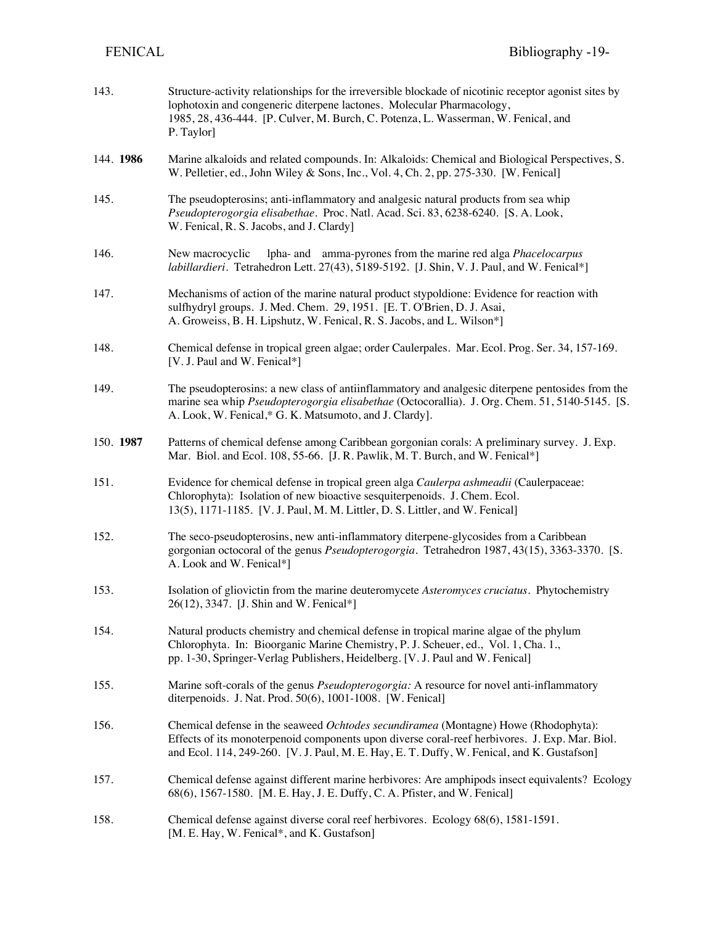| 143.      | Structure-activity relationships for the irreversible blockade of nicotinic receptor agonist sites by<br>lophotoxin and congeneric diterpene lactones. Molecular Pharmacology,<br>1985, 28, 436-444. [P. Culver, M. Burch, C. Potenza, L. Wasserman, W. Fenical, and<br>P. Taylor]  |
|-----------|-------------------------------------------------------------------------------------------------------------------------------------------------------------------------------------------------------------------------------------------------------------------------------------|
| 144. 1986 | Marine alkaloids and related compounds. In: Alkaloids: Chemical and Biological Perspectives, S.<br>W. Pelletier, ed., John Wiley & Sons, Inc., Vol. 4, Ch. 2, pp. 275-330. [W. Fenical]                                                                                             |
| 145.      | The pseudopterosins; anti-inflammatory and analgesic natural products from sea whip<br>Pseudopterogorgia elisabethae. Proc. Natl. Acad. Sci. 83, 6238-6240. [S. A. Look,<br>W. Fenical, R. S. Jacobs, and J. Clardy]                                                                |
| 146.      | lpha- and amma-pyrones from the marine red alga Phacelocarpus<br>New macrocyclic<br><i>labillardieri.</i> Tetrahedron Lett. 27(43), 5189-5192. [J. Shin, V. J. Paul, and W. Fenical*]                                                                                               |
| 147.      | Mechanisms of action of the marine natural product stypoldione: Evidence for reaction with<br>sulfhydryl groups. J. Med. Chem. 29, 1951. [E. T. O'Brien, D. J. Asai,<br>A. Groweiss, B. H. Lipshutz, W. Fenical, R. S. Jacobs, and L. Wilson*]                                      |
| 148.      | Chemical defense in tropical green algae; order Caulerpales. Mar. Ecol. Prog. Ser. 34, 157-169.<br>[V. J. Paul and W. Fenical*]                                                                                                                                                     |
| 149.      | The pseudopterosins: a new class of antiinflammatory and analgesic diterpene pentosides from the<br>marine sea whip Pseudopterogorgia elisabethae (Octocorallia). J. Org. Chem. 51, 5140-5145. [S.<br>A. Look, W. Fenical,* G. K. Matsumoto, and J. Clardy].                        |
| 150. 1987 | Patterns of chemical defense among Caribbean gorgonian corals: A preliminary survey. J. Exp.<br>Mar. Biol. and Ecol. 108, 55-66. [J. R. Pawlik, M. T. Burch, and W. Fenical*]                                                                                                       |
| 151.      | Evidence for chemical defense in tropical green alga Caulerpa ashmeadii (Caulerpaceae:<br>Chlorophyta): Isolation of new bioactive sesquiterpenoids. J. Chem. Ecol.<br>13(5), 1171-1185. [V. J. Paul, M. M. Littler, D. S. Littler, and W. Fenical]                                 |
| 152.      | The seco-pseudopterosins, new anti-inflammatory diterpene-glycosides from a Caribbean<br>gorgonian octocoral of the genus <i>Pseudopterogorgia</i> . Tetrahedron 1987, 43(15), 3363-3370. [S.<br>A. Look and W. Fenical*]                                                           |
| 153.      | Isolation of gliovictin from the marine deuteromycete Asteromyces cruciatus. Phytochemistry<br>26(12), 3347. [J. Shin and W. Fenical*]                                                                                                                                              |
| 154.      | Natural products chemistry and chemical defense in tropical marine algae of the phylum<br>Chlorophyta. In: Bioorganic Marine Chemistry, P. J. Scheuer, ed., Vol. 1, Cha. 1.,<br>pp. 1-30, Springer-Verlag Publishers, Heidelberg. [V. J. Paul and W. Fenical]                       |
| 155.      | Marine soft-corals of the genus <i>Pseudopterogorgia</i> : A resource for novel anti-inflammatory<br>diterpenoids. J. Nat. Prod. 50(6), 1001-1008. [W. Fenical]                                                                                                                     |
| 156.      | Chemical defense in the seaweed Ochtodes secundiramea (Montagne) Howe (Rhodophyta):<br>Effects of its monoterpenoid components upon diverse coral-reef herbivores. J. Exp. Mar. Biol.<br>and Ecol. 114, 249-260. [V. J. Paul, M. E. Hay, E. T. Duffy, W. Fenical, and K. Gustafson] |
| 157.      | Chemical defense against different marine herbivores: Are amphipods insect equivalents? Ecology<br>68(6), 1567-1580. [M. E. Hay, J. E. Duffy, C. A. Pfister, and W. Fenical]                                                                                                        |
| 158.      | Chemical defense against diverse coral reef herbivores. Ecology 68(6), 1581-1591.<br>[M. E. Hay, W. Fenical*, and K. Gustafson]                                                                                                                                                     |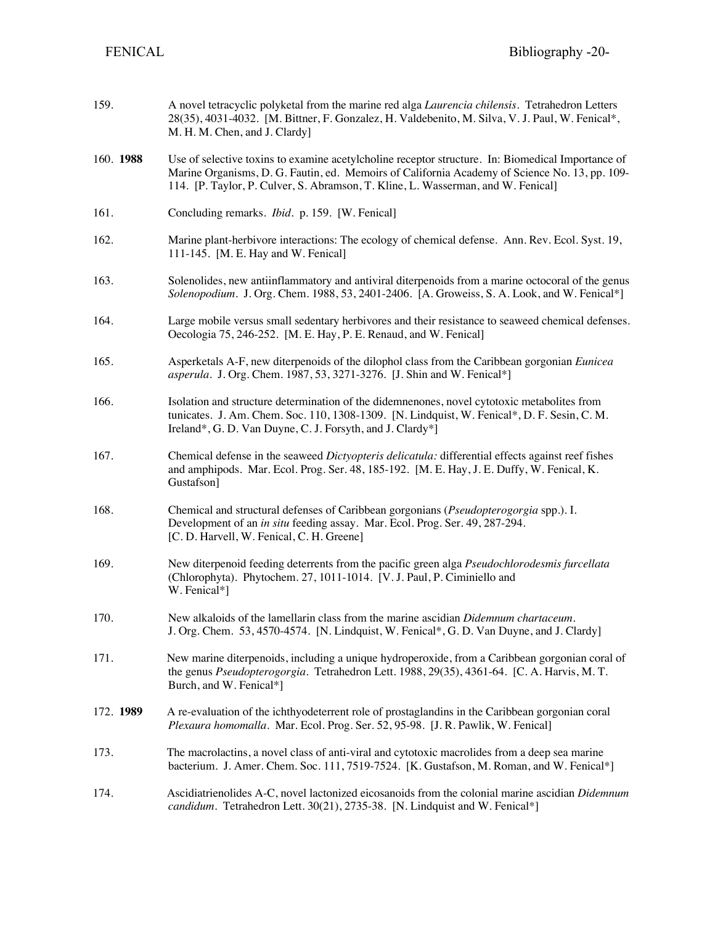| 159.      | A novel tetracyclic polyketal from the marine red alga Laurencia chilensis. Tetrahedron Letters<br>28(35), 4031-4032. [M. Bittner, F. Gonzalez, H. Valdebenito, M. Silva, V. J. Paul, W. Fenical*,<br>M. H. M. Chen, and J. Clardy]                                                    |
|-----------|----------------------------------------------------------------------------------------------------------------------------------------------------------------------------------------------------------------------------------------------------------------------------------------|
| 160. 1988 | Use of selective toxins to examine acetylcholine receptor structure. In: Biomedical Importance of<br>Marine Organisms, D. G. Fautin, ed. Memoirs of California Academy of Science No. 13, pp. 109-<br>114. [P. Taylor, P. Culver, S. Abramson, T. Kline, L. Wasserman, and W. Fenical] |
| 161.      | Concluding remarks. <i>Ibid.</i> p. 159. [W. Fenical]                                                                                                                                                                                                                                  |
| 162.      | Marine plant-herbivore interactions: The ecology of chemical defense. Ann. Rev. Ecol. Syst. 19,<br>111-145. [M. E. Hay and W. Fenical]                                                                                                                                                 |
| 163.      | Solenolides, new antiinflammatory and antiviral diterpenoids from a marine octocoral of the genus<br>Solenopodium. J. Org. Chem. 1988, 53, 2401-2406. [A. Groweiss, S. A. Look, and W. Fenical*]                                                                                       |
| 164.      | Large mobile versus small sedentary herbivores and their resistance to seaweed chemical defenses.<br>Oecologia 75, 246-252. [M. E. Hay, P. E. Renaud, and W. Fenical]                                                                                                                  |
| 165.      | Asperketals A-F, new diterpenoids of the dilophol class from the Caribbean gorgonian <i>Eunicea</i><br>asperula. J. Org. Chem. 1987, 53, 3271-3276. [J. Shin and W. Fenical*]                                                                                                          |
| 166.      | Isolation and structure determination of the didemnenones, novel cytotoxic metabolites from<br>tunicates. J. Am. Chem. Soc. 110, 1308-1309. [N. Lindquist, W. Fenical*, D. F. Sesin, C. M.<br>Ireland*, G. D. Van Duyne, C. J. Forsyth, and J. Clardy*]                                |
| 167.      | Chemical defense in the seaweed <i>Dictyopteris delicatula</i> : differential effects against reef fishes<br>and amphipods. Mar. Ecol. Prog. Ser. 48, 185-192. [M. E. Hay, J. E. Duffy, W. Fenical, K.<br>Gustafson]                                                                   |
| 168.      | Chemical and structural defenses of Caribbean gorgonians (Pseudopterogorgia spp.). I.<br>Development of an in situ feeding assay. Mar. Ecol. Prog. Ser. 49, 287-294.<br>[C.D. Harvell, W. Fenical, C.H. Greene]                                                                        |
| 169.      | New diterpenoid feeding deterrents from the pacific green alga <i>Pseudochlorodesmis furcellata</i><br>(Chlorophyta). Phytochem. 27, 1011-1014. [V.J. Paul, P. Ciminiello and<br>W. Fenical*]                                                                                          |
| 170.      | New alkaloids of the lamellarin class from the marine ascidian <i>Didemnum chartaceum</i> .<br>J. Org. Chem. 53, 4570-4574. [N. Lindquist, W. Fenical*, G. D. Van Duyne, and J. Clardy]                                                                                                |
| 171.      | New marine diterpenoids, including a unique hydroperoxide, from a Caribbean gorgonian coral of<br>the genus Pseudopterogorgia. Tetrahedron Lett. 1988, 29(35), 4361-64. [C. A. Harvis, M. T.<br>Burch, and W. Fenical*]                                                                |
| 172. 1989 | A re-evaluation of the ichthyodeterrent role of prostaglandins in the Caribbean gorgonian coral<br>Plexaura homomalla. Mar. Ecol. Prog. Ser. 52, 95-98. [J. R. Pawlik, W. Fenical]                                                                                                     |
| 173.      | The macrolactins, a novel class of anti-viral and cytotoxic macrolides from a deep sea marine<br>bacterium. J. Amer. Chem. Soc. 111, 7519-7524. [K. Gustafson, M. Roman, and W. Fenical*]                                                                                              |
| 174.      | Ascidiatrienolides A-C, novel lactonized eicosanoids from the colonial marine ascidian Didemnum<br>candidum. Tetrahedron Lett. 30(21), 2735-38. [N. Lindquist and W. Fenical*]                                                                                                         |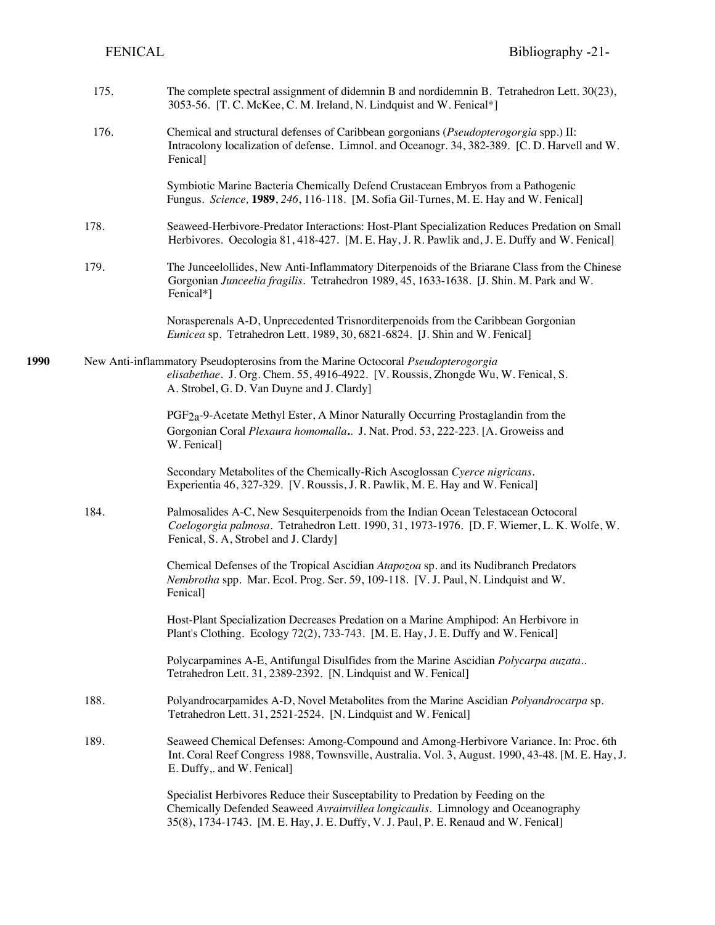|      | 175. | The complete spectral assignment of didemnin B and nordidemnin B. Tetrahedron Lett. 30(23),<br>3053-56. [T. C. McKee, C. M. Ireland, N. Lindquist and W. Fenical*]                                                                                          |
|------|------|-------------------------------------------------------------------------------------------------------------------------------------------------------------------------------------------------------------------------------------------------------------|
|      | 176. | Chemical and structural defenses of Caribbean gorgonians (Pseudopterogorgia spp.) II:<br>Intracolony localization of defense. Limnol. and Oceanogr. 34, 382-389. [C.D. Harvell and W.<br>Fenical]                                                           |
|      |      | Symbiotic Marine Bacteria Chemically Defend Crustacean Embryos from a Pathogenic<br>Fungus. Science, 1989, 246, 116-118. [M. Sofia Gil-Turnes, M. E. Hay and W. Fenical]                                                                                    |
|      | 178. | Seaweed-Herbivore-Predator Interactions: Host-Plant Specialization Reduces Predation on Small<br>Herbivores. Oecologia 81, 418-427. [M. E. Hay, J. R. Pawlik and, J. E. Duffy and W. Fenical]                                                               |
|      | 179. | The Junceelollides, New Anti-Inflammatory Diterpenoids of the Briarane Class from the Chinese<br>Gorgonian Junceelia fragilis. Tetrahedron 1989, 45, 1633-1638. [J. Shin. M. Park and W.<br>Fenical*]                                                       |
|      |      | Norasperenals A-D, Unprecedented Trisnorditerpenoids from the Caribbean Gorgonian<br>Eunicea sp. Tetrahedron Lett. 1989, 30, 6821-6824. [J. Shin and W. Fenical]                                                                                            |
| 1990 |      | New Anti-inflammatory Pseudopterosins from the Marine Octocoral Pseudopterogorgia<br>elisabethae. J. Org. Chem. 55, 4916-4922. [V. Roussis, Zhongde Wu, W. Fenical, S.<br>A. Strobel, G. D. Van Duyne and J. Clardy]                                        |
|      |      | PGF <sub>2a</sub> -9-Acetate Methyl Ester, A Minor Naturally Occurring Prostaglandin from the<br>Gorgonian Coral Plexaura homomalla J. Nat. Prod. 53, 222-223. [A. Groweiss and<br>W. Fenical]                                                              |
|      |      | Secondary Metabolites of the Chemically-Rich Ascoglossan Cyerce nigricans.<br>Experientia 46, 327-329. [V. Roussis, J. R. Pawlik, M. E. Hay and W. Fenical]                                                                                                 |
|      | 184. | Palmosalides A-C, New Sesquiterpenoids from the Indian Ocean Telestacean Octocoral<br>Coelogorgia palmosa. Tetrahedron Lett. 1990, 31, 1973-1976. [D. F. Wiemer, L. K. Wolfe, W.<br>Fenical, S. A, Strobel and J. Clardy]                                   |
|      |      | Chemical Defenses of the Tropical Ascidian Atapozoa sp. and its Nudibranch Predators<br>Nembrotha spp. Mar. Ecol. Prog. Ser. 59, 109-118. [V. J. Paul, N. Lindquist and W.<br>Fenical]                                                                      |
|      |      | Host-Plant Specialization Decreases Predation on a Marine Amphipod: An Herbivore in<br>Plant's Clothing. Ecology 72(2), 733-743. [M. E. Hay, J. E. Duffy and W. Fenical]                                                                                    |
|      |      | Polycarpamines A-E, Antifungal Disulfides from the Marine Ascidian Polycarpa auzata<br>Tetrahedron Lett. 31, 2389-2392. [N. Lindquist and W. Fenical]                                                                                                       |
|      | 188. | Polyandrocarpamides A-D, Novel Metabolites from the Marine Ascidian Polyandrocarpa sp.<br>Tetrahedron Lett. 31, 2521-2524. [N. Lindquist and W. Fenical]                                                                                                    |
|      | 189. | Seaweed Chemical Defenses: Among-Compound and Among-Herbivore Variance. In: Proc. 6th<br>Int. Coral Reef Congress 1988, Townsville, Australia. Vol. 3, August. 1990, 43-48. [M. E. Hay, J.<br>E. Duffy,. and W. Fenical]                                    |
|      |      | Specialist Herbivores Reduce their Susceptability to Predation by Feeding on the<br>Chemically Defended Seaweed Avrainvillea longicaulis. Limnology and Oceanography<br>35(8), 1734-1743. [M. E. Hay, J. E. Duffy, V. J. Paul, P. E. Renaud and W. Fenical] |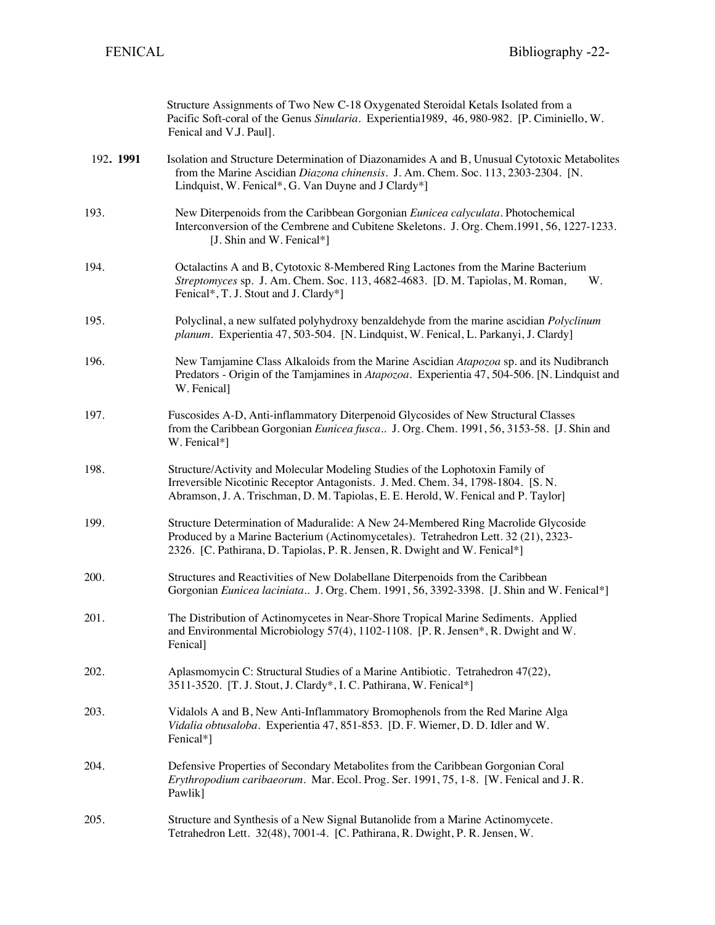|           | Structure Assignments of Two New C-18 Oxygenated Steroidal Ketals Isolated from a<br>Pacific Soft-coral of the Genus Sinularia. Experientia1989, 46, 980-982. [P. Ciminiello, W.<br>Fenical and V.J. Paul].                                             |
|-----------|---------------------------------------------------------------------------------------------------------------------------------------------------------------------------------------------------------------------------------------------------------|
| 192. 1991 | Isolation and Structure Determination of Diazonamides A and B, Unusual Cytotoxic Metabolites<br>from the Marine Ascidian Diazona chinensis. J. Am. Chem. Soc. 113, 2303-2304. [N.<br>Lindquist, W. Fenical*, G. Van Duyne and J Clardy*]                |
| 193.      | New Diterpenoids from the Caribbean Gorgonian Eunicea calyculata. Photochemical<br>Interconversion of the Cembrene and Cubitene Skeletons. J. Org. Chem.1991, 56, 1227-1233.<br>[J. Shin and W. Fenical*]                                               |
| 194.      | Octalactins A and B, Cytotoxic 8-Membered Ring Lactones from the Marine Bacterium<br>Streptomyces sp. J. Am. Chem. Soc. 113, 4682-4683. [D. M. Tapiolas, M. Roman,<br>W.<br>Fenical*, T. J. Stout and J. Clardy*]                                       |
| 195.      | Polyclinal, a new sulfated polyhydroxy benzaldehyde from the marine ascidian <i>Polyclinum</i><br>planum. Experientia 47, 503-504. [N. Lindquist, W. Fenical, L. Parkanyi, J. Clardy]                                                                   |
| 196.      | New Tamjamine Class Alkaloids from the Marine Ascidian Atapozoa sp. and its Nudibranch<br>Predators - Origin of the Tamjamines in Atapozoa. Experientia 47, 504-506. [N. Lindquist and<br>W. Fenical]                                                   |
| 197.      | Fuscosides A-D, Anti-inflammatory Diterpenoid Glycosides of New Structural Classes<br>from the Caribbean Gorgonian <i>Eunicea fusca.</i> . J. Org. Chem. 1991, 56, 3153-58. [J. Shin and<br>W. Fenical*]                                                |
| 198.      | Structure/Activity and Molecular Modeling Studies of the Lophotoxin Family of<br>Irreversible Nicotinic Receptor Antagonists. J. Med. Chem. 34, 1798-1804. [S. N.<br>Abramson, J. A. Trischman, D. M. Tapiolas, E. E. Herold, W. Fenical and P. Taylor] |
| 199.      | Structure Determination of Maduralide: A New 24-Membered Ring Macrolide Glycoside<br>Produced by a Marine Bacterium (Actinomycetales). Tetrahedron Lett. 32 (21), 2323-<br>2326. [C. Pathirana, D. Tapiolas, P. R. Jensen, R. Dwight and W. Fenical*]   |
| 200.      | Structures and Reactivities of New Dolabellane Diterpenoids from the Caribbean<br>Gorgonian Eunicea laciniata J. Org. Chem. 1991, 56, 3392-3398. [J. Shin and W. Fenical*]                                                                              |
| 201.      | The Distribution of Actinomycetes in Near-Shore Tropical Marine Sediments. Applied<br>and Environmental Microbiology 57(4), 1102-1108. [P. R. Jensen*, R. Dwight and W.<br>Fenical]                                                                     |
| 202.      | Aplasmomycin C: Structural Studies of a Marine Antibiotic. Tetrahedron 47(22),<br>3511-3520. [T. J. Stout, J. Clardy*, I. C. Pathirana, W. Fenical*]                                                                                                    |
| 203.      | Vidalols A and B, New Anti-Inflammatory Bromophenols from the Red Marine Alga<br>Vidalia obtusaloba. Experientia 47, 851-853. [D. F. Wiemer, D. D. Idler and W.<br>Fenical*]                                                                            |
| 204.      | Defensive Properties of Secondary Metabolites from the Caribbean Gorgonian Coral<br>Erythropodium caribaeorum. Mar. Ecol. Prog. Ser. 1991, 75, 1-8. [W. Fenical and J. R.<br>Pawlik]                                                                    |
| 205.      | Structure and Synthesis of a New Signal Butanolide from a Marine Actinomycete.<br>Tetrahedron Lett. 32(48), 7001-4. [C. Pathirana, R. Dwight, P. R. Jensen, W.                                                                                          |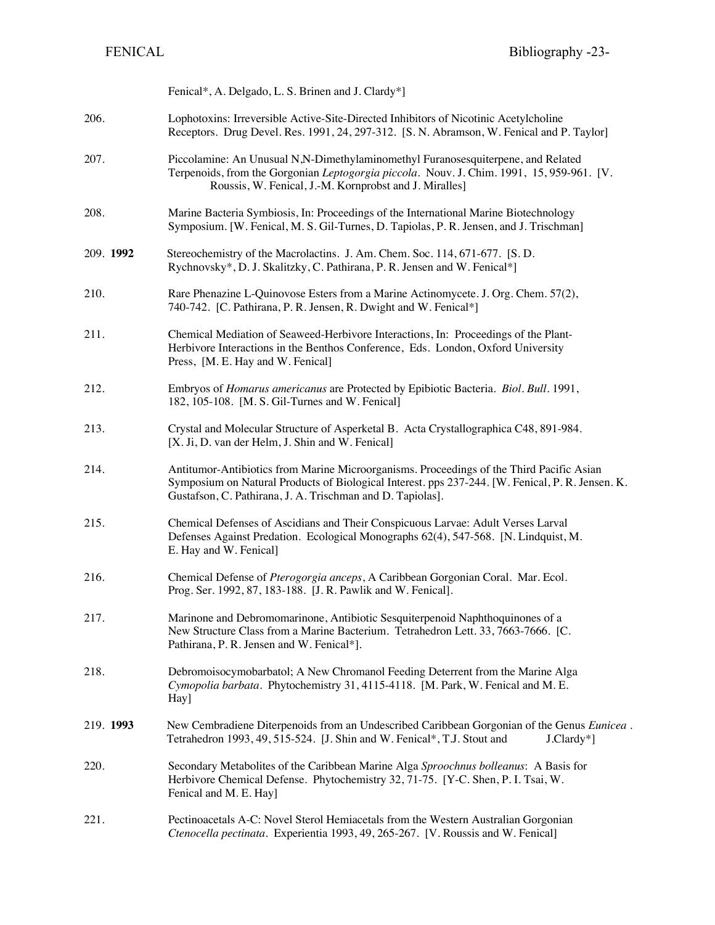|           | Fenical*, A. Delgado, L. S. Brinen and J. Clardy*]                                                                                                                                                                                                         |
|-----------|------------------------------------------------------------------------------------------------------------------------------------------------------------------------------------------------------------------------------------------------------------|
| 206.      | Lophotoxins: Irreversible Active-Site-Directed Inhibitors of Nicotinic Acetylcholine<br>Receptors. Drug Devel. Res. 1991, 24, 297-312. [S. N. Abramson, W. Fenical and P. Taylor]                                                                          |
| 207.      | Piccolamine: An Unusual N,N-Dimethylaminomethyl Furanosesquiterpene, and Related<br>Terpenoids, from the Gorgonian Leptogorgia piccola. Nouv. J. Chim. 1991, 15, 959-961. [V.<br>Roussis, W. Fenical, J.-M. Kornprobst and J. Miralles]                    |
| 208.      | Marine Bacteria Symbiosis, In: Proceedings of the International Marine Biotechnology<br>Symposium. [W. Fenical, M. S. Gil-Turnes, D. Tapiolas, P. R. Jensen, and J. Trischman]                                                                             |
| 209. 1992 | Stereochemistry of the Macrolactins. J. Am. Chem. Soc. 114, 671-677. [S. D.<br>Rychnovsky*, D. J. Skalitzky, C. Pathirana, P. R. Jensen and W. Fenical*]                                                                                                   |
| 210.      | Rare Phenazine L-Quinovose Esters from a Marine Actinomycete. J. Org. Chem. 57(2),<br>740-742. [C. Pathirana, P. R. Jensen, R. Dwight and W. Fenical*]                                                                                                     |
| 211.      | Chemical Mediation of Seaweed-Herbivore Interactions, In: Proceedings of the Plant-<br>Herbivore Interactions in the Benthos Conference, Eds. London, Oxford University<br>Press, [M. E. Hay and W. Fenical]                                               |
| 212.      | Embryos of <i>Homarus americanus</i> are Protected by Epibiotic Bacteria. Biol. Bull. 1991,<br>182, 105-108. [M. S. Gil-Turnes and W. Fenical]                                                                                                             |
| 213.      | Crystal and Molecular Structure of Asperketal B. Acta Crystallographica C48, 891-984.<br>[X. Ji, D. van der Helm, J. Shin and W. Fenical]                                                                                                                  |
| 214.      | Antitumor-Antibiotics from Marine Microorganisms. Proceedings of the Third Pacific Asian<br>Symposium on Natural Products of Biological Interest. pps 237-244. [W. Fenical, P. R. Jensen. K.<br>Gustafson, C. Pathirana, J. A. Trischman and D. Tapiolas]. |
| 215.      | Chemical Defenses of Ascidians and Their Conspicuous Larvae: Adult Verses Larval<br>Defenses Against Predation. Ecological Monographs 62(4), 547-568. [N. Lindquist, M.<br>E. Hay and W. Fenical]                                                          |
| 216.      | Chemical Defense of Pterogorgia anceps, A Caribbean Gorgonian Coral. Mar. Ecol.<br>Prog. Ser. 1992, 87, 183-188. [J. R. Pawlik and W. Fenical].                                                                                                            |
| 217.      | Marinone and Debromomarinone, Antibiotic Sesquiterpenoid Naphthoquinones of a<br>New Structure Class from a Marine Bacterium. Tetrahedron Lett. 33, 7663-7666. [C.<br>Pathirana, P. R. Jensen and W. Fenical*].                                            |
| 218.      | Debromoisocymobarbatol; A New Chromanol Feeding Deterrent from the Marine Alga<br>Cymopolia barbata. Phytochemistry 31, 4115-4118. [M. Park, W. Fenical and M. E.<br>Hay]                                                                                  |
| 219. 1993 | New Cembradiene Diterpenoids from an Undescribed Caribbean Gorgonian of the Genus Eunicea.<br>Tetrahedron 1993, 49, 515-524. [J. Shin and W. Fenical*, T.J. Stout and<br>$J$ .Clardy <sup>*</sup> ]                                                        |
| 220.      | Secondary Metabolites of the Caribbean Marine Alga Sproochnus bolleanus: A Basis for<br>Herbivore Chemical Defense. Phytochemistry 32, 71-75. [Y-C. Shen, P. I. Tsai, W.<br>Fenical and M. E. Hay]                                                         |
| 221.      | Pectinoacetals A-C: Novel Sterol Hemiacetals from the Western Australian Gorgonian<br>Ctenocella pectinata. Experientia 1993, 49, 265-267. [V. Roussis and W. Fenical]                                                                                     |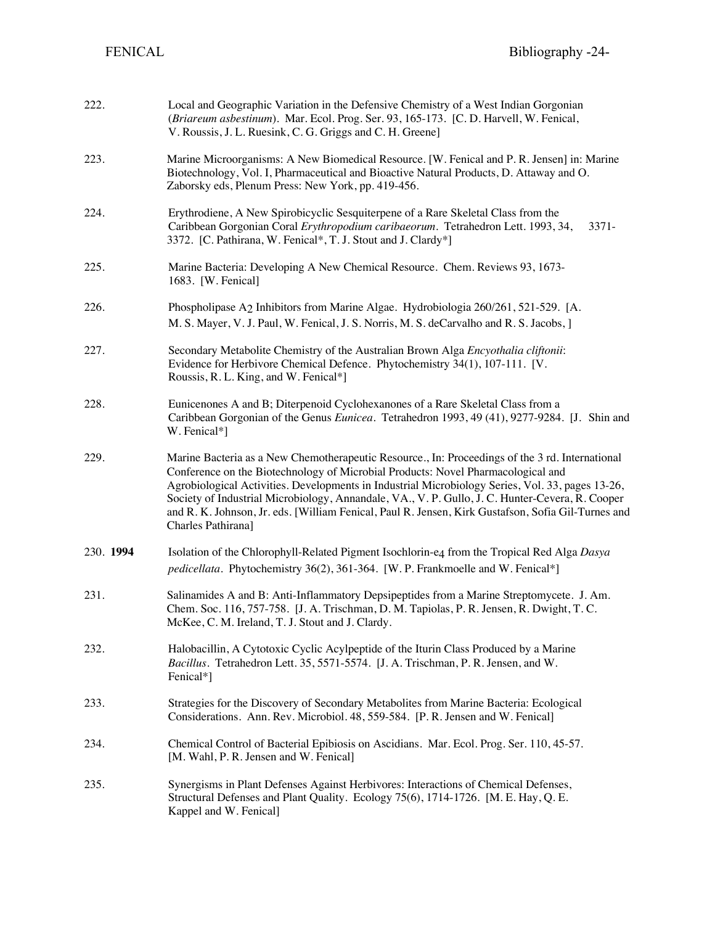| 222.      | Local and Geographic Variation in the Defensive Chemistry of a West Indian Gorgonian<br>(Briareum asbestinum). Mar. Ecol. Prog. Ser. 93, 165-173. [C. D. Harvell, W. Fenical,<br>V. Roussis, J. L. Ruesink, C. G. Griggs and C. H. Greene]                                                                                                                                                                                                                                                                             |
|-----------|------------------------------------------------------------------------------------------------------------------------------------------------------------------------------------------------------------------------------------------------------------------------------------------------------------------------------------------------------------------------------------------------------------------------------------------------------------------------------------------------------------------------|
| 223.      | Marine Microorganisms: A New Biomedical Resource. [W. Fenical and P. R. Jensen] in: Marine<br>Biotechnology, Vol. I, Pharmaceutical and Bioactive Natural Products, D. Attaway and O.<br>Zaborsky eds, Plenum Press: New York, pp. 419-456.                                                                                                                                                                                                                                                                            |
| 224.      | Erythrodiene, A New Spirobicyclic Sesquiterpene of a Rare Skeletal Class from the<br>Caribbean Gorgonian Coral Erythropodium caribaeorum. Tetrahedron Lett. 1993, 34,<br>$3371-$<br>3372. [C. Pathirana, W. Fenical*, T. J. Stout and J. Clardy*]                                                                                                                                                                                                                                                                      |
| 225.      | Marine Bacteria: Developing A New Chemical Resource. Chem. Reviews 93, 1673-<br>1683. [W. Fenical]                                                                                                                                                                                                                                                                                                                                                                                                                     |
| 226.      | Phospholipase A2 Inhibitors from Marine Algae. Hydrobiologia 260/261, 521-529. [A.<br>M. S. Mayer, V. J. Paul, W. Fenical, J. S. Norris, M. S. deCarvalho and R. S. Jacobs, ]                                                                                                                                                                                                                                                                                                                                          |
| 227.      | Secondary Metabolite Chemistry of the Australian Brown Alga Encyothalia cliftonii:<br>Evidence for Herbivore Chemical Defence. Phytochemistry 34(1), 107-111. [V.<br>Roussis, R. L. King, and W. Fenical*]                                                                                                                                                                                                                                                                                                             |
| 228.      | Eunicenones A and B; Diterpenoid Cyclohexanones of a Rare Skeletal Class from a<br>Caribbean Gorgonian of the Genus <i>Eunicea</i> . Tetrahedron 1993, 49 (41), 9277-9284. [J. Shin and<br>W. Fenical*]                                                                                                                                                                                                                                                                                                                |
| 229.      | Marine Bacteria as a New Chemotherapeutic Resource., In: Proceedings of the 3 rd. International<br>Conference on the Biotechnology of Microbial Products: Novel Pharmacological and<br>Agrobiological Activities. Developments in Industrial Microbiology Series, Vol. 33, pages 13-26,<br>Society of Industrial Microbiology, Annandale, VA., V. P. Gullo, J. C. Hunter-Cevera, R. Cooper<br>and R. K. Johnson, Jr. eds. [William Fenical, Paul R. Jensen, Kirk Gustafson, Sofia Gil-Turnes and<br>Charles Pathirana] |
| 230. 1994 | Isolation of the Chlorophyll-Related Pigment Isochlorin-e4 from the Tropical Red Alga Dasya<br>pedicellata. Phytochemistry 36(2), 361-364. [W. P. Frankmoelle and W. Fenical*]                                                                                                                                                                                                                                                                                                                                         |
| 231.      | Salinamides A and B: Anti-Inflammatory Depsipeptides from a Marine Streptomycete. J. Am.<br>Chem. Soc. 116, 757-758. [J. A. Trischman, D. M. Tapiolas, P. R. Jensen, R. Dwight, T. C.<br>McKee, C. M. Ireland, T. J. Stout and J. Clardy.                                                                                                                                                                                                                                                                              |
| 232.      | Halobacillin, A Cytotoxic Cyclic Acylpeptide of the Iturin Class Produced by a Marine<br>Bacillus. Tetrahedron Lett. 35, 5571-5574. [J. A. Trischman, P. R. Jensen, and W.<br>Fenical*]                                                                                                                                                                                                                                                                                                                                |
| 233.      | Strategies for the Discovery of Secondary Metabolites from Marine Bacteria: Ecological<br>Considerations. Ann. Rev. Microbiol. 48, 559-584. [P. R. Jensen and W. Fenical]                                                                                                                                                                                                                                                                                                                                              |
| 234.      | Chemical Control of Bacterial Epibiosis on Ascidians. Mar. Ecol. Prog. Ser. 110, 45-57.<br>[M. Wahl, P. R. Jensen and W. Fenical]                                                                                                                                                                                                                                                                                                                                                                                      |
| 235.      | Synergisms in Plant Defenses Against Herbivores: Interactions of Chemical Defenses,<br>Structural Defenses and Plant Quality. Ecology 75(6), 1714-1726. [M. E. Hay, Q. E.<br>Kappel and W. Fenical]                                                                                                                                                                                                                                                                                                                    |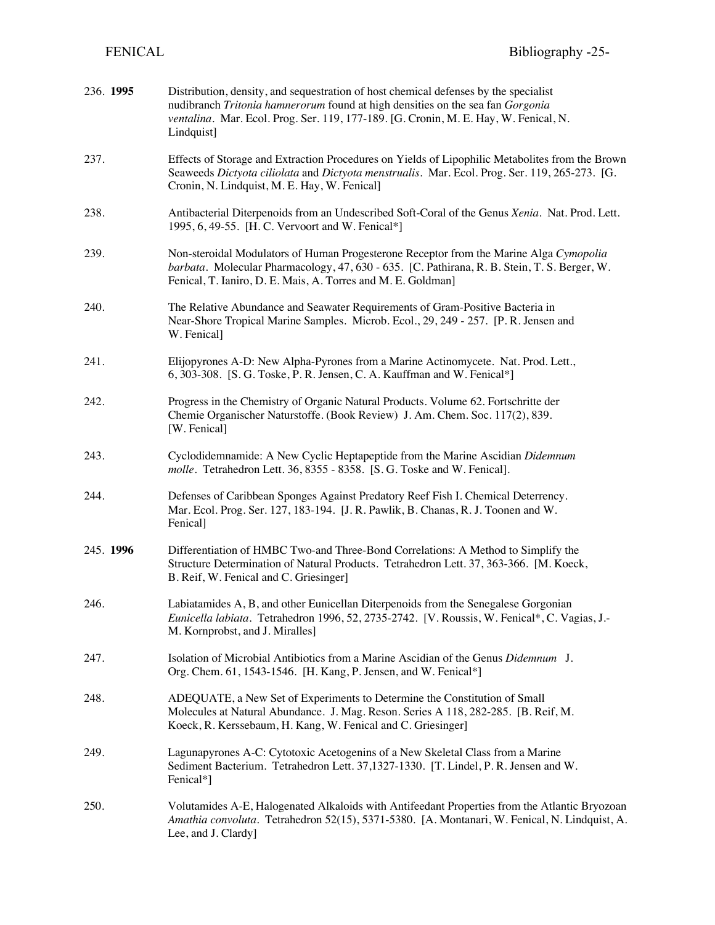| 236. 1995 | Distribution, density, and sequestration of host chemical defenses by the specialist<br>nudibranch Tritonia hamnerorum found at high densities on the sea fan Gorgonia<br>ventalina. Mar. Ecol. Prog. Ser. 119, 177-189. [G. Cronin, M. E. Hay, W. Fenical, N.<br>Lindquist] |
|-----------|------------------------------------------------------------------------------------------------------------------------------------------------------------------------------------------------------------------------------------------------------------------------------|
| 237.      | Effects of Storage and Extraction Procedures on Yields of Lipophilic Metabolites from the Brown<br>Seaweeds Dictyota ciliolata and Dictyota menstrualis. Mar. Ecol. Prog. Ser. 119, 265-273. [G.<br>Cronin, N. Lindquist, M. E. Hay, W. Fenical]                             |
| 238.      | Antibacterial Diterpenoids from an Undescribed Soft-Coral of the Genus Xenia. Nat. Prod. Lett.<br>1995, 6, 49-55. [H. C. Vervoort and W. Fenical*]                                                                                                                           |
| 239.      | Non-steroidal Modulators of Human Progesterone Receptor from the Marine Alga Cymopolia<br>barbata. Molecular Pharmacology, 47, 630 - 635. [C. Pathirana, R. B. Stein, T. S. Berger, W.<br>Fenical, T. Ianiro, D. E. Mais, A. Torres and M. E. Goldman]                       |
| 240.      | The Relative Abundance and Seawater Requirements of Gram-Positive Bacteria in<br>Near-Shore Tropical Marine Samples. Microb. Ecol., 29, 249 - 257. [P. R. Jensen and<br>W. Fenical]                                                                                          |
| 241.      | Elijopyrones A-D: New Alpha-Pyrones from a Marine Actinomycete. Nat. Prod. Lett.,<br>6, 303-308. [S. G. Toske, P. R. Jensen, C. A. Kauffman and W. Fenical*]                                                                                                                 |
| 242.      | Progress in the Chemistry of Organic Natural Products. Volume 62. Fortschritte der<br>Chemie Organischer Naturstoffe. (Book Review) J. Am. Chem. Soc. 117(2), 839.<br>[W. Fenical]                                                                                           |
| 243.      | Cyclodidemnamide: A New Cyclic Heptapeptide from the Marine Ascidian Didemnum<br>molle. Tetrahedron Lett. 36, 8355 - 8358. [S. G. Toske and W. Fenical].                                                                                                                     |
| 244.      | Defenses of Caribbean Sponges Against Predatory Reef Fish I. Chemical Deterrency.<br>Mar. Ecol. Prog. Ser. 127, 183-194. [J. R. Pawlik, B. Chanas, R. J. Toonen and W.<br>Fenical]                                                                                           |
| 245.1996  | Differentiation of HMBC Two-and Three-Bond Correlations: A Method to Simplify the<br>Structure Determination of Natural Products. Tetrahedron Lett. 37, 363-366. [M. Koeck,<br>B. Reif, W. Fenical and C. Griesinger]                                                        |
| 246.      | Labiatamides A, B, and other Eunicellan Diterpenoids from the Senegalese Gorgonian<br>Eunicella labiata. Tetrahedron 1996, 52, 2735-2742. [V. Roussis, W. Fenical*, C. Vagias, J.-<br>M. Kornprobst, and J. Miralles]                                                        |
| 247.      | Isolation of Microbial Antibiotics from a Marine Ascidian of the Genus Didemnum J.<br>Org. Chem. 61, 1543-1546. [H. Kang, P. Jensen, and W. Fenical*]                                                                                                                        |
| 248.      | ADEQUATE, a New Set of Experiments to Determine the Constitution of Small<br>Molecules at Natural Abundance. J. Mag. Reson. Series A 118, 282-285. [B. Reif, M.<br>Koeck, R. Kerssebaum, H. Kang, W. Fenical and C. Griesinger]                                              |
| 249.      | Lagunapyrones A-C: Cytotoxic Acetogenins of a New Skeletal Class from a Marine<br>Sediment Bacterium. Tetrahedron Lett. 37,1327-1330. [T. Lindel, P. R. Jensen and W.<br>Fenical*]                                                                                           |
| 250.      | Volutamides A-E, Halogenated Alkaloids with Antifeedant Properties from the Atlantic Bryozoan<br>Amathia convoluta. Tetrahedron 52(15), 5371-5380. [A. Montanari, W. Fenical, N. Lindquist, A.<br>Lee, and J. Clardy]                                                        |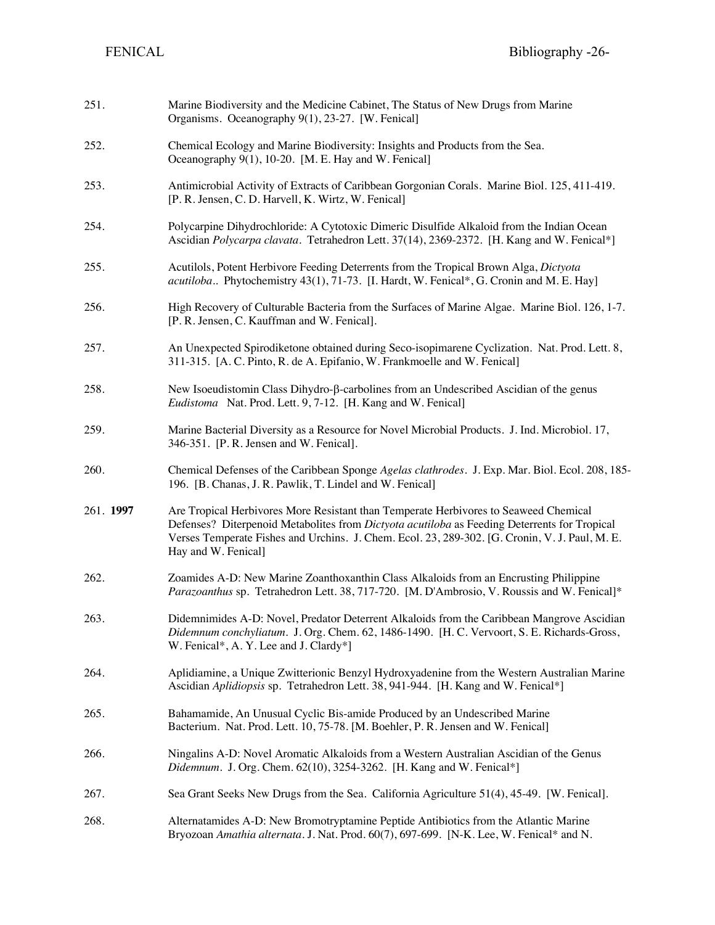| 251.     | Marine Biodiversity and the Medicine Cabinet, The Status of New Drugs from Marine<br>Organisms. Oceanography 9(1), 23-27. [W. Fenical]                                                                                                                                                                               |
|----------|----------------------------------------------------------------------------------------------------------------------------------------------------------------------------------------------------------------------------------------------------------------------------------------------------------------------|
| 252.     | Chemical Ecology and Marine Biodiversity: Insights and Products from the Sea.<br>Oceanography 9(1), 10-20. [M. E. Hay and W. Fenical]                                                                                                                                                                                |
| 253.     | Antimicrobial Activity of Extracts of Caribbean Gorgonian Corals. Marine Biol. 125, 411-419.<br>[P. R. Jensen, C. D. Harvell, K. Wirtz, W. Fenical]                                                                                                                                                                  |
| 254.     | Polycarpine Dihydrochloride: A Cytotoxic Dimeric Disulfide Alkaloid from the Indian Ocean<br>Ascidian Polycarpa clavata. Tetrahedron Lett. 37(14), 2369-2372. [H. Kang and W. Fenical*]                                                                                                                              |
| 255.     | Acutilols, Potent Herbivore Feeding Deterrents from the Tropical Brown Alga, Dictyota<br>acutiloba Phytochemistry 43(1), 71-73. [I. Hardt, W. Fenical*, G. Cronin and M. E. Hay]                                                                                                                                     |
| 256.     | High Recovery of Culturable Bacteria from the Surfaces of Marine Algae. Marine Biol. 126, 1-7.<br>[P. R. Jensen, C. Kauffman and W. Fenical].                                                                                                                                                                        |
| 257.     | An Unexpected Spirodiketone obtained during Seco-isopimarene Cyclization. Nat. Prod. Lett. 8,<br>311-315. [A. C. Pinto, R. de A. Epifanio, W. Frankmoelle and W. Fenical]                                                                                                                                            |
| 258.     | New Isoeudistomin Class Dihydro- $\beta$ -carbolines from an Undescribed Ascidian of the genus<br>Eudistoma Nat. Prod. Lett. 9, 7-12. [H. Kang and W. Fenical]                                                                                                                                                       |
| 259.     | Marine Bacterial Diversity as a Resource for Novel Microbial Products. J. Ind. Microbiol. 17,<br>346-351. [P. R. Jensen and W. Fenical].                                                                                                                                                                             |
| 260.     | Chemical Defenses of the Caribbean Sponge Agelas clathrodes. J. Exp. Mar. Biol. Ecol. 208, 185-<br>196. [B. Chanas, J. R. Pawlik, T. Lindel and W. Fenical]                                                                                                                                                          |
| 261.1997 | Are Tropical Herbivores More Resistant than Temperate Herbivores to Seaweed Chemical<br>Defenses? Diterpenoid Metabolites from <i>Dictyota acutiloba</i> as Feeding Deterrents for Tropical<br>Verses Temperate Fishes and Urchins. J. Chem. Ecol. 23, 289-302. [G. Cronin, V. J. Paul, M. E.<br>Hay and W. Fenical] |
| 262.     | Zoamides A-D: New Marine Zoanthoxanthin Class Alkaloids from an Encrusting Philippine<br>Parazoanthus sp. Tetrahedron Lett. 38, 717-720. [M. D'Ambrosio, V. Roussis and W. Fenical]*                                                                                                                                 |
| 263.     | Didemnimides A-D: Novel, Predator Deterrent Alkaloids from the Caribbean Mangrove Ascidian<br>Didemnum conchyliatum. J. Org. Chem. 62, 1486-1490. [H. C. Vervoort, S. E. Richards-Gross,<br>W. Fenical*, A. Y. Lee and J. Clardy*]                                                                                   |
| 264.     | Aplidiamine, a Unique Zwitterionic Benzyl Hydroxyadenine from the Western Australian Marine<br>Ascidian Aplidiopsis sp. Tetrahedron Lett. 38, 941-944. [H. Kang and W. Fenical*]                                                                                                                                     |
| 265.     | Bahamamide, An Unusual Cyclic Bis-amide Produced by an Undescribed Marine<br>Bacterium. Nat. Prod. Lett. 10, 75-78. [M. Boehler, P. R. Jensen and W. Fenical]                                                                                                                                                        |
| 266.     | Ningalins A-D: Novel Aromatic Alkaloids from a Western Australian Ascidian of the Genus<br>Didemnum. J. Org. Chem. 62(10), 3254-3262. [H. Kang and W. Fenical*]                                                                                                                                                      |
| 267.     | Sea Grant Seeks New Drugs from the Sea. California Agriculture 51(4), 45-49. [W. Fenical].                                                                                                                                                                                                                           |
| 268.     | Alternatamides A-D: New Bromotryptamine Peptide Antibiotics from the Atlantic Marine<br>Bryozoan Amathia alternata. J. Nat. Prod. 60(7), 697-699. [N-K. Lee, W. Fenical* and N.                                                                                                                                      |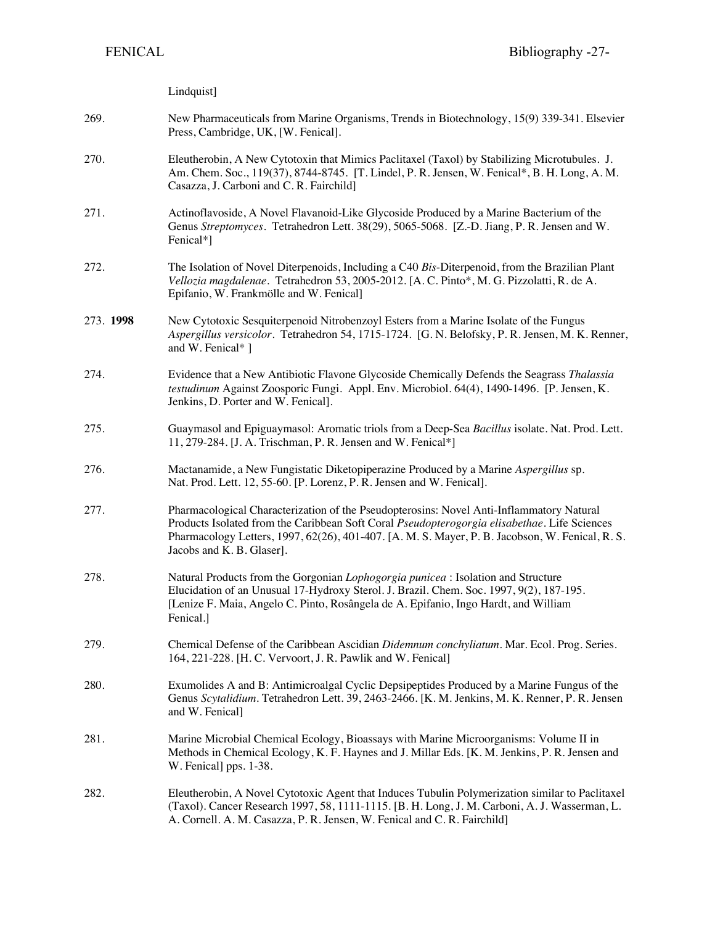Lindquist]

|          | Press, Cambridge, UK, [W. Fenical].                                                                                                                                                                                                      |
|----------|------------------------------------------------------------------------------------------------------------------------------------------------------------------------------------------------------------------------------------------|
| 270.     | Eleutherobin, A New Cytotoxin that Mimics Paclitaxel (Taxol) by Stabilizing Microtubules. J.<br>Am. Chem. Soc., 119(37), 8744-8745. [T. Lindel, P. R. Jensen, W. Fenical*, B. H. Long, A. M.<br>Casazza, J. Carboni and C. R. Fairchild] |
| 271.     | Actinoflavoside, A Novel Flavanoid-Like Glycoside Produced by a Marine Bacterium of the<br>Genus Streptomyces. Tetrahedron Lett. 38(29), 5065-5068. [Z.-D. Jiang, P. R. Jensen and W.<br>Fenical*]                                       |
| 272.     | The Isolation of Novel Diterpenoids, Including a C40 Bis-Diterpenoid, from the Brazilian Plant<br>Vellozia magdalenae. Tetrahedron 53, 2005-2012. [A. C. Pinto*, M. G. Pizzolatti, R. de A.<br>Epifanio, W. Frankmölle and W. Fenical]   |
| 273.1998 | New Cytotoxic Sesquiterpenoid Nitrobenzoyl Esters from a Marine Isolate of the Fungus<br>Aspergillus versicolor. Tetrahedron 54, 1715-1724. [G. N. Belofsky, P. R. Jensen, M. K. Renner,<br>and W. Fenical* ]                            |
| 274.     | Evidence that a New Antibiotic Flavone Glycoside Chemically Defends the Seagrass Thalassia<br>testudinum Against Zoosporic Fungi. Appl. Env. Microbiol. 64(4), 1490-1496. [P. Jensen, K.<br>Jenkins, D. Porter and W. Fenical.           |

269. New Pharmaceuticals from Marine Organisms, Trends in Biotechnology, 15(9) 339-341. Elsevier

- 275. Guaymasol and Epiguaymasol: Aromatic triols from a Deep-Sea *Bacillus* isolate. Nat. Prod. Lett. 11, 279-284. [J. A. Trischman, P. R. Jensen and W. Fenical\*]
- 276. Mactanamide, a New Fungistatic Diketopiperazine Produced by a Marine *Aspergillus* sp. Nat. Prod. Lett. 12, 55-60. [P. Lorenz, P. R. Jensen and W. Fenical].
- 277. Pharmacological Characterization of the Pseudopterosins: Novel Anti-Inflammatory Natural Products Isolated from the Caribbean Soft Coral *Pseudopterogorgia elisabethae*. Life Sciences Pharmacology Letters, 1997, 62(26), 401-407. [A. M. S. Mayer, P. B. Jacobson, W. Fenical, R. S. Jacobs and K. B. Glaser].
- 278. Natural Products from the Gorgonian *Lophogorgia punicea* : Isolation and Structure Elucidation of an Unusual 17-Hydroxy Sterol. J. Brazil. Chem. Soc. 1997, 9(2), 187-195. [Lenize F. Maia, Angelo C. Pinto, Rosângela de A. Epifanio, Ingo Hardt, and William Fenical.]
- 279. Chemical Defense of the Caribbean Ascidian *Didemnum conchyliatum*. Mar. Ecol. Prog. Series. 164, 221-228. [H. C. Vervoort, J. R. Pawlik and W. Fenical]
- 280. Exumolides A and B: Antimicroalgal Cyclic Depsipeptides Produced by a Marine Fungus of the Genus *Scytalidium*. Tetrahedron Lett. 39, 2463-2466. [K. M. Jenkins, M. K. Renner, P. R. Jensen and W. Fenical]
- 281. Marine Microbial Chemical Ecology, Bioassays with Marine Microorganisms: Volume II in Methods in Chemical Ecology, K. F. Haynes and J. Millar Eds. [K. M. Jenkins, P. R. Jensen and W. Fenical] pps. 1-38.
- 282. Eleutherobin, A Novel Cytotoxic Agent that Induces Tubulin Polymerization similar to Paclitaxel (Taxol). Cancer Research 1997, 58, 1111-1115. [B. H. Long, J. M. Carboni, A. J. Wasserman, L. A. Cornell. A. M. Casazza, P. R. Jensen, W. Fenical and C. R. Fairchild]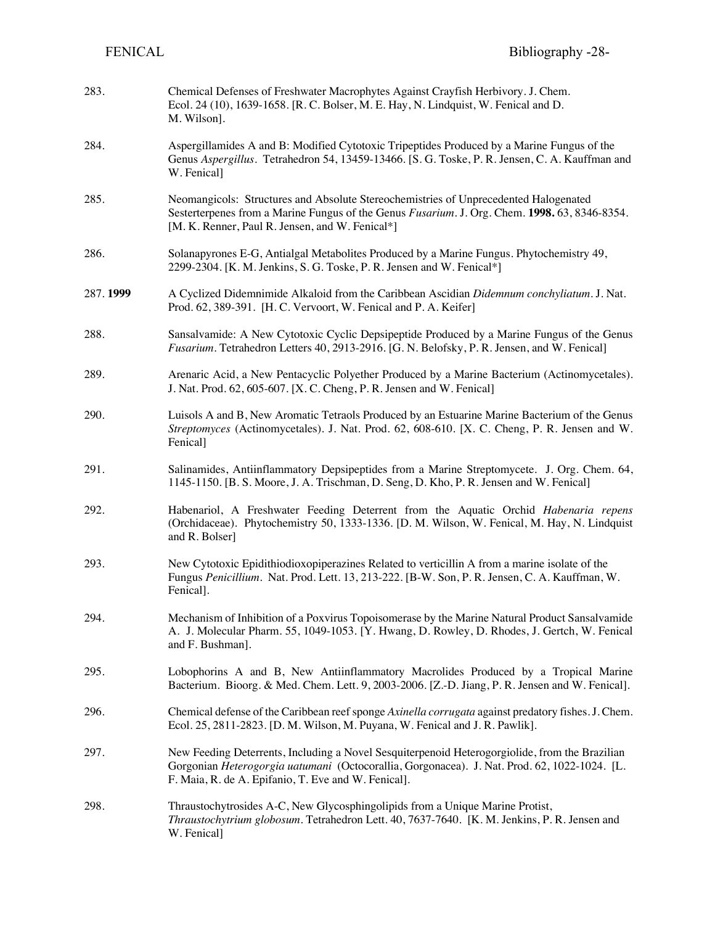| 283.     | Chemical Defenses of Freshwater Macrophytes Against Crayfish Herbivory. J. Chem.<br>Ecol. 24 (10), 1639-1658. [R. C. Bolser, M. E. Hay, N. Lindquist, W. Fenical and D.<br>M. Wilson].                                                                |
|----------|-------------------------------------------------------------------------------------------------------------------------------------------------------------------------------------------------------------------------------------------------------|
| 284.     | Aspergillamides A and B: Modified Cytotoxic Tripeptides Produced by a Marine Fungus of the<br>Genus Aspergillus. Tetrahedron 54, 13459-13466. [S. G. Toske, P. R. Jensen, C. A. Kauffman and<br>W. Fenical]                                           |
| 285.     | Neomangicols: Structures and Absolute Stereochemistries of Unprecedented Halogenated<br>Sesterterpenes from a Marine Fungus of the Genus Fusarium. J. Org. Chem. 1998. 63, 8346-8354.<br>[M. K. Renner, Paul R. Jensen, and W. Fenical*]              |
| 286.     | Solanapyrones E-G, Antialgal Metabolites Produced by a Marine Fungus. Phytochemistry 49,<br>2299-2304. [K. M. Jenkins, S. G. Toske, P. R. Jensen and W. Fenical*]                                                                                     |
| 287.1999 | A Cyclized Didemnimide Alkaloid from the Caribbean Ascidian Didemnum conchyliatum. J. Nat.<br>Prod. 62, 389-391. [H. C. Vervoort, W. Fenical and P. A. Keifer]                                                                                        |
| 288.     | Sansalvamide: A New Cytotoxic Cyclic Depsipeptide Produced by a Marine Fungus of the Genus<br>Fusarium. Tetrahedron Letters 40, 2913-2916. [G. N. Belofsky, P. R. Jensen, and W. Fenical]                                                             |
| 289.     | Arenaric Acid, a New Pentacyclic Polyether Produced by a Marine Bacterium (Actinomycetales).<br>J. Nat. Prod. 62, 605-607. [X. C. Cheng, P. R. Jensen and W. Fenical]                                                                                 |
| 290.     | Luisols A and B, New Aromatic Tetraols Produced by an Estuarine Marine Bacterium of the Genus<br>Streptomyces (Actinomycetales). J. Nat. Prod. 62, 608-610. [X. C. Cheng, P. R. Jensen and W.<br>Fenical]                                             |
| 291.     | Salinamides, Antiinflammatory Depsipeptides from a Marine Streptomycete. J. Org. Chem. 64,<br>1145-1150. [B. S. Moore, J. A. Trischman, D. Seng, D. Kho, P. R. Jensen and W. Fenical]                                                                 |
| 292.     | Habenariol, A Freshwater Feeding Deterrent from the Aquatic Orchid Habenaria repens<br>(Orchidaceae). Phytochemistry 50, 1333-1336. [D. M. Wilson, W. Fenical, M. Hay, N. Lindquist<br>and R. Bolser]                                                 |
| 293.     | New Cytotoxic Epidithiodioxopiperazines Related to verticillin A from a marine isolate of the<br>Fungus Penicillium. Nat. Prod. Lett. 13, 213-222. [B-W. Son, P. R. Jensen, C. A. Kauffman, W.<br>Fenical].                                           |
| 294.     | Mechanism of Inhibition of a Poxvirus Topoisomerase by the Marine Natural Product Sansalvamide<br>A. J. Molecular Pharm. 55, 1049-1053. [Y. Hwang, D. Rowley, D. Rhodes, J. Gertch, W. Fenical<br>and F. Bushman].                                    |
| 295.     | Lobophorins A and B, New Antiinflammatory Macrolides Produced by a Tropical Marine<br>Bacterium. Bioorg. & Med. Chem. Lett. 9, 2003-2006. [Z.-D. Jiang, P. R. Jensen and W. Fenical].                                                                 |
| 296.     | Chemical defense of the Caribbean reef sponge Axinella corrugata against predatory fishes. J. Chem.<br>Ecol. 25, 2811-2823. [D. M. Wilson, M. Puyana, W. Fenical and J. R. Pawlik].                                                                   |
| 297.     | New Feeding Deterrents, Including a Novel Sesquiterpenoid Heterogorgiolide, from the Brazilian<br>Gorgonian Heterogorgia uatumani (Octocorallia, Gorgonacea). J. Nat. Prod. 62, 1022-1024. [L.<br>F. Maia, R. de A. Epifanio, T. Eve and W. Fenical]. |
| 298.     | Thraustochytrosides A-C, New Glycosphingolipids from a Unique Marine Protist,<br>Thraustochytrium globosum. Tetrahedron Lett. 40, 7637-7640. [K. M. Jenkins, P. R. Jensen and<br>W. Fenical]                                                          |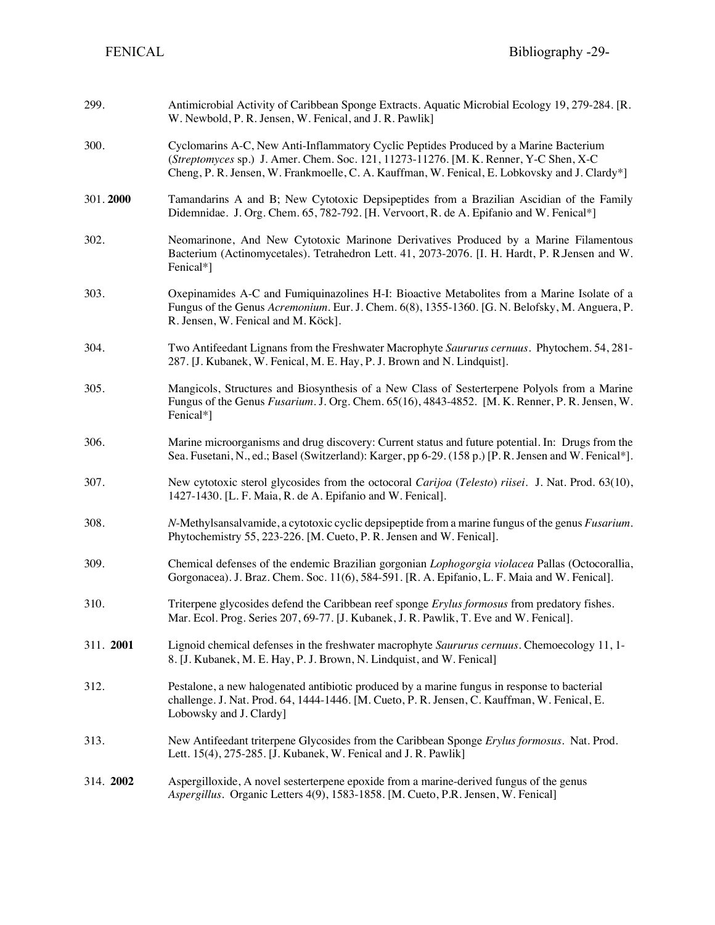| 299.     | Antimicrobial Activity of Caribbean Sponge Extracts. Aquatic Microbial Ecology 19, 279-284. [R.<br>W. Newbold, P. R. Jensen, W. Fenical, and J. R. Pawlik]                                                                                                                      |
|----------|---------------------------------------------------------------------------------------------------------------------------------------------------------------------------------------------------------------------------------------------------------------------------------|
| 300.     | Cyclomarins A-C, New Anti-Inflammatory Cyclic Peptides Produced by a Marine Bacterium<br>(Streptomyces sp.) J. Amer. Chem. Soc. 121, 11273-11276. [M. K. Renner, Y-C Shen, X-C<br>Cheng, P. R. Jensen, W. Frankmoelle, C. A. Kauffman, W. Fenical, E. Lobkovsky and J. Clardy*] |
| 301.2000 | Tamandarins A and B; New Cytotoxic Depsipeptides from a Brazilian Ascidian of the Family<br>Didemnidae. J. Org. Chem. 65, 782-792. [H. Vervoort, R. de A. Epifanio and W. Fenical*]                                                                                             |
| 302.     | Neomarinone, And New Cytotoxic Marinone Derivatives Produced by a Marine Filamentous<br>Bacterium (Actinomycetales). Tetrahedron Lett. 41, 2073-2076. [I. H. Hardt, P. R.Jensen and W.<br>Fenical*]                                                                             |
| 303.     | Oxepinamides A-C and Fumiquinazolines H-I: Bioactive Metabolites from a Marine Isolate of a<br>Fungus of the Genus Acremonium. Eur. J. Chem. 6(8), 1355-1360. [G. N. Belofsky, M. Anguera, P.<br>R. Jensen, W. Fenical and M. Köck].                                            |
| 304.     | Two Antifeedant Lignans from the Freshwater Macrophyte Saururus cernuus. Phytochem. 54, 281-<br>287. [J. Kubanek, W. Fenical, M. E. Hay, P. J. Brown and N. Lindquist].                                                                                                         |
| 305.     | Mangicols, Structures and Biosynthesis of a New Class of Sesterterpene Polyols from a Marine<br>Fungus of the Genus Fusarium. J. Org. Chem. 65(16), 4843-4852. [M. K. Renner, P. R. Jensen, W.<br>Fenical*]                                                                     |
| 306.     | Marine microorganisms and drug discovery: Current status and future potential. In: Drugs from the<br>Sea. Fusetani, N., ed.; Basel (Switzerland): Karger, pp 6-29. (158 p.) [P. R. Jensen and W. Fenical*].                                                                     |
| 307.     | New cytotoxic sterol glycosides from the octocoral Carijoa (Telesto) riisei. J. Nat. Prod. 63(10),<br>1427-1430. [L. F. Maia, R. de A. Epifanio and W. Fenical].                                                                                                                |
| 308.     | N-Methylsansalvamide, a cytotoxic cyclic depsipeptide from a marine fungus of the genus Fusarium.<br>Phytochemistry 55, 223-226. [M. Cueto, P. R. Jensen and W. Fenical].                                                                                                       |
| 309.     | Chemical defenses of the endemic Brazilian gorgonian Lophogorgia violacea Pallas (Octocorallia,<br>Gorgonacea). J. Braz. Chem. Soc. 11(6), 584-591. [R. A. Epifanio, L. F. Maia and W. Fenical].                                                                                |
| 310.     | Triterpene glycosides defend the Caribbean reef sponge <i>Erylus formosus</i> from predatory fishes.<br>Mar. Ecol. Prog. Series 207, 69-77. [J. Kubanek, J. R. Pawlik, T. Eve and W. Fenical].                                                                                  |
| 311.2001 | Lignoid chemical defenses in the freshwater macrophyte Saururus cernuus. Chemoecology 11, 1-<br>8. [J. Kubanek, M. E. Hay, P. J. Brown, N. Lindquist, and W. Fenical]                                                                                                           |
| 312.     | Pestalone, a new halogenated antibiotic produced by a marine fungus in response to bacterial<br>challenge. J. Nat. Prod. 64, 1444-1446. [M. Cueto, P. R. Jensen, C. Kauffman, W. Fenical, E.<br>Lobowsky and J. Clardy]                                                         |
| 313.     | New Antifeedant triterpene Glycosides from the Caribbean Sponge Erylus formosus. Nat. Prod.<br>Lett. 15(4), 275-285. [J. Kubanek, W. Fenical and J. R. Pawlik]                                                                                                                  |
| 314.2002 | Aspergilloxide, A novel sesterterpene epoxide from a marine-derived fungus of the genus<br>Aspergillus. Organic Letters 4(9), 1583-1858. [M. Cueto, P.R. Jensen, W. Fenical]                                                                                                    |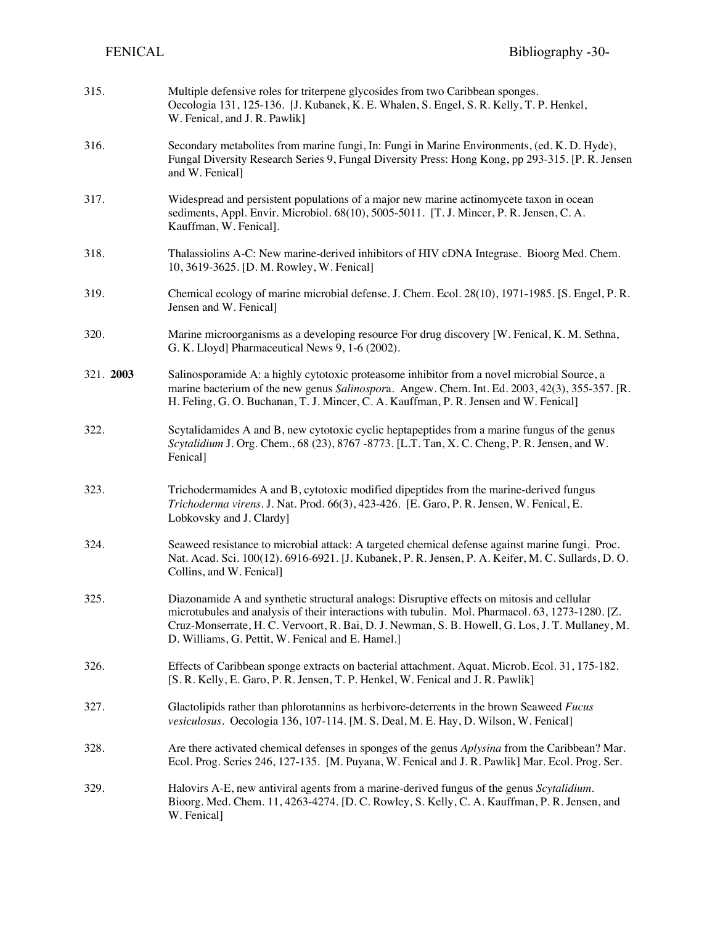| 315.     | Multiple defensive roles for triterpene glycosides from two Caribbean sponges.<br>Oecologia 131, 125-136. [J. Kubanek, K. E. Whalen, S. Engel, S. R. Kelly, T. P. Henkel,<br>W. Fenical, and J. R. Pawlik]                                                                                                                                             |
|----------|--------------------------------------------------------------------------------------------------------------------------------------------------------------------------------------------------------------------------------------------------------------------------------------------------------------------------------------------------------|
| 316.     | Secondary metabolites from marine fungi, In: Fungi in Marine Environments, (ed. K.D. Hyde),<br>Fungal Diversity Research Series 9, Fungal Diversity Press: Hong Kong, pp 293-315. [P. R. Jensen<br>and W. Fenical]                                                                                                                                     |
| 317.     | Widespread and persistent populations of a major new marine actinomycete taxon in ocean<br>sediments, Appl. Envir. Microbiol. 68(10), 5005-5011. [T. J. Mincer, P. R. Jensen, C. A.<br>Kauffman, W. Fenical].                                                                                                                                          |
| 318.     | Thalassiolins A-C: New marine-derived inhibitors of HIV cDNA Integrase. Bioorg Med. Chem.<br>10, 3619-3625. [D. M. Rowley, W. Fenical]                                                                                                                                                                                                                 |
| 319.     | Chemical ecology of marine microbial defense. J. Chem. Ecol. 28(10), 1971-1985. [S. Engel, P. R.<br>Jensen and W. Fenical]                                                                                                                                                                                                                             |
| 320.     | Marine microorganisms as a developing resource For drug discovery [W. Fenical, K. M. Sethna,<br>G. K. Lloyd] Pharmaceutical News 9, 1-6 (2002).                                                                                                                                                                                                        |
| 321.2003 | Salinosporamide A: a highly cytotoxic proteasome inhibitor from a novel microbial Source, a<br>marine bacterium of the new genus Salinospora. Angew. Chem. Int. Ed. 2003, 42(3), 355-357. [R.<br>H. Feling, G. O. Buchanan, T. J. Mincer, C. A. Kauffman, P. R. Jensen and W. Fenical]                                                                 |
| 322.     | Scytalidamides A and B, new cytotoxic cyclic heptapeptides from a marine fungus of the genus<br>Scytalidium J. Org. Chem., 68 (23), 8767 - 8773. [L.T. Tan, X. C. Cheng, P. R. Jensen, and W.<br>Fenical]                                                                                                                                              |
| 323.     | Trichodermamides A and B, cytotoxic modified dipeptides from the marine-derived fungus<br>Trichoderma virens. J. Nat. Prod. 66(3), 423-426. [E. Garo, P. R. Jensen, W. Fenical, E.<br>Lobkovsky and J. Clardy]                                                                                                                                         |
| 324.     | Seaweed resistance to microbial attack: A targeted chemical defense against marine fungi. Proc.<br>Nat. Acad. Sci. 100(12). 6916-6921. [J. Kubanek, P. R. Jensen, P. A. Keifer, M. C. Sullards, D. O.<br>Collins, and W. Fenical]                                                                                                                      |
| 325.     | Diazonamide A and synthetic structural analogs: Disruptive effects on mitosis and cellular<br>microtubules and analysis of their interactions with tubulin. Mol. Pharmacol. 63, 1273-1280. [Z.<br>Cruz-Monserrate, H. C. Vervoort, R. Bai, D. J. Newman, S. B. Howell, G. Los, J. T. Mullaney, M.<br>D. Williams, G. Pettit, W. Fenical and E. Hamel.] |
| 326.     | Effects of Caribbean sponge extracts on bacterial attachment. Aquat. Microb. Ecol. 31, 175-182.<br>[S. R. Kelly, E. Garo, P. R. Jensen, T. P. Henkel, W. Fenical and J. R. Pawlik]                                                                                                                                                                     |
| 327.     | Glactolipids rather than phlorotannins as herbivore-deterrents in the brown Seaweed Fucus<br>vesiculosus. Oecologia 136, 107-114. [M. S. Deal, M. E. Hay, D. Wilson, W. Fenical]                                                                                                                                                                       |
| 328.     | Are there activated chemical defenses in sponges of the genus Aplysina from the Caribbean? Mar.<br>Ecol. Prog. Series 246, 127-135. [M. Puyana, W. Fenical and J. R. Pawlik] Mar. Ecol. Prog. Ser.                                                                                                                                                     |
| 329.     | Halovirs A-E, new antiviral agents from a marine-derived fungus of the genus Scytalidium.<br>Bioorg. Med. Chem. 11, 4263-4274. [D. C. Rowley, S. Kelly, C. A. Kauffman, P. R. Jensen, and<br>W. Fenical]                                                                                                                                               |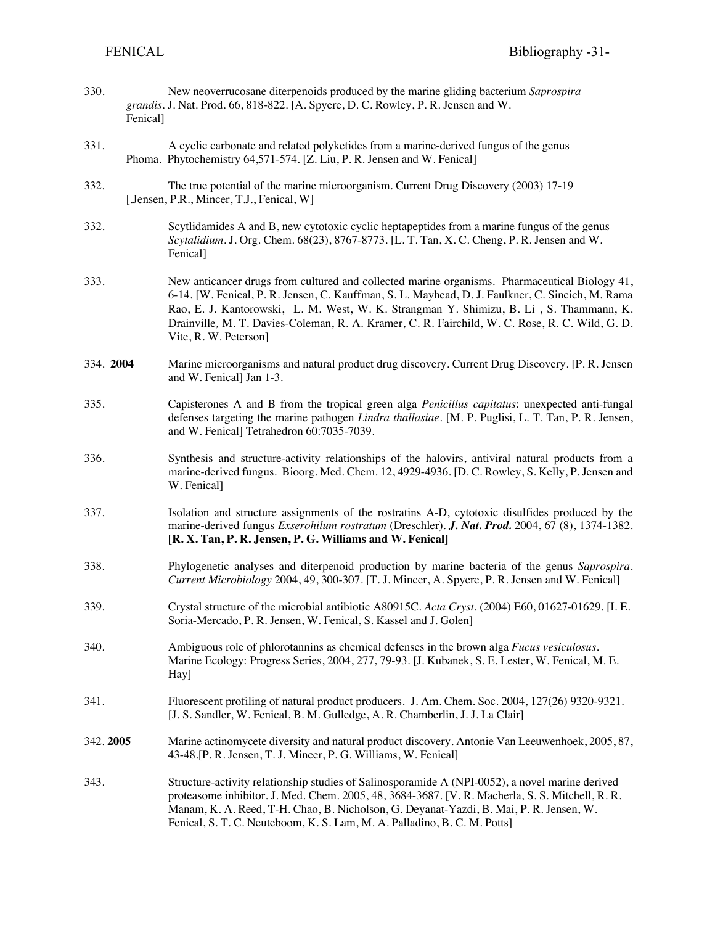| 330.<br>Fenical] | New neoverrucosane diterpenoids produced by the marine gliding bacterium Saprospira<br>grandis. J. Nat. Prod. 66, 818-822. [A. Spyere, D. C. Rowley, P. R. Jensen and W.                                                                                                                                                                                                                                               |
|------------------|------------------------------------------------------------------------------------------------------------------------------------------------------------------------------------------------------------------------------------------------------------------------------------------------------------------------------------------------------------------------------------------------------------------------|
| 331.             | A cyclic carbonate and related polyketides from a marine-derived fungus of the genus<br>Phoma. Phytochemistry 64,571-574. [Z. Liu, P. R. Jensen and W. Fenical]                                                                                                                                                                                                                                                        |
| 332.             | The true potential of the marine microorganism. Current Drug Discovery (2003) 17-19<br>[Jensen, P.R., Mincer, T.J., Fenical, W]                                                                                                                                                                                                                                                                                        |
| 332.             | Scytlidamides A and B, new cytotoxic cyclic heptapeptides from a marine fungus of the genus<br>Scytalidium. J. Org. Chem. 68(23), 8767-8773. [L. T. Tan, X. C. Cheng, P. R. Jensen and W.<br>Fenical]                                                                                                                                                                                                                  |
| 333.             | New anticancer drugs from cultured and collected marine organisms. Pharmaceutical Biology 41,<br>6-14. [W. Fenical, P. R. Jensen, C. Kauffman, S. L. Mayhead, D. J. Faulkner, C. Sincich, M. Rama<br>Rao, E. J. Kantorowski, L. M. West, W. K. Strangman Y. Shimizu, B. Li, S. Thammann, K.<br>Drainville, M. T. Davies-Coleman, R. A. Kramer, C. R. Fairchild, W. C. Rose, R. C. Wild, G. D.<br>Vite, R. W. Peterson] |
| 334. 2004        | Marine microorganisms and natural product drug discovery. Current Drug Discovery. [P. R. Jensen<br>and W. Fenical] Jan 1-3.                                                                                                                                                                                                                                                                                            |
| 335.             | Capisterones A and B from the tropical green alga <i>Penicillus capitatus</i> : unexpected anti-fungal<br>defenses targeting the marine pathogen Lindra thallasiae. [M. P. Puglisi, L. T. Tan, P. R. Jensen,<br>and W. Fenical] Tetrahedron 60:7035-7039.                                                                                                                                                              |
| 336.             | Synthesis and structure-activity relationships of the halovirs, antiviral natural products from a<br>marine-derived fungus. Bioorg. Med. Chem. 12, 4929-4936. [D. C. Rowley, S. Kelly, P. Jensen and<br>W. Fenical]                                                                                                                                                                                                    |
| 337.             | Isolation and structure assignments of the rostratins A-D, cytotoxic disulfides produced by the<br>marine-derived fungus Exserohilum rostratum (Dreschler). J. Nat. Prod. 2004, 67 (8), 1374-1382.<br>[R. X. Tan, P. R. Jensen, P. G. Williams and W. Fenical]                                                                                                                                                         |
| 338.             | Phylogenetic analyses and diterpenoid production by marine bacteria of the genus Saprospira.<br>Current Microbiology 2004, 49, 300-307. [T. J. Mincer, A. Spyere, P. R. Jensen and W. Fenical]                                                                                                                                                                                                                         |
| 339.             | Crystal structure of the microbial antibiotic A80915C. Acta Cryst. (2004) E60, 01627-01629. [I. E.<br>Soria-Mercado, P. R. Jensen, W. Fenical, S. Kassel and J. Golen]                                                                                                                                                                                                                                                 |
| 340.             | Ambiguous role of phlorotannins as chemical defenses in the brown alga Fucus vesiculosus.<br>Marine Ecology: Progress Series, 2004, 277, 79-93. [J. Kubanek, S. E. Lester, W. Fenical, M. E.<br>Hay]                                                                                                                                                                                                                   |
| 341.             | Fluorescent profiling of natural product producers. J. Am. Chem. Soc. 2004, 127(26) 9320-9321.<br>[J. S. Sandler, W. Fenical, B. M. Gulledge, A. R. Chamberlin, J. J. La Clair]                                                                                                                                                                                                                                        |
| 342.2005         | Marine actinomycete diversity and natural product discovery. Antonie Van Leeuwenhoek, 2005, 87,<br>43-48. [P. R. Jensen, T. J. Mincer, P. G. Williams, W. Fenical]                                                                                                                                                                                                                                                     |
| 343.             | Structure-activity relationship studies of Salinosporamide A (NPI-0052), a novel marine derived<br>proteasome inhibitor. J. Med. Chem. 2005, 48, 3684-3687. [V. R. Macherla, S. S. Mitchell, R. R.<br>Manam, K. A. Reed, T-H. Chao, B. Nicholson, G. Deyanat-Yazdi, B. Mai, P. R. Jensen, W.<br>Fenical, S. T. C. Neuteboom, K. S. Lam, M. A. Palladino, B. C. M. Potts]                                               |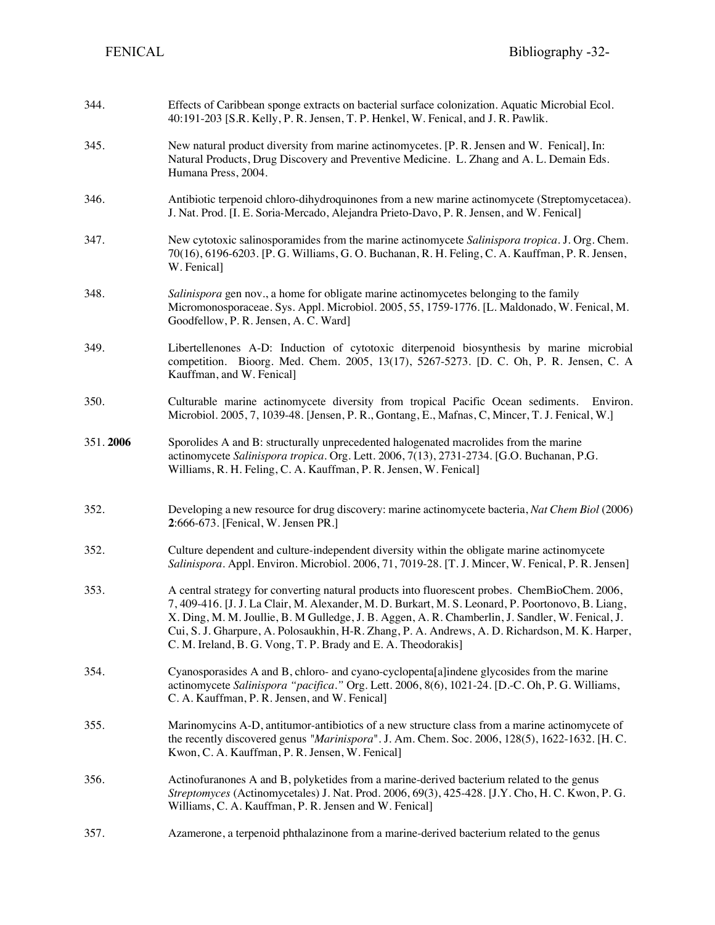| 344.     | Effects of Caribbean sponge extracts on bacterial surface colonization. Aquatic Microbial Ecol.<br>40:191-203 [S.R. Kelly, P. R. Jensen, T. P. Henkel, W. Fenical, and J. R. Pawlik.                                                                                                                                                                                                                                                                                        |
|----------|-----------------------------------------------------------------------------------------------------------------------------------------------------------------------------------------------------------------------------------------------------------------------------------------------------------------------------------------------------------------------------------------------------------------------------------------------------------------------------|
| 345.     | New natural product diversity from marine actinomycetes. [P. R. Jensen and W. Fenical], In:<br>Natural Products, Drug Discovery and Preventive Medicine. L. Zhang and A. L. Demain Eds.<br>Humana Press, 2004.                                                                                                                                                                                                                                                              |
| 346.     | Antibiotic terpenoid chloro-dihydroquinones from a new marine actinomycete (Streptomycetacea).<br>J. Nat. Prod. [I. E. Soria-Mercado, Alejandra Prieto-Davo, P. R. Jensen, and W. Fenical]                                                                                                                                                                                                                                                                                  |
| 347.     | New cytotoxic salinosporamides from the marine actinomycete Salinispora tropica. J. Org. Chem.<br>70(16), 6196-6203. [P. G. Williams, G. O. Buchanan, R. H. Feling, C. A. Kauffman, P. R. Jensen,<br>W. Fenical]                                                                                                                                                                                                                                                            |
| 348.     | Salinispora gen nov., a home for obligate marine actinomycetes belonging to the family<br>Micromonosporaceae. Sys. Appl. Microbiol. 2005, 55, 1759-1776. [L. Maldonado, W. Fenical, M.<br>Goodfellow, P. R. Jensen, A. C. Ward]                                                                                                                                                                                                                                             |
| 349.     | Libertellenones A-D: Induction of cytotoxic diterpenoid biosynthesis by marine microbial<br>competition. Bioorg. Med. Chem. 2005, 13(17), 5267-5273. [D. C. Oh, P. R. Jensen, C. A<br>Kauffman, and W. Fenical]                                                                                                                                                                                                                                                             |
| 350.     | Culturable marine actinomycete diversity from tropical Pacific Ocean sediments.<br>Environ.<br>Microbiol. 2005, 7, 1039-48. [Jensen, P. R., Gontang, E., Mafnas, C, Mincer, T. J. Fenical, W.]                                                                                                                                                                                                                                                                              |
| 351.2006 | Sporolides A and B: structurally unprecedented halogenated macrolides from the marine<br>actinomycete Salinispora tropica. Org. Lett. 2006, 7(13), 2731-2734. [G.O. Buchanan, P.G.<br>Williams, R. H. Feling, C. A. Kauffman, P. R. Jensen, W. Fenical]                                                                                                                                                                                                                     |
| 352.     | Developing a new resource for drug discovery: marine actinomycete bacteria, Nat Chem Biol (2006)<br>2:666-673. [Fenical, W. Jensen PR.]                                                                                                                                                                                                                                                                                                                                     |
| 352.     | Culture dependent and culture-independent diversity within the obligate marine actinomycete<br>Salinispora. Appl. Environ. Microbiol. 2006, 71, 7019-28. [T. J. Mincer, W. Fenical, P. R. Jensen]                                                                                                                                                                                                                                                                           |
| 353.     | A central strategy for converting natural products into fluorescent probes. ChemBioChem. 2006,<br>7, 409-416. [J. J. La Clair, M. Alexander, M. D. Burkart, M. S. Leonard, P. Poortonovo, B. Liang,<br>X. Ding, M. M. Joullie, B. M Gulledge, J. B. Aggen, A. R. Chamberlin, J. Sandler, W. Fenical, J.<br>Cui, S. J. Gharpure, A. Polosaukhin, H-R. Zhang, P. A. Andrews, A. D. Richardson, M. K. Harper,<br>C. M. Ireland, B. G. Vong, T. P. Brady and E. A. Theodorakis] |
| 354.     | Cyanosporasides A and B, chloro- and cyano-cyclopenta[a]indene glycosides from the marine<br>actinomycete Salinispora "pacifica." Org. Lett. 2006, 8(6), 1021-24. [D.-C. Oh, P. G. Williams,<br>C. A. Kauffman, P. R. Jensen, and W. Fenical]                                                                                                                                                                                                                               |
| 355.     | Marinomycins A-D, antitumor-antibiotics of a new structure class from a marine actinomycete of<br>the recently discovered genus "Marinispora". J. Am. Chem. Soc. 2006, 128(5), 1622-1632. [H. C.<br>Kwon, C. A. Kauffman, P. R. Jensen, W. Fenical]                                                                                                                                                                                                                         |
| 356.     | Actinofuranones A and B, polyketides from a marine-derived bacterium related to the genus<br>Streptomyces (Actinomycetales) J. Nat. Prod. 2006, 69(3), 425-428. [J.Y. Cho, H. C. Kwon, P. G.<br>Williams, C. A. Kauffman, P. R. Jensen and W. Fenical]                                                                                                                                                                                                                      |
| 357.     | Azamerone, a terpenoid phthalazinone from a marine-derived bacterium related to the genus                                                                                                                                                                                                                                                                                                                                                                                   |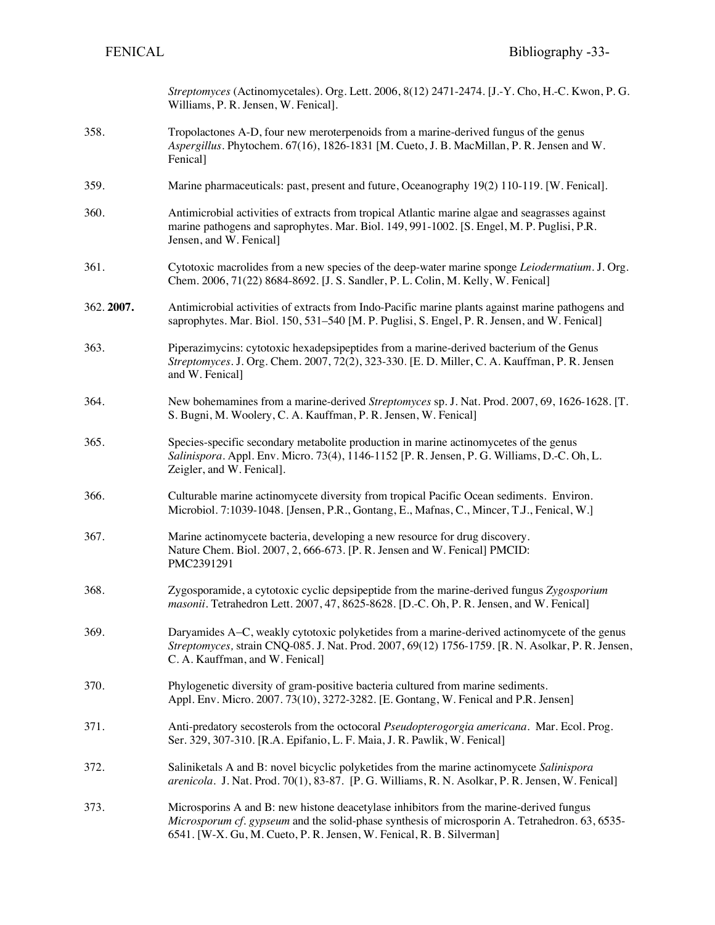|           | Streptomyces (Actinomycetales). Org. Lett. 2006, 8(12) 2471-2474. [J.-Y. Cho, H.-C. Kwon, P. G.<br>Williams, P. R. Jensen, W. Fenical].                                                                                                                           |
|-----------|-------------------------------------------------------------------------------------------------------------------------------------------------------------------------------------------------------------------------------------------------------------------|
| 358.      | Tropolactones A-D, four new meroterpenoids from a marine-derived fungus of the genus<br>Aspergillus. Phytochem. 67(16), 1826-1831 [M. Cueto, J. B. MacMillan, P. R. Jensen and W.<br>Fenical]                                                                     |
| 359.      | Marine pharmaceuticals: past, present and future, Oceanography 19(2) 110-119. [W. Fenical].                                                                                                                                                                       |
| 360.      | Antimicrobial activities of extracts from tropical Atlantic marine algae and seagrasses against<br>marine pathogens and saprophytes. Mar. Biol. 149, 991-1002. [S. Engel, M. P. Puglisi, P.R.<br>Jensen, and W. Fenical]                                          |
| 361.      | Cytotoxic macrolides from a new species of the deep-water marine sponge Leiodermatium. J. Org.<br>Chem. 2006, 71(22) 8684-8692. [J. S. Sandler, P. L. Colin, M. Kelly, W. Fenical]                                                                                |
| 362.2007. | Antimicrobial activities of extracts from Indo-Pacific marine plants against marine pathogens and<br>saprophytes. Mar. Biol. 150, 531–540 [M. P. Puglisi, S. Engel, P. R. Jensen, and W. Fenical]                                                                 |
| 363.      | Piperazimycins: cytotoxic hexadepsipeptides from a marine-derived bacterium of the Genus<br>Streptomyces. J. Org. Chem. 2007, 72(2), 323-330. [E. D. Miller, C. A. Kauffman, P. R. Jensen<br>and W. Fenical]                                                      |
| 364.      | New bohemamines from a marine-derived Streptomyces sp. J. Nat. Prod. 2007, 69, 1626-1628. [T.<br>S. Bugni, M. Woolery, C. A. Kauffman, P. R. Jensen, W. Fenical]                                                                                                  |
| 365.      | Species-specific secondary metabolite production in marine actinomycetes of the genus<br>Salinispora. Appl. Env. Micro. 73(4), 1146-1152 [P. R. Jensen, P. G. Williams, D.-C. Oh, L.<br>Zeigler, and W. Fenical].                                                 |
| 366.      | Culturable marine actinomycete diversity from tropical Pacific Ocean sediments. Environ.<br>Microbiol. 7:1039-1048. [Jensen, P.R., Gontang, E., Mafnas, C., Mincer, T.J., Fenical, W.]                                                                            |
| 367.      | Marine actinomycete bacteria, developing a new resource for drug discovery.<br>Nature Chem. Biol. 2007, 2, 666-673. [P. R. Jensen and W. Fenical] PMCID:<br>PMC2391291                                                                                            |
| 368.      | Zygosporamide, a cytotoxic cyclic depsipeptide from the marine-derived fungus Zygosporium<br>masonii. Tetrahedron Lett. 2007, 47, 8625-8628. [D.-C. Oh, P. R. Jensen, and W. Fenical]                                                                             |
| 369.      | Daryamides A–C, weakly cytotoxic polyketides from a marine-derived actinomycete of the genus<br>Streptomyces, strain CNQ-085. J. Nat. Prod. 2007, 69(12) 1756-1759. [R. N. Asolkar, P. R. Jensen,<br>C. A. Kauffman, and W. Fenical]                              |
| 370.      | Phylogenetic diversity of gram-positive bacteria cultured from marine sediments.<br>Appl. Env. Micro. 2007. 73(10), 3272-3282. [E. Gontang, W. Fenical and P.R. Jensen]                                                                                           |
| 371.      | Anti-predatory secosterols from the octocoral Pseudopterogorgia americana. Mar. Ecol. Prog.<br>Ser. 329, 307-310. [R.A. Epifanio, L. F. Maia, J. R. Pawlik, W. Fenical]                                                                                           |
| 372.      | Saliniketals A and B: novel bicyclic polyketides from the marine actinomycete Salinispora<br>arenicola. J. Nat. Prod. 70(1), 83-87. [P. G. Williams, R. N. Asolkar, P. R. Jensen, W. Fenical]                                                                     |
| 373.      | Microsporins A and B: new histone deacetylase inhibitors from the marine-derived fungus<br>Microsporum cf. gypseum and the solid-phase synthesis of microsporin A. Tetrahedron. 63, 6535-<br>6541. [W-X. Gu, M. Cueto, P. R. Jensen, W. Fenical, R. B. Silverman] |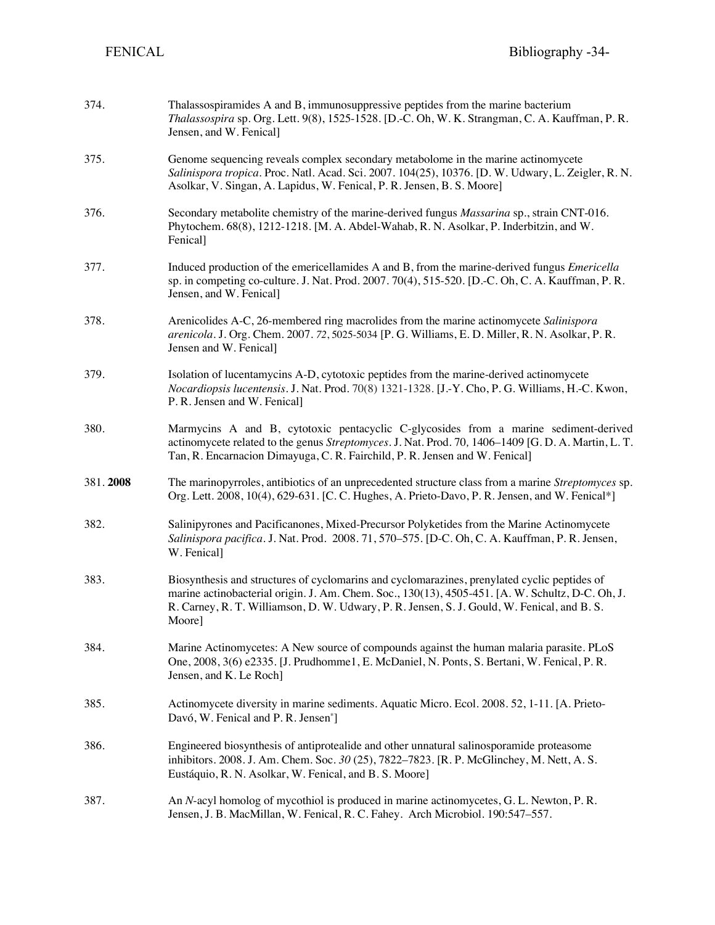| 374.     | Thalassospiramides A and B, immunosuppressive peptides from the marine bacterium<br>Thalassospira sp. Org. Lett. 9(8), 1525-1528. [D.-C. Oh, W. K. Strangman, C. A. Kauffman, P. R.<br>Jensen, and W. Fenical]                                                                                            |
|----------|-----------------------------------------------------------------------------------------------------------------------------------------------------------------------------------------------------------------------------------------------------------------------------------------------------------|
| 375.     | Genome sequencing reveals complex secondary metabolome in the marine actinomycete<br>Salinispora tropica. Proc. Natl. Acad. Sci. 2007. 104(25), 10376. [D. W. Udwary, L. Zeigler, R. N.<br>Asolkar, V. Singan, A. Lapidus, W. Fenical, P. R. Jensen, B. S. Moore]                                         |
| 376.     | Secondary metabolite chemistry of the marine-derived fungus Massarina sp., strain CNT-016.<br>Phytochem. 68(8), 1212-1218. [M. A. Abdel-Wahab, R. N. Asolkar, P. Inderbitzin, and W.<br>Fenical]                                                                                                          |
| 377.     | Induced production of the emericellamides A and B, from the marine-derived fungus <i>Emericella</i><br>sp. in competing co-culture. J. Nat. Prod. 2007. 70(4), 515-520. [D.-C. Oh, C. A. Kauffman, P. R.<br>Jensen, and W. Fenical]                                                                       |
| 378.     | Arenicolides A-C, 26-membered ring macrolides from the marine actinomycete Salinispora<br>arenicola. J. Org. Chem. 2007. 72, 5025-5034 [P. G. Williams, E. D. Miller, R. N. Asolkar, P. R.<br>Jensen and W. Fenical]                                                                                      |
| 379.     | Isolation of lucentamycins A-D, cytotoxic peptides from the marine-derived actinomycete<br>Nocardiopsis lucentensis. J. Nat. Prod. 70(8) 1321-1328. [J.-Y. Cho, P. G. Williams, H.-C. Kwon,<br>P. R. Jensen and W. Fenical]                                                                               |
| 380.     | Marmycins A and B, cytotoxic pentacyclic C-glycosides from a marine sediment-derived<br>actinomycete related to the genus Streptomyces. J. Nat. Prod. 70, 1406–1409 [G. D. A. Martin, L. T.<br>Tan, R. Encarnacion Dimayuga, C. R. Fairchild, P. R. Jensen and W. Fenical]                                |
| 381.2008 | The marinopyrroles, antibiotics of an unprecedented structure class from a marine Streptomyces sp.<br>Org. Lett. 2008, 10(4), 629-631. [C. C. Hughes, A. Prieto-Davo, P. R. Jensen, and W. Fenical*]                                                                                                      |
| 382.     | Salinipyrones and Pacificanones, Mixed-Precursor Polyketides from the Marine Actinomycete<br>Salinispora pacifica. J. Nat. Prod. 2008. 71, 570-575. [D-C. Oh, C. A. Kauffman, P. R. Jensen,<br>W. Fenical]                                                                                                |
| 383.     | Biosynthesis and structures of cyclomarins and cyclomarazines, prenylated cyclic peptides of<br>marine actinobacterial origin. J. Am. Chem. Soc., 130(13), 4505-451. [A. W. Schultz, D-C. Oh, J.<br>R. Carney, R. T. Williamson, D. W. Udwary, P. R. Jensen, S. J. Gould, W. Fenical, and B. S.<br>Moore] |
| 384.     | Marine Actinomycetes: A New source of compounds against the human malaria parasite. PLoS<br>One, 2008, 3(6) e2335. [J. Prudhomme1, E. McDaniel, N. Ponts, S. Bertani, W. Fenical, P. R.<br>Jensen, and K. Le Roch]                                                                                        |
| 385.     | Actinomycete diversity in marine sediments. Aquatic Micro. Ecol. 2008. 52, 1-11. [A. Prieto-<br>Davó, W. Fenical and P. R. Jensen <sup>*</sup> ]                                                                                                                                                          |
| 386.     | Engineered biosynthesis of antiprotealide and other unnatural salinosporamide proteasome<br>inhibitors. 2008. J. Am. Chem. Soc. 30 (25), 7822–7823. [R. P. McGlinchey, M. Nett, A. S.<br>Eustáquio, R. N. Asolkar, W. Fenical, and B. S. Moore]                                                           |
| 387.     | An N-acyl homolog of mycothiol is produced in marine actinomycetes, G. L. Newton, P. R.<br>Jensen, J. B. MacMillan, W. Fenical, R. C. Fahey. Arch Microbiol. 190:547-557.                                                                                                                                 |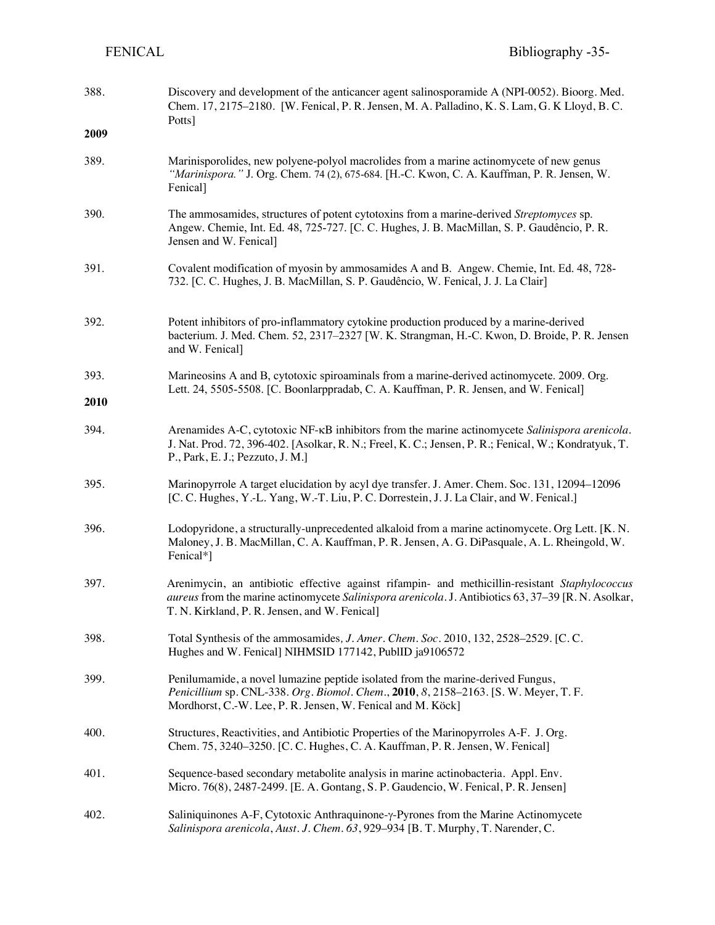| 388. | Discovery and development of the anticancer agent salinosporamide A (NPI-0052). Bioorg. Med.<br>Chem. 17, 2175-2180. [W. Fenical, P. R. Jensen, M. A. Palladino, K. S. Lam, G. K Lloyd, B. C.<br>Potts]                                                |
|------|--------------------------------------------------------------------------------------------------------------------------------------------------------------------------------------------------------------------------------------------------------|
| 2009 |                                                                                                                                                                                                                                                        |
| 389. | Marinisporolides, new polyene-polyol macrolides from a marine actinomycete of new genus<br>"Marinispora." J. Org. Chem. 74 (2), 675-684. [H.-C. Kwon, C. A. Kauffman, P. R. Jensen, W.<br>Fenical]                                                     |
| 390. | The ammosamides, structures of potent cytotoxins from a marine-derived Streptomyces sp.<br>Angew. Chemie, Int. Ed. 48, 725-727. [C. C. Hughes, J. B. MacMillan, S. P. Gaudêncio, P. R.<br>Jensen and W. Fenical]                                       |
| 391. | Covalent modification of myosin by ammosamides A and B. Angew. Chemie, Int. Ed. 48, 728-<br>732. [C. C. Hughes, J. B. MacMillan, S. P. Gaudêncio, W. Fenical, J. J. La Clair]                                                                          |
| 392. | Potent inhibitors of pro-inflammatory cytokine production produced by a marine-derived<br>bacterium. J. Med. Chem. 52, 2317-2327 [W. K. Strangman, H.-C. Kwon, D. Broide, P. R. Jensen<br>and W. Fenical]                                              |
| 393. | Marineosins A and B, cytotoxic spiroaminals from a marine-derived actinomycete. 2009. Org.<br>Lett. 24, 5505-5508. [C. Boonlarppradab, C. A. Kauffman, P. R. Jensen, and W. Fenical]                                                                   |
| 2010 |                                                                                                                                                                                                                                                        |
| 394. | Arenamides A-C, cytotoxic NF-KB inhibitors from the marine actinomycete Salinispora arenicola.<br>J. Nat. Prod. 72, 396-402. [Asolkar, R. N.; Freel, K. C.; Jensen, P. R.; Fenical, W.; Kondratyuk, T.<br>P., Park, E. J.; Pezzuto, J. M.]             |
| 395. | Marinopyrrole A target elucidation by acyl dye transfer. J. Amer. Chem. Soc. 131, 12094–12096<br>[C. C. Hughes, Y.-L. Yang, W.-T. Liu, P. C. Dorrestein, J. J. La Clair, and W. Fenical.]                                                              |
| 396. | Lodopyridone, a structurally-unprecedented alkaloid from a marine actinomycete. Org Lett. [K. N.<br>Maloney, J. B. MacMillan, C. A. Kauffman, P. R. Jensen, A. G. DiPasquale, A. L. Rheingold, W.<br>Fenical*]                                         |
| 397. | Arenimycin, an antibiotic effective against rifampin- and methicillin-resistant Staphylococcus<br>aureus from the marine actinomycete Salinispora arenicola. J. Antibiotics 63, 37–39 [R. N. Asolkar,<br>T. N. Kirkland, P. R. Jensen, and W. Fenical] |
| 398. | Total Synthesis of the ammosamides, J. Amer. Chem. Soc. 2010, 132, 2528–2529. [C. C.<br>Hughes and W. Fenical] NIHMSID 177142, PublID ja9106572                                                                                                        |
| 399. | Penilumamide, a novel lumazine peptide isolated from the marine-derived Fungus,<br>Penicillium sp. CNL-338. Org. Biomol. Chem., 2010, 8, 2158-2163. [S. W. Meyer, T. F.<br>Mordhorst, C.-W. Lee, P. R. Jensen, W. Fenical and M. Köck]                 |
| 400. | Structures, Reactivities, and Antibiotic Properties of the Marinopyrroles A-F. J. Org.<br>Chem. 75, 3240-3250. [C. C. Hughes, C. A. Kauffman, P. R. Jensen, W. Fenical]                                                                                |
| 401. | Sequence-based secondary metabolite analysis in marine actinobacteria. Appl. Env.<br>Micro. 76(8), 2487-2499. [E. A. Gontang, S. P. Gaudencio, W. Fenical, P. R. Jensen]                                                                               |
| 402. | Saliniquinones A-F, Cytotoxic Anthraquinone-γ-Pyrones from the Marine Actinomycete<br>Salinispora arenicola, Aust. J. Chem. 63, 929-934 [B. T. Murphy, T. Narender, C.                                                                                 |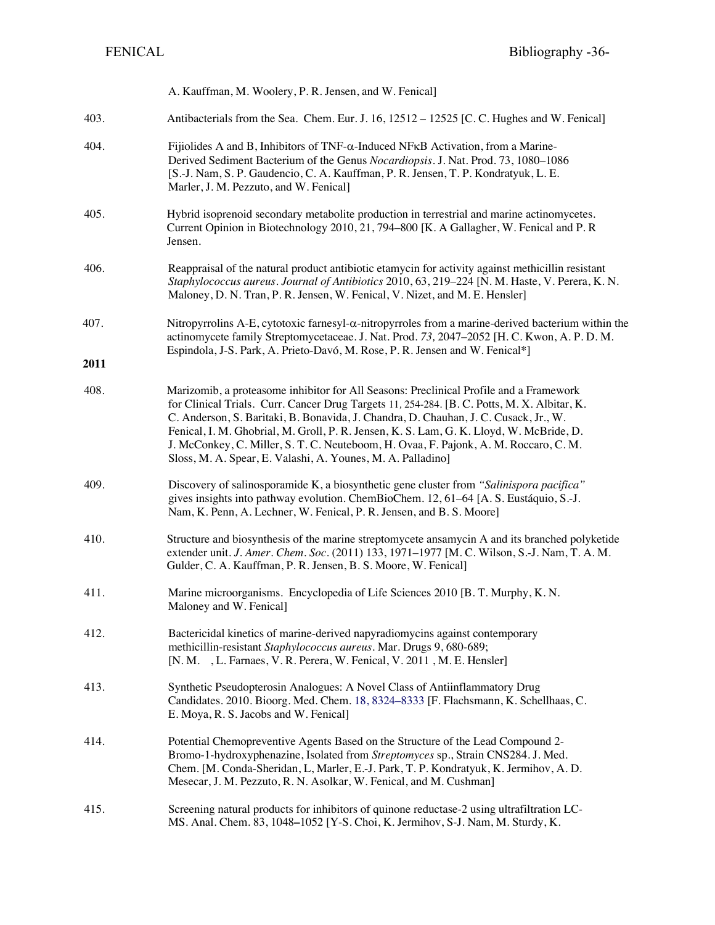|      | A. Kauffman, M. Woolery, P. R. Jensen, and W. Fenical]                                                                                                                                                                                                                                                                                                                                                                                                                                                                          |
|------|---------------------------------------------------------------------------------------------------------------------------------------------------------------------------------------------------------------------------------------------------------------------------------------------------------------------------------------------------------------------------------------------------------------------------------------------------------------------------------------------------------------------------------|
| 403. | Antibacterials from the Sea. Chem. Eur. J. 16, 12512 – 12525 [C. C. Hughes and W. Fenical]                                                                                                                                                                                                                                                                                                                                                                                                                                      |
| 404. | Fijiolides A and B, Inhibitors of TNF- $\alpha$ -Induced NF $\kappa$ B Activation, from a Marine-<br>Derived Sediment Bacterium of the Genus Nocardiopsis. J. Nat. Prod. 73, 1080-1086<br>[S.-J. Nam, S. P. Gaudencio, C. A. Kauffman, P. R. Jensen, T. P. Kondratyuk, L. E.<br>Marler, J. M. Pezzuto, and W. Fenical]                                                                                                                                                                                                          |
| 405. | Hybrid isoprenoid secondary metabolite production in terrestrial and marine actinomycetes.<br>Current Opinion in Biotechnology 2010, 21, 794–800 [K. A Gallagher, W. Fenical and P. R<br>Jensen.                                                                                                                                                                                                                                                                                                                                |
| 406. | Reappraisal of the natural product antibiotic etamycin for activity against methicillin resistant<br>Staphylococcus aureus. Journal of Antibiotics 2010, 63, 219-224 [N. M. Haste, V. Perera, K. N.<br>Maloney, D. N. Tran, P. R. Jensen, W. Fenical, V. Nizet, and M. E. Hensler]                                                                                                                                                                                                                                              |
| 407. | Nitropyrrolins A-E, cytotoxic farnesyl- $\alpha$ -nitropyrroles from a marine-derived bacterium within the<br>actinomycete family Streptomycetaceae. J. Nat. Prod. 73, 2047-2052 [H. C. Kwon, A. P. D. M.<br>Espindola, J-S. Park, A. Prieto-Davó, M. Rose, P. R. Jensen and W. Fenical*]                                                                                                                                                                                                                                       |
| 2011 |                                                                                                                                                                                                                                                                                                                                                                                                                                                                                                                                 |
| 408. | Marizomib, a proteasome inhibitor for All Seasons: Preclinical Profile and a Framework<br>for Clinical Trials. Curr. Cancer Drug Targets 11, 254-284. [B. C. Potts, M. X. Albitar, K.<br>C. Anderson, S. Baritaki, B. Bonavida, J. Chandra, D. Chauhan, J. C. Cusack, Jr., W.<br>Fenical, I. M. Ghobrial, M. Groll, P. R. Jensen, K. S. Lam, G. K. Lloyd, W. McBride, D.<br>J. McConkey, C. Miller, S. T. C. Neuteboom, H. Ovaa, F. Pajonk, A. M. Roccaro, C. M.<br>Sloss, M. A. Spear, E. Valashi, A. Younes, M. A. Palladino] |
| 409. | Discovery of salinosporamide K, a biosynthetic gene cluster from "Salinispora pacifica"<br>gives insights into pathway evolution. ChemBioChem. 12, 61–64 [A. S. Eustáquio, S.-J.<br>Nam, K. Penn, A. Lechner, W. Fenical, P. R. Jensen, and B. S. Moore]                                                                                                                                                                                                                                                                        |
| 410. | Structure and biosynthesis of the marine streptomycete ansamycin A and its branched polyketide<br>extender unit. J. Amer. Chem. Soc. (2011) 133, 1971-1977 [M. C. Wilson, S.-J. Nam, T. A. M.<br>Gulder, C. A. Kauffman, P. R. Jensen, B. S. Moore, W. Fenical]                                                                                                                                                                                                                                                                 |
| 411. | Marine microorganisms. Encyclopedia of Life Sciences 2010 [B. T. Murphy, K. N.<br>Maloney and W. Fenical]                                                                                                                                                                                                                                                                                                                                                                                                                       |
| 412. | Bactericidal kinetics of marine-derived napyradiomycins against contemporary<br>methicillin-resistant Staphylococcus aureus. Mar. Drugs 9, 680-689;<br>[N. M. , L. Farnaes, V. R. Perera, W. Fenical, V. 2011, M. E. Hensler]                                                                                                                                                                                                                                                                                                   |
| 413. | Synthetic Pseudopterosin Analogues: A Novel Class of Antiinflammatory Drug<br>Candidates. 2010. Bioorg. Med. Chem. 18, 8324-8333 [F. Flachsmann, K. Schellhaas, C.<br>E. Moya, R. S. Jacobs and W. Fenical]                                                                                                                                                                                                                                                                                                                     |
| 414. | Potential Chemopreventive Agents Based on the Structure of the Lead Compound 2-<br>Bromo-1-hydroxyphenazine, Isolated from Streptomyces sp., Strain CNS284. J. Med.<br>Chem. [M. Conda-Sheridan, L., Marler, E.-J. Park, T. P. Kondratyuk, K. Jermihov, A. D.<br>Mesecar, J. M. Pezzuto, R. N. Asolkar, W. Fenical, and M. Cushman]                                                                                                                                                                                             |
| 415. | Screening natural products for inhibitors of quinone reductase-2 using ultrafiltration LC-<br>MS. Anal. Chem. 83, 1048-1052 [Y-S. Choi, K. Jermihov, S-J. Nam, M. Sturdy, K.                                                                                                                                                                                                                                                                                                                                                    |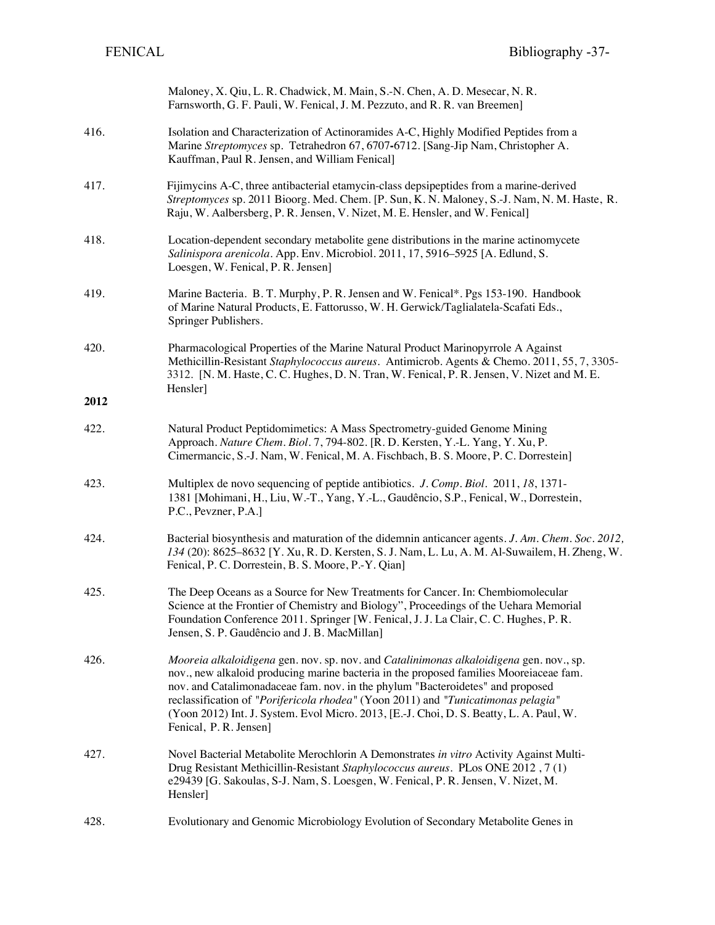|      | Maloney, X. Qiu, L. R. Chadwick, M. Main, S.-N. Chen, A. D. Mesecar, N. R.<br>Farnsworth, G. F. Pauli, W. Fenical, J. M. Pezzuto, and R. R. van Breemen]                                                                                                                                                                                                                                                                                                                     |
|------|------------------------------------------------------------------------------------------------------------------------------------------------------------------------------------------------------------------------------------------------------------------------------------------------------------------------------------------------------------------------------------------------------------------------------------------------------------------------------|
| 416. | Isolation and Characterization of Actinoramides A-C, Highly Modified Peptides from a<br>Marine Streptomyces sp. Tetrahedron 67, 6707-6712. [Sang-Jip Nam, Christopher A.<br>Kauffman, Paul R. Jensen, and William Fenical]                                                                                                                                                                                                                                                   |
| 417. | Fijimycins A-C, three antibacterial etamycin-class depsipeptides from a marine-derived<br>Streptomyces sp. 2011 Bioorg. Med. Chem. [P. Sun, K. N. Maloney, S.-J. Nam, N. M. Haste, R.<br>Raju, W. Aalbersberg, P. R. Jensen, V. Nizet, M. E. Hensler, and W. Fenical]                                                                                                                                                                                                        |
| 418. | Location-dependent secondary metabolite gene distributions in the marine actinomycete<br>Salinispora arenicola. App. Env. Microbiol. 2011, 17, 5916–5925 [A. Edlund, S.<br>Loesgen, W. Fenical, P. R. Jensen]                                                                                                                                                                                                                                                                |
| 419. | Marine Bacteria. B. T. Murphy, P. R. Jensen and W. Fenical*. Pgs 153-190. Handbook<br>of Marine Natural Products, E. Fattorusso, W. H. Gerwick/Taglialatela-Scafati Eds.,<br>Springer Publishers.                                                                                                                                                                                                                                                                            |
| 420. | Pharmacological Properties of the Marine Natural Product Marinopyrrole A Against<br>Methicillin-Resistant Staphylococcus aureus. Antimicrob. Agents & Chemo. 2011, 55, 7, 3305-<br>3312. [N. M. Haste, C. C. Hughes, D. N. Tran, W. Fenical, P. R. Jensen, V. Nizet and M. E.<br>Hensler]                                                                                                                                                                                    |
| 2012 |                                                                                                                                                                                                                                                                                                                                                                                                                                                                              |
| 422. | Natural Product Peptidomimetics: A Mass Spectrometry-guided Genome Mining<br>Approach. Nature Chem. Biol. 7, 794-802. [R. D. Kersten, Y.-L. Yang, Y. Xu, P.<br>Cimermancic, S.-J. Nam, W. Fenical, M. A. Fischbach, B. S. Moore, P. C. Dorrestein]                                                                                                                                                                                                                           |
| 423. | Multiplex de novo sequencing of peptide antibiotics. J. Comp. Biol. 2011, 18, 1371-<br>1381 [Mohimani, H., Liu, W.-T., Yang, Y.-L., Gaudêncio, S.P., Fenical, W., Dorrestein,<br>P.C., Pevzner, P.A.]                                                                                                                                                                                                                                                                        |
| 424. | Bacterial biosynthesis and maturation of the didemnin anticancer agents. J. Am. Chem. Soc. 2012,<br>134 (20): 8625-8632 [Y. Xu, R. D. Kersten, S. J. Nam, L. Lu, A. M. Al-Suwailem, H. Zheng, W.<br>Fenical, P. C. Dorrestein, B. S. Moore, P.-Y. Qian]                                                                                                                                                                                                                      |
| 425. | The Deep Oceans as a Source for New Treatments for Cancer. In: Chembiomolecular<br>Science at the Frontier of Chemistry and Biology", Proceedings of the Uehara Memorial<br>Foundation Conference 2011. Springer [W. Fenical, J. J. La Clair, C. C. Hughes, P. R.<br>Jensen, S. P. Gaudêncio and J. B. MacMillan]                                                                                                                                                            |
| 426. | Mooreia alkaloidigena gen. nov. sp. nov. and Catalinimonas alkaloidigena gen. nov., sp.<br>nov., new alkaloid producing marine bacteria in the proposed families Mooreiaceae fam.<br>nov. and Catalimonadaceae fam. nov. in the phylum "Bacteroidetes" and proposed<br>reclassification of "Porifericola rhodea" (Yoon 2011) and "Tunicatimonas pelagia"<br>(Yoon 2012) Int. J. System. Evol Micro. 2013, [E.-J. Choi, D. S. Beatty, L. A. Paul, W.<br>Fenical, P.R. Jensen] |
| 427. | Novel Bacterial Metabolite Merochlorin A Demonstrates in vitro Activity Against Multi-<br>Drug Resistant Methicillin-Resistant Staphylococcus aureus. PLos ONE 2012, 7(1)<br>e29439 [G. Sakoulas, S-J. Nam, S. Loesgen, W. Fenical, P. R. Jensen, V. Nizet, M.<br>Hensler]                                                                                                                                                                                                   |
| 428. | Evolutionary and Genomic Microbiology Evolution of Secondary Metabolite Genes in                                                                                                                                                                                                                                                                                                                                                                                             |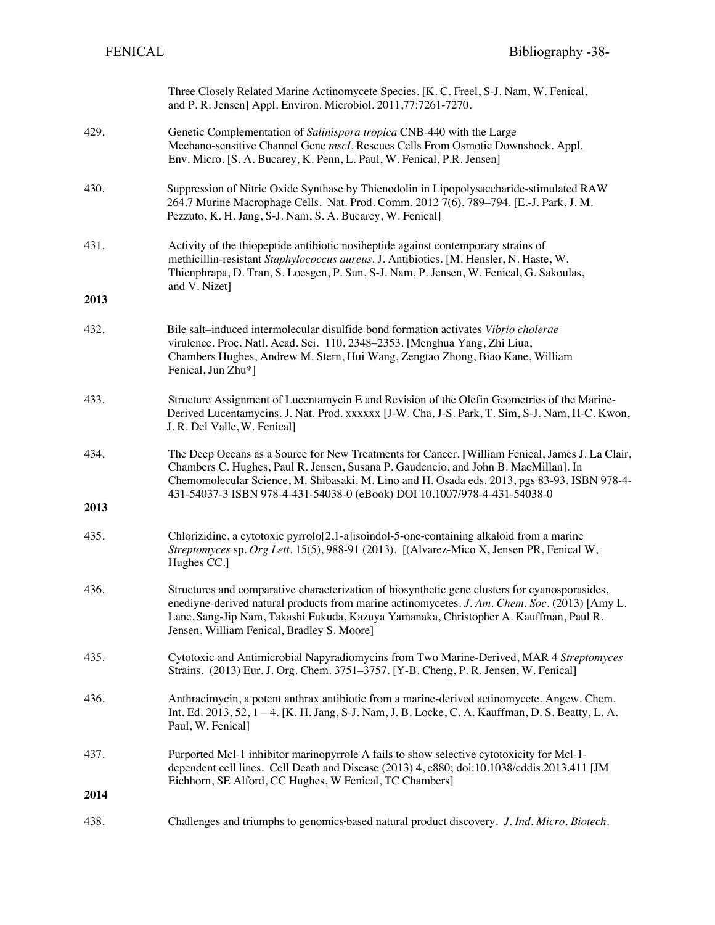|      | Three Closely Related Marine Actinomycete Species. [K. C. Freel, S-J. Nam, W. Fenical,<br>and P. R. Jensen] Appl. Environ. Microbiol. 2011,77:7261-7270.                                                                                                                                                                                                           |
|------|--------------------------------------------------------------------------------------------------------------------------------------------------------------------------------------------------------------------------------------------------------------------------------------------------------------------------------------------------------------------|
| 429. | Genetic Complementation of Salinispora tropica CNB-440 with the Large<br>Mechano-sensitive Channel Gene mscL Rescues Cells From Osmotic Downshock. Appl.<br>Env. Micro. [S. A. Bucarey, K. Penn, L. Paul, W. Fenical, P.R. Jensen]                                                                                                                                 |
| 430. | Suppression of Nitric Oxide Synthase by Thienodolin in Lipopolysaccharide-stimulated RAW<br>264.7 Murine Macrophage Cells. Nat. Prod. Comm. 2012 7(6), 789–794. [E.-J. Park, J. M.<br>Pezzuto, K. H. Jang, S-J. Nam, S. A. Bucarey, W. Fenical]                                                                                                                    |
| 431. | Activity of the thiopeptide antibiotic nosiheptide against contemporary strains of<br>methicillin-resistant Staphylococcus aureus. J. Antibiotics. [M. Hensler, N. Haste, W.<br>Thienphrapa, D. Tran, S. Loesgen, P. Sun, S-J. Nam, P. Jensen, W. Fenical, G. Sakoulas,<br>and V. Nizet]                                                                           |
| 2013 |                                                                                                                                                                                                                                                                                                                                                                    |
| 432. | Bile salt-induced intermolecular disulfide bond formation activates Vibrio cholerae<br>virulence. Proc. Natl. Acad. Sci. 110, 2348-2353. [Menghua Yang, Zhi Liua,<br>Chambers Hughes, Andrew M. Stern, Hui Wang, Zengtao Zhong, Biao Kane, William<br>Fenical, Jun Zhu*]                                                                                           |
| 433. | Structure Assignment of Lucentamycin E and Revision of the Olefin Geometries of the Marine-<br>Derived Lucentamycins. J. Nat. Prod. xxxxxx [J-W. Cha, J-S. Park, T. Sim, S-J. Nam, H-C. Kwon,<br>J. R. Del Valle, W. Fenical]                                                                                                                                      |
| 434. | The Deep Oceans as a Source for New Treatments for Cancer. [William Fenical, James J. La Clair,<br>Chambers C. Hughes, Paul R. Jensen, Susana P. Gaudencio, and John B. MacMillan]. In<br>Chemomolecular Science, M. Shibasaki. M. Lino and H. Osada eds. 2013, pgs 83-93. ISBN 978-4-<br>431-54037-3 ISBN 978-4-431-54038-0 (eBook) DOI 10.1007/978-4-431-54038-0 |
| 2013 |                                                                                                                                                                                                                                                                                                                                                                    |
| 435. | Chlorizidine, a cytotoxic pyrrolo $[2,1-a]$ isoindol-5-one-containing alkaloid from a marine<br>Streptomyces sp. Org Lett. 15(5), 988-91 (2013). [(Alvarez-Mico X, Jensen PR, Fenical W,<br>Hughes CC.]                                                                                                                                                            |
| 436. | Structures and comparative characterization of biosynthetic gene clusters for cyanosporasides,<br>enediyne-derived natural products from marine actinomycetes. J. Am. Chem. Soc. (2013) [Amy L.<br>Lane, Sang-Jip Nam, Takashi Fukuda, Kazuya Yamanaka, Christopher A. Kauffman, Paul R.<br>Jensen, William Fenical, Bradley S. Moore]                             |
| 435. | Cytotoxic and Antimicrobial Napyradiomycins from Two Marine-Derived, MAR 4 Streptomyces<br>Strains. (2013) Eur. J. Org. Chem. 3751–3757. [Y-B. Cheng, P. R. Jensen, W. Fenical]                                                                                                                                                                                    |
| 436. | Anthracimycin, a potent anthrax antibiotic from a marine-derived actinomycete. Angew. Chem.<br>Int. Ed. 2013, 52, 1 – 4. [K. H. Jang, S-J. Nam, J. B. Locke, C. A. Kauffman, D. S. Beatty, L. A.<br>Paul, W. Fenical]                                                                                                                                              |
| 437. | Purported Mcl-1 inhibitor marinopyrrole A fails to show selective cytotoxicity for Mcl-1-<br>dependent cell lines. Cell Death and Disease (2013) 4, e880; doi:10.1038/cddis.2013.411 [JM<br>Eichhorn, SE Alford, CC Hughes, W Fenical, TC Chambers]                                                                                                                |
| 2014 |                                                                                                                                                                                                                                                                                                                                                                    |
| 438. | Challenges and triumphs to genomics-based natural product discovery. J. Ind. Micro. Biotech.                                                                                                                                                                                                                                                                       |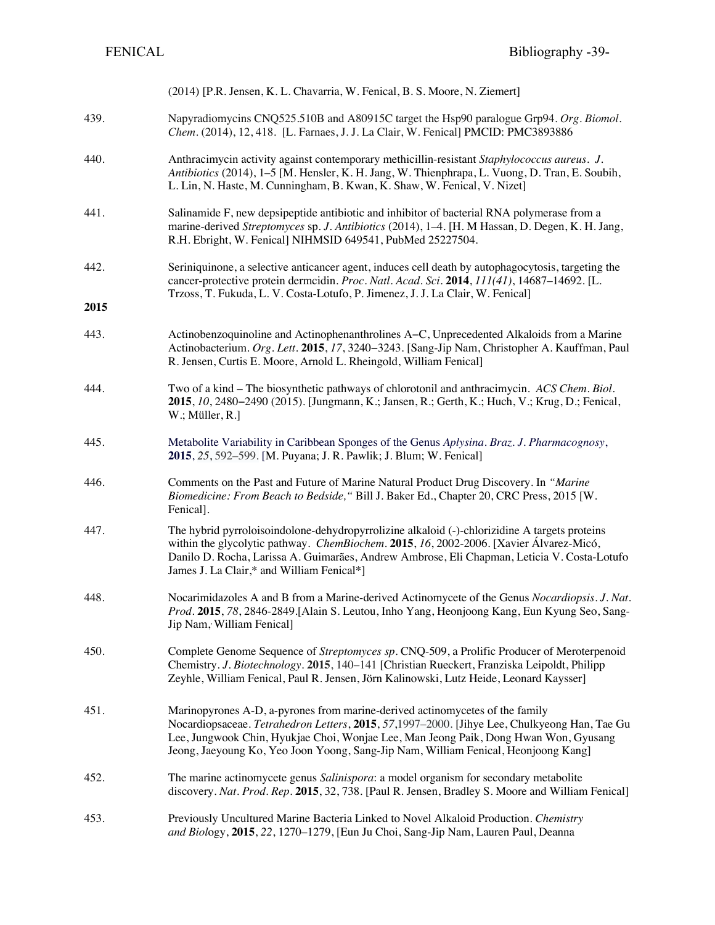|      | (2014) [P.R. Jensen, K. L. Chavarria, W. Fenical, B. S. Moore, N. Ziemert]                                                                                                                                                                                                                                                                                 |
|------|------------------------------------------------------------------------------------------------------------------------------------------------------------------------------------------------------------------------------------------------------------------------------------------------------------------------------------------------------------|
| 439. | Napyradiomycins CNQ525.510B and A80915C target the Hsp90 paralogue Grp94. Org. Biomol.<br>Chem. (2014), 12, 418. [L. Farnaes, J. J. La Clair, W. Fenical] PMCID: PMC3893886                                                                                                                                                                                |
| 440. | Anthracimycin activity against contemporary methicillin-resistant Staphylococcus aureus. J.<br>Antibiotics (2014), 1–5 [M. Hensler, K. H. Jang, W. Thienphrapa, L. Vuong, D. Tran, E. Soubih,<br>L. Lin, N. Haste, M. Cunningham, B. Kwan, K. Shaw, W. Fenical, V. Nizet]                                                                                  |
| 441. | Salinamide F, new depsipeptide antibiotic and inhibitor of bacterial RNA polymerase from a<br>marine-derived Streptomyces sp. J. Antibiotics (2014), 1-4. [H. M Hassan, D. Degen, K. H. Jang,<br>R.H. Ebright, W. Fenical] NIHMSID 649541, PubMed 25227504.                                                                                                |
| 442. | Seriniquinone, a selective anticancer agent, induces cell death by autophagocytosis, targeting the<br>cancer-protective protein dermcidin. Proc. Natl. Acad. Sci. 2014, 111(41), 14687-14692. [L.<br>Trzoss, T. Fukuda, L. V. Costa-Lotufo, P. Jimenez, J. J. La Clair, W. Fenical]                                                                        |
| 2015 |                                                                                                                                                                                                                                                                                                                                                            |
| 443. | Actinobenzoquinoline and Actinophenanthrolines A–C, Unprecedented Alkaloids from a Marine<br>Actinobacterium. Org. Lett. 2015, 17, 3240-3243. [Sang-Jip Nam, Christopher A. Kauffman, Paul<br>R. Jensen, Curtis E. Moore, Arnold L. Rheingold, William Fenical]                                                                                            |
| 444. | Two of a kind – The biosynthetic pathways of chlorotonil and anthracimycin. ACS Chem. Biol.<br>2015, 10, 2480-2490 (2015). [Jungmann, K.; Jansen, R.; Gerth, K.; Huch, V.; Krug, D.; Fenical,<br>$W:$ ; Müller, $R.$ ]                                                                                                                                     |
| 445. | Metabolite Variability in Caribbean Sponges of the Genus Aplysina. Braz. J. Pharmacognosy,<br>2015, 25, 592-599. [M. Puyana; J. R. Pawlik; J. Blum; W. Fenical]                                                                                                                                                                                            |
| 446. | Comments on the Past and Future of Marine Natural Product Drug Discovery. In "Marine<br>Biomedicine: From Beach to Bedside, "Bill J. Baker Ed., Chapter 20, CRC Press, 2015 [W.<br>Fenical].                                                                                                                                                               |
| 447. | The hybrid pyrroloisoindolone-dehydropyrrolizine alkaloid (-)-chlorizidine A targets proteins<br>within the glycolytic pathway. ChemBiochem. 2015, 16, 2002-2006. [Xavier Álvarez-Micó,<br>Danilo D. Rocha, Larissa A. Guimarães, Andrew Ambrose, Eli Chapman, Leticia V. Costa-Lotufo<br>James J. La Clair,* and William Fenical*]                        |
| 448. | Nocarimidazoles A and B from a Marine-derived Actinomycete of the Genus Nocardiopsis. J. Nat.<br>Prod. 2015, 78, 2846-2849. [Alain S. Leutou, Inho Yang, Heonjoong Kang, Eun Kyung Seo, Sang-<br>Jip Nam, William Fenical]                                                                                                                                 |
| 450. | Complete Genome Sequence of Streptomyces sp. CNQ-509, a Prolific Producer of Meroterpenoid<br>Chemistry. J. Biotechnology. 2015, 140-141 [Christian Rueckert, Franziska Leipoldt, Philipp<br>Zeyhle, William Fenical, Paul R. Jensen, Jörn Kalinowski, Lutz Heide, Leonard Kaysser]                                                                        |
| 451. | Marinopyrones A-D, a-pyrones from marine-derived actinomycetes of the family<br>Nocardiopsaceae. Tetrahedron Letters, 2015, 57,1997-2000. [Jihye Lee, Chulkyeong Han, Tae Gu<br>Lee, Jungwook Chin, Hyukjae Choi, Wonjae Lee, Man Jeong Paik, Dong Hwan Won, Gyusang<br>Jeong, Jaeyoung Ko, Yeo Joon Yoong, Sang-Jip Nam, William Fenical, Heonjoong Kang] |
| 452. | The marine actinomycete genus Salinispora: a model organism for secondary metabolite<br>discovery. Nat. Prod. Rep. 2015, 32, 738. [Paul R. Jensen, Bradley S. Moore and William Fenical]                                                                                                                                                                   |
| 453. | Previously Uncultured Marine Bacteria Linked to Novel Alkaloid Production. Chemistry<br>and Biology, 2015, 22, 1270–1279, [Eun Ju Choi, Sang-Jip Nam, Lauren Paul, Deanna                                                                                                                                                                                  |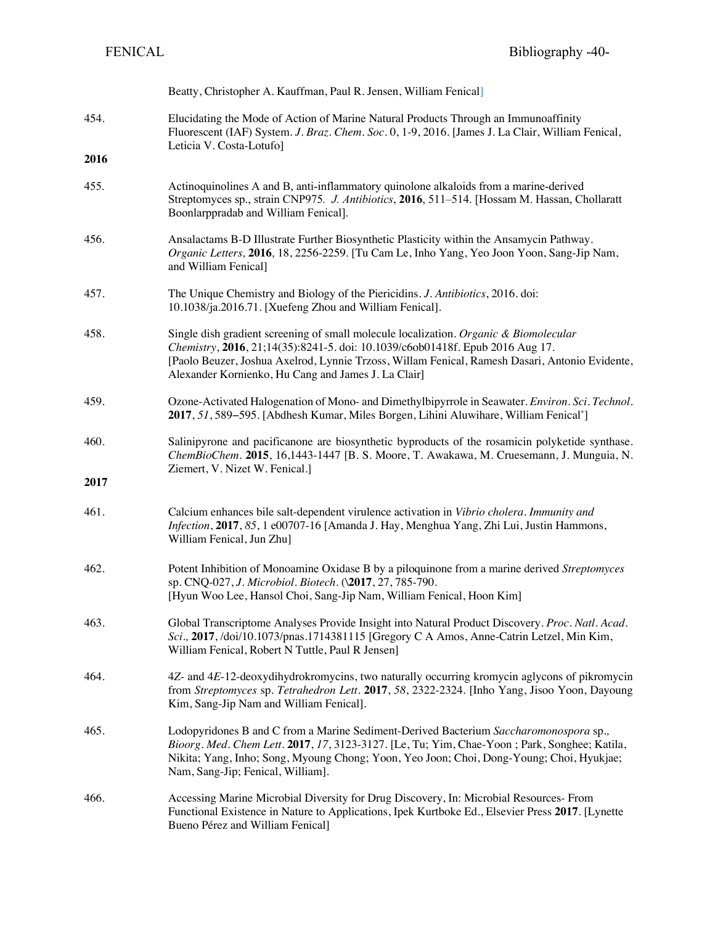|      | Beatty, Christopher A. Kauffman, Paul R. Jensen, William Fenical]                                                                                                                                                                                                                                                               |
|------|---------------------------------------------------------------------------------------------------------------------------------------------------------------------------------------------------------------------------------------------------------------------------------------------------------------------------------|
| 454. | Elucidating the Mode of Action of Marine Natural Products Through an Immunoaffinity<br>Fluorescent (IAF) System. J. Braz. Chem. Soc. 0, 1-9, 2016. [James J. La Clair, William Fenical,<br>Leticia V. Costa-Lotufo]                                                                                                             |
| 2016 |                                                                                                                                                                                                                                                                                                                                 |
| 455. | Actinoquinolines A and B, anti-inflammatory quinolone alkaloids from a marine-derived<br>Streptomyces sp., strain CNP975. J. Antibiotics, 2016, 511-514. [Hossam M. Hassan, Chollaratt<br>Boonlarppradab and William Fenical].                                                                                                  |
| 456. | Ansalactams B-D Illustrate Further Biosynthetic Plasticity within the Ansamycin Pathway.<br>Organic Letters, 2016, 18, 2256-2259. [Tu Cam Le, Inho Yang, Yeo Joon Yoon, Sang-Jip Nam,<br>and William Fenical]                                                                                                                   |
| 457. | The Unique Chemistry and Biology of the Piericidins. J. Antibiotics, 2016. doi:<br>10.1038/ja.2016.71. [Xuefeng Zhou and William Fenical].                                                                                                                                                                                      |
| 458. | Single dish gradient screening of small molecule localization. Organic & Biomolecular<br>Chemistry, 2016, 21;14(35):8241-5. doi: 10.1039/c6ob01418f. Epub 2016 Aug 17.<br>[Paolo Beuzer, Joshua Axelrod, Lynnie Trzoss, Willam Fenical, Ramesh Dasari, Antonio Evidente,<br>Alexander Kornienko, Hu Cang and James J. La Clair] |
| 459. | Ozone-Activated Halogenation of Mono- and Dimethylbipyrrole in Seawater. Environ. Sci. Technol.<br>2017, 51, 589–595. [Abdhesh Kumar, Miles Borgen, Lihini Aluwihare, William Fenical*]                                                                                                                                         |
| 460. | Salinipyrone and pacificanone are biosynthetic byproducts of the rosamicin polyketide synthase.<br>ChemBioChem. 2015, 16,1443-1447 [B. S. Moore, T. Awakawa, M. Cruesemann, J. Munguia, N.<br>Ziemert, V. Nizet W. Fenical.]                                                                                                    |
| 2017 |                                                                                                                                                                                                                                                                                                                                 |
| 461. | Calcium enhances bile salt-dependent virulence activation in Vibrio cholera. Immunity and<br>Infection, 2017, 85, 1 e00707-16 [Amanda J. Hay, Menghua Yang, Zhi Lui, Justin Hammons,<br>William Fenical, Jun Zhu]                                                                                                               |
| 462. | Potent Inhibition of Monoamine Oxidase B by a piloquinone from a marine derived Streptomyces<br>sp. CNQ-027, J. Microbiol. Biotech. (\2017, 27, 785-790.<br>[Hyun Woo Lee, Hansol Choi, Sang-Jip Nam, William Fenical, Hoon Kim]                                                                                                |
| 463. | Global Transcriptome Analyses Provide Insight into Natural Product Discovery. Proc. Natl. Acad.<br>Sci., 2017, /doi/10.1073/pnas.1714381115 [Gregory C A Amos, Anne-Catrin Letzel, Min Kim,<br>William Fenical, Robert N Tuttle, Paul R Jensen]                                                                                 |
| 464. | 4Z- and 4E-12-deoxydihydrokromycins, two naturally occurring kromycin aglycons of pikromycin<br>from Streptomyces sp. Tetrahedron Lett. 2017, 58, 2322-2324. [Inho Yang, Jisoo Yoon, Dayoung<br>Kim, Sang-Jip Nam and William Fenical].                                                                                         |
| 465. | Lodopyridones B and C from a Marine Sediment-Derived Bacterium Saccharomonospora sp.,<br>Bioorg. Med. Chem Lett. 2017, 17, 3123-3127. [Le, Tu; Yim, Chae-Yoon; Park, Songhee; Katila,<br>Nikita; Yang, Inho; Song, Myoung Chong; Yoon, Yeo Joon; Choi, Dong-Young; Choi, Hyukjae;<br>Nam, Sang-Jip; Fenical, William].          |
| 466. | Accessing Marine Microbial Diversity for Drug Discovery, In: Microbial Resources- From<br>Functional Existence in Nature to Applications, Ipek Kurtboke Ed., Elsevier Press 2017. [Lynette<br>Bueno Pérez and William Fenical]                                                                                                  |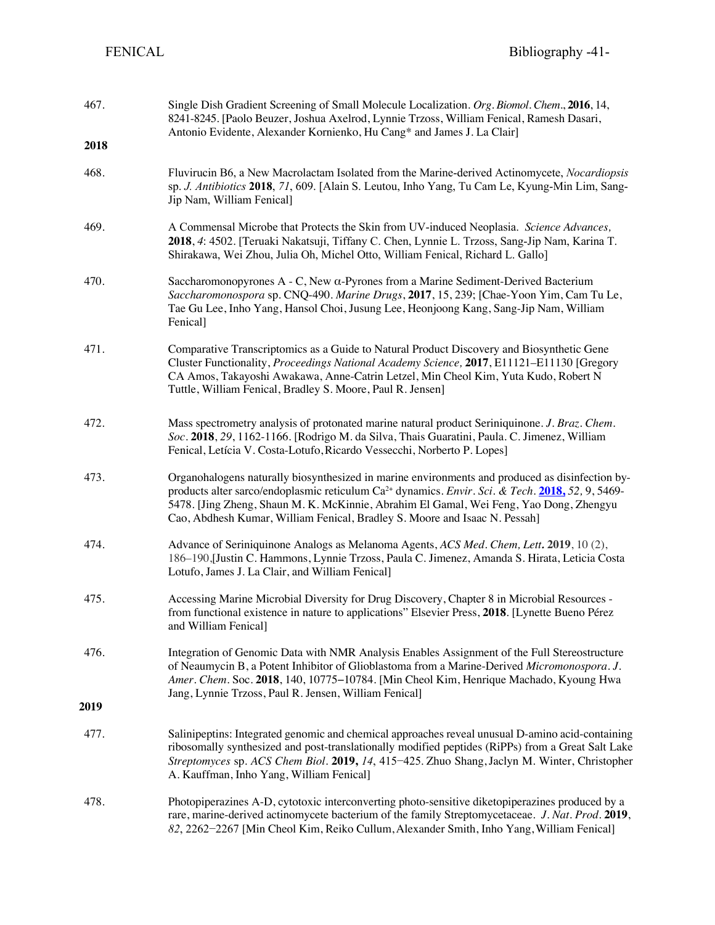| 467. | Single Dish Gradient Screening of Small Molecule Localization. Org. Biomol. Chem., 2016, 14,<br>8241-8245. [Paolo Beuzer, Joshua Axelrod, Lynnie Trzoss, William Fenical, Ramesh Dasari,<br>Antonio Evidente, Alexander Kornienko, Hu Cang* and James J. La Clair]                                                                                                                                 |
|------|----------------------------------------------------------------------------------------------------------------------------------------------------------------------------------------------------------------------------------------------------------------------------------------------------------------------------------------------------------------------------------------------------|
| 2018 |                                                                                                                                                                                                                                                                                                                                                                                                    |
| 468. | Fluvirucin B6, a New Macrolactam Isolated from the Marine-derived Actinomycete, Nocardiopsis<br>sp. J. Antibiotics 2018, 71, 609. [Alain S. Leutou, Inho Yang, Tu Cam Le, Kyung-Min Lim, Sang-<br>Jip Nam, William Fenical]                                                                                                                                                                        |
| 469. | A Commensal Microbe that Protects the Skin from UV-induced Neoplasia. Science Advances,<br>2018, 4: 4502. [Teruaki Nakatsuji, Tiffany C. Chen, Lynnie L. Trzoss, Sang-Jip Nam, Karina T.<br>Shirakawa, Wei Zhou, Julia Oh, Michel Otto, William Fenical, Richard L. Gallo]                                                                                                                         |
| 470. | Saccharomonopyrones $A - C$ , New $\alpha$ -Pyrones from a Marine Sediment-Derived Bacterium<br>Saccharomonospora sp. CNQ-490. Marine Drugs, 2017, 15, 239; [Chae-Yoon Yim, Cam Tu Le,<br>Tae Gu Lee, Inho Yang, Hansol Choi, Jusung Lee, Heonjoong Kang, Sang-Jip Nam, William<br>Fenical]                                                                                                        |
| 471. | Comparative Transcriptomics as a Guide to Natural Product Discovery and Biosynthetic Gene<br>Cluster Functionality, Proceedings National Academy Science, 2017, E11121-E11130 [Gregory<br>CA Amos, Takayoshi Awakawa, Anne-Catrin Letzel, Min Cheol Kim, Yuta Kudo, Robert N<br>Tuttle, William Fenical, Bradley S. Moore, Paul R. Jensen]                                                         |
| 472. | Mass spectrometry analysis of protonated marine natural product Seriniquinone. J. Braz. Chem.<br>Soc. 2018, 29, 1162-1166. [Rodrigo M. da Silva, Thais Guaratini, Paula. C. Jimenez, William<br>Fenical, Letícia V. Costa-Lotufo, Ricardo Vessecchi, Norberto P. Lopes]                                                                                                                            |
| 473. | Organohalogens naturally biosynthesized in marine environments and produced as disinfection by-<br>products alter sarco/endoplasmic reticulum Ca <sup>2+</sup> dynamics. <i>Envir. Sci. &amp; Tech.</i> 2018, 52, 9, 5469-<br>5478. [Jing Zheng, Shaun M. K. McKinnie, Abrahim El Gamal, Wei Feng, Yao Dong, Zhengyu<br>Cao, Abdhesh Kumar, William Fenical, Bradley S. Moore and Isaac N. Pessah] |
| 474. | Advance of Seriniquinone Analogs as Melanoma Agents, ACS Med. Chem, Lett. 2019, 10 (2),<br>186-190, Justin C. Hammons, Lynnie Trzoss, Paula C. Jimenez, Amanda S. Hirata, Leticia Costa<br>Lotufo, James J. La Clair, and William Fenical]                                                                                                                                                         |
| 475. | Accessing Marine Microbial Diversity for Drug Discovery, Chapter 8 in Microbial Resources -<br>from functional existence in nature to applications" Elsevier Press, 2018. [Lynette Bueno Pérez<br>and William Fenical]                                                                                                                                                                             |
| 476. | Integration of Genomic Data with NMR Analysis Enables Assignment of the Full Stereostructure<br>of Neaumycin B, a Potent Inhibitor of Glioblastoma from a Marine-Derived Micromonospora. J.<br>Amer. Chem. Soc. 2018, 140, 10775-10784. [Min Cheol Kim, Henrique Machado, Kyoung Hwa<br>Jang, Lynnie Trzoss, Paul R. Jensen, William Fenical]                                                      |
| 2019 |                                                                                                                                                                                                                                                                                                                                                                                                    |
| 477. | Salinipeptins: Integrated genomic and chemical approaches reveal unusual D-amino acid-containing<br>ribosomally synthesized and post-translationally modified peptides (RiPPs) from a Great Salt Lake<br>Streptomyces sp. ACS Chem Biol. 2019, 14, 415-425. Zhuo Shang, Jaclyn M. Winter, Christopher<br>A. Kauffman, Inho Yang, William Fenical]                                                  |
| 478. | Photopiperazines A-D, cytotoxic interconverting photo-sensitive diketopiperazines produced by a<br>rare, marine-derived actinomycete bacterium of the family Streptomycetaceae. J. Nat. Prod. 2019,<br>82, 2262-2267 [Min Cheol Kim, Reiko Cullum, Alexander Smith, Inho Yang, William Fenical]                                                                                                    |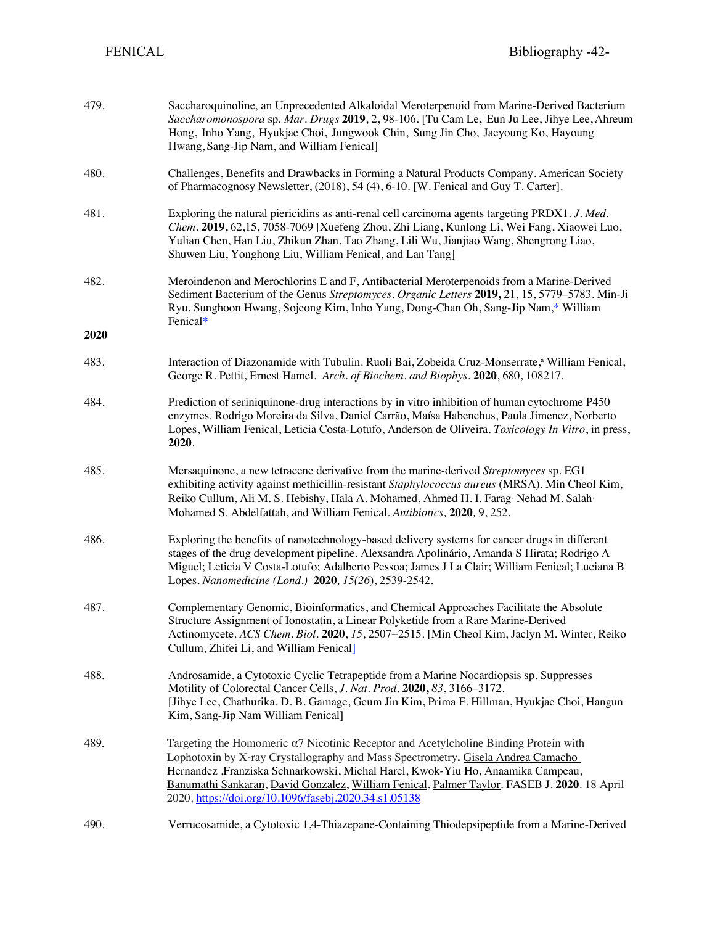| 479. | Saccharoquinoline, an Unprecedented Alkaloidal Meroterpenoid from Marine-Derived Bacterium<br>Saccharomonospora sp. Mar. Drugs 2019, 2, 98-106. [Tu Cam Le, Eun Ju Lee, Jihye Lee, Ahreum<br>Hong, Inho Yang, Hyukjae Choi, Jungwook Chin, Sung Jin Cho, Jaeyoung Ko, Hayoung<br>Hwang, Sang-Jip Nam, and William Fenical]                                                                                                 |
|------|----------------------------------------------------------------------------------------------------------------------------------------------------------------------------------------------------------------------------------------------------------------------------------------------------------------------------------------------------------------------------------------------------------------------------|
| 480. | Challenges, Benefits and Drawbacks in Forming a Natural Products Company. American Society<br>of Pharmacognosy Newsletter, (2018), 54 (4), 6-10. [W. Fenical and Guy T. Carter].                                                                                                                                                                                                                                           |
| 481. | Exploring the natural piericidins as anti-renal cell carcinoma agents targeting PRDX1. J. Med.<br>Chem. 2019, 62,15, 7058-7069 [Xuefeng Zhou, Zhi Liang, Kunlong Li, Wei Fang, Xiaowei Luo,<br>Yulian Chen, Han Liu, Zhikun Zhan, Tao Zhang, Lili Wu, Jianjiao Wang, Shengrong Liao,<br>Shuwen Liu, Yonghong Liu, William Fenical, and Lan Tang]                                                                           |
| 482. | Meroindenon and Merochlorins E and F, Antibacterial Meroterpenoids from a Marine-Derived<br>Sediment Bacterium of the Genus Streptomyces. Organic Letters 2019, 21, 15, 5779-5783. Min-Ji<br>Ryu, Sunghoon Hwang, Sojeong Kim, Inho Yang, Dong-Chan Oh, Sang-Jip Nam,* William<br>Fenical*                                                                                                                                 |
| 2020 |                                                                                                                                                                                                                                                                                                                                                                                                                            |
| 483. | Interaction of Diazonamide with Tubulin. Ruoli Bai, Zobeida Cruz-Monserrate, <sup>a</sup> William Fenical,<br>George R. Pettit, Ernest Hamel. Arch. of Biochem. and Biophys. 2020, 680, 108217.                                                                                                                                                                                                                            |
| 484. | Prediction of seriniquinone-drug interactions by in vitro inhibition of human cytochrome P450<br>enzymes. Rodrigo Moreira da Silva, Daniel Carrão, Maísa Habenchus, Paula Jimenez, Norberto<br>Lopes, William Fenical, Leticia Costa-Lotufo, Anderson de Oliveira. Toxicology In Vitro, in press,<br>2020.                                                                                                                 |
| 485. | Mersaquinone, a new tetracene derivative from the marine-derived Streptomyces sp. EG1<br>exhibiting activity against methicillin-resistant Staphylococcus aureus (MRSA). Min Cheol Kim,<br>Reiko Cullum, Ali M. S. Hebishy, Hala A. Mohamed, Ahmed H. I. Farag Nehad M. Salah<br>Mohamed S. Abdelfattah, and William Fenical. Antibiotics, 2020, 9, 252.                                                                   |
| 486. | Exploring the benefits of nanotechnology-based delivery systems for cancer drugs in different<br>stages of the drug development pipeline. Alexsandra Apolinário, Amanda S Hirata; Rodrigo A<br>Miguel; Leticia V Costa-Lotufo; Adalberto Pessoa; James J La Clair; William Fenical; Luciana B<br>Lopes. Nanomedicine (Lond.) 2020, 15(26), 2539-2542.                                                                      |
| 487. | Complementary Genomic, Bioinformatics, and Chemical Approaches Facilitate the Absolute<br>Structure Assignment of Ionostatin, a Linear Polyketide from a Rare Marine-Derived<br>Actinomycete. ACS Chem. Biol. 2020, 15, 2507-2515. [Min Cheol Kim, Jaclyn M. Winter, Reiko<br>Cullum, Zhifei Li, and William Fenical]                                                                                                      |
| 488. | Androsamide, a Cytotoxic Cyclic Tetrapeptide from a Marine Nocardiopsis sp. Suppresses<br>Motility of Colorectal Cancer Cells, J. Nat. Prod. 2020, 83, 3166-3172.<br>[Jihye Lee, Chathurika. D. B. Gamage, Geum Jin Kim, Prima F. Hillman, Hyukjae Choi, Hangun<br>Kim, Sang-Jip Nam William Fenical]                                                                                                                      |
| 489. | Targeting the Homomeric $\alpha$ 7 Nicotinic Receptor and Acetylcholine Binding Protein with<br>Lophotoxin by X-ray Crystallography and Mass Spectrometry. Gisela Andrea Camacho<br>Hernandez Franziska Schnarkowski, Michal Harel, Kwok-Yiu Ho, Anaamika Campeau,<br>Banumathi Sankaran, David Gonzalez, William Fenical, Palmer Taylor. FASEB J. 2020. 18 April<br>2020, https://doi.org/10.1096/fasebj.2020.34.s1.05138 |
| 490. | Verrucosamide, a Cytotoxic 1,4-Thiazepane-Containing Thiodepsipeptide from a Marine-Derived                                                                                                                                                                                                                                                                                                                                |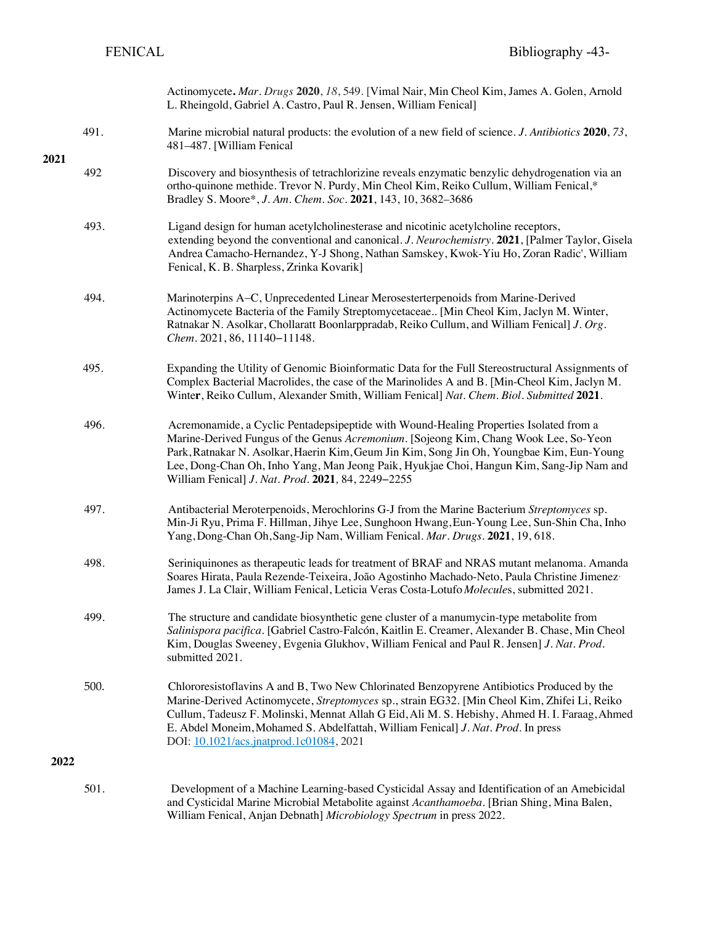|      |      | Actinomycete. Mar. Drugs 2020, 18, 549. [Vimal Nair, Min Cheol Kim, James A. Golen, Arnold<br>L. Rheingold, Gabriel A. Castro, Paul R. Jensen, William Fenical]                                                                                                                                                                                                                                                               |
|------|------|-------------------------------------------------------------------------------------------------------------------------------------------------------------------------------------------------------------------------------------------------------------------------------------------------------------------------------------------------------------------------------------------------------------------------------|
| 2021 | 491. | Marine microbial natural products: the evolution of a new field of science. J. Antibiotics 2020, 73,<br>481-487. [William Fenical                                                                                                                                                                                                                                                                                             |
|      | 492  | Discovery and biosynthesis of tetrachlorizine reveals enzymatic benzylic dehydrogenation via an<br>ortho-quinone methide. Trevor N. Purdy, Min Cheol Kim, Reiko Cullum, William Fenical,*<br>Bradley S. Moore*, J. Am. Chem. Soc. 2021, 143, 10, 3682-3686                                                                                                                                                                    |
|      | 493. | Ligand design for human acetylcholinesterase and nicotinic acetylcholine receptors,<br>extending beyond the conventional and canonical. J. Neurochemistry. 2021, [Palmer Taylor, Gisela<br>Andrea Camacho-Hernandez, Y-J Shong, Nathan Samskey, Kwok-Yiu Ho, Zoran Radic', William<br>Fenical, K. B. Sharpless, Zrinka Kovarik]                                                                                               |
|      | 494. | Marinoterpins A–C, Unprecedented Linear Merosesterterpenoids from Marine-Derived<br>Actinomycete Bacteria of the Family Streptomycetaceae [Min Cheol Kim, Jaclyn M. Winter,<br>Ratnakar N. Asolkar, Chollaratt Boonlarppradab, Reiko Cullum, and William Fenical] J. Org.<br>Chem. 2021, 86, 11140-11148.                                                                                                                     |
|      | 495. | Expanding the Utility of Genomic Bioinformatic Data for the Full Stereostructural Assignments of<br>Complex Bacterial Macrolides, the case of the Marinolides A and B. [Min-Cheol Kim, Jaclyn M.<br>Winter, Reiko Cullum, Alexander Smith, William Fenical] Nat. Chem. Biol. Submitted 2021.                                                                                                                                  |
|      | 496. | Acremonamide, a Cyclic Pentadepsipeptide with Wound-Healing Properties Isolated from a<br>Marine-Derived Fungus of the Genus Acremonium. [Sojeong Kim, Chang Wook Lee, So-Yeon<br>Park, Ratnakar N. Asolkar, Haerin Kim, Geum Jin Kim, Song Jin Oh, Youngbae Kim, Eun-Young<br>Lee, Dong-Chan Oh, Inho Yang, Man Jeong Paik, Hyukjae Choi, Hangun Kim, Sang-Jip Nam and<br>William Fenical] J. Nat. Prod. 2021, 84, 2249-2255 |
|      | 497. | Antibacterial Meroterpenoids, Merochlorins G-J from the Marine Bacterium Streptomyces sp.<br>Min-Ji Ryu, Prima F. Hillman, Jihye Lee, Sunghoon Hwang, Eun-Young Lee, Sun-Shin Cha, Inho<br>Yang, Dong-Chan Oh, Sang-Jip Nam, William Fenical. Mar. Drugs. 2021, 19, 618.                                                                                                                                                      |
|      | 498. | Seriniquinones as therapeutic leads for treatment of BRAF and NRAS mutant melanoma. Amanda<br>Soares Hirata, Paula Rezende-Teixeira, João Agostinho Machado-Neto, Paula Christine Jimenez <sup>,</sup><br>James J. La Clair, William Fenical, Leticia Veras Costa-Lotufo Molecules, submitted 2021.                                                                                                                           |
|      | 499. | The structure and candidate biosynthetic gene cluster of a manumycin-type metabolite from<br>Salinispora pacifica. [Gabriel Castro-Falcón, Kaitlin E. Creamer, Alexander B. Chase, Min Cheol<br>Kim, Douglas Sweeney, Evgenia Glukhov, William Fenical and Paul R. Jensen] J. Nat. Prod.<br>submitted 2021.                                                                                                                   |
|      | 500. | Chlororesistoflavins A and B, Two New Chlorinated Benzopyrene Antibiotics Produced by the<br>Marine-Derived Actinomycete, Streptomyces sp., strain EG32. [Min Cheol Kim, Zhifei Li, Reiko<br>Cullum, Tadeusz F. Molinski, Mennat Allah G Eid, Ali M. S. Hebishy, Ahmed H. I. Faraag, Ahmed<br>E. Abdel Moneim, Mohamed S. Abdelfattah, William Fenical] J. Nat. Prod. In press<br>DOI: 10.1021/acs.jnatprod.1c01084, 2021     |
| 2022 |      |                                                                                                                                                                                                                                                                                                                                                                                                                               |
|      | 501. | Development of a Machine Learning-based Cysticidal Assay and Identification of an Amebicidal<br>and Cysticidal Marine Microbial Metabolite against Acanthamoeba. [Brian Shing, Mina Balen,                                                                                                                                                                                                                                    |

William Fenical, Anjan Debnath] *Microbiology Spectrum* in press 2022.